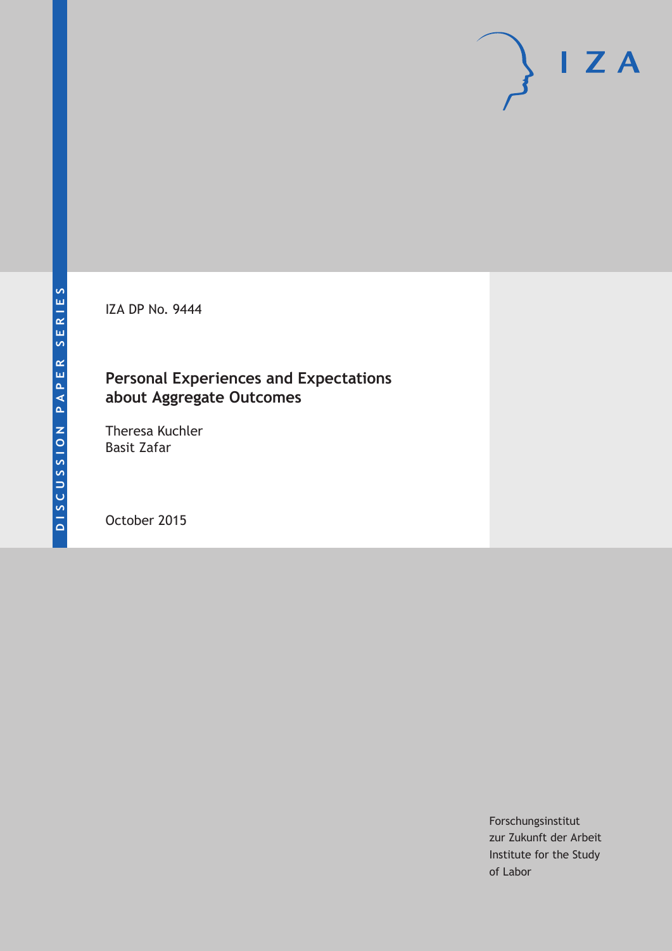IZA DP No. 9444

# **Personal Experiences and Expectations about Aggregate Outcomes**

Theresa Kuchler Basit Zafar

October 2015

Forschungsinstitut zur Zukunft der Arbeit Institute for the Study of Labor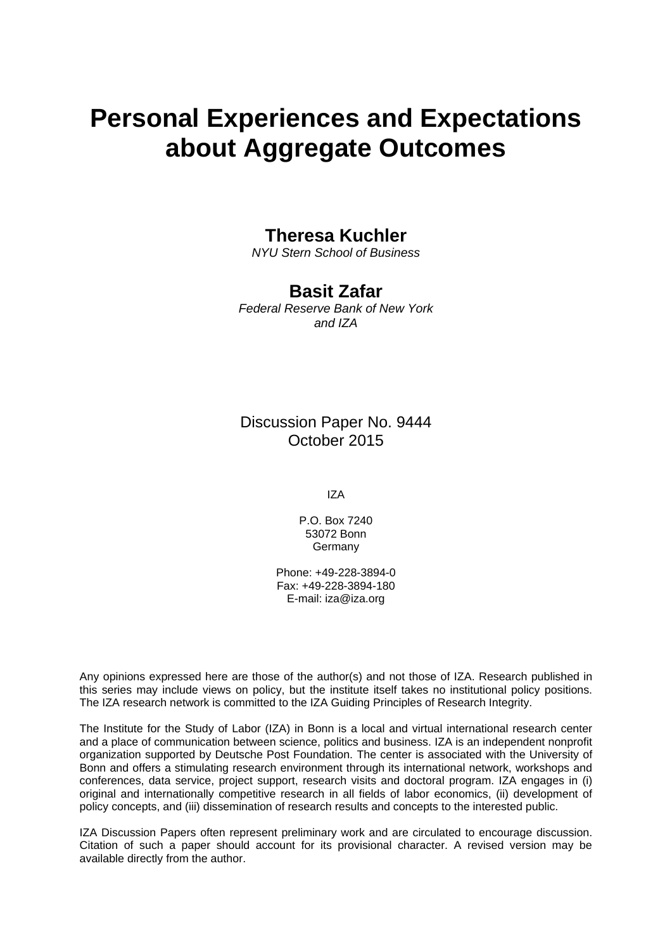# **Personal Experiences and Expectations about Aggregate Outcomes**

### **Theresa Kuchler**

*NYU Stern School of Business* 

# **Basit Zafar**

*Federal Reserve Bank of New York and IZA* 

### Discussion Paper No. 9444 October 2015

IZA

P.O. Box 7240 53072 Bonn Germany

Phone: +49-228-3894-0 Fax: +49-228-3894-180 E-mail: iza@iza.org

Any opinions expressed here are those of the author(s) and not those of IZA. Research published in this series may include views on policy, but the institute itself takes no institutional policy positions. The IZA research network is committed to the IZA Guiding Principles of Research Integrity.

The Institute for the Study of Labor (IZA) in Bonn is a local and virtual international research center and a place of communication between science, politics and business. IZA is an independent nonprofit organization supported by Deutsche Post Foundation. The center is associated with the University of Bonn and offers a stimulating research environment through its international network, workshops and conferences, data service, project support, research visits and doctoral program. IZA engages in (i) original and internationally competitive research in all fields of labor economics, (ii) development of policy concepts, and (iii) dissemination of research results and concepts to the interested public.

IZA Discussion Papers often represent preliminary work and are circulated to encourage discussion. Citation of such a paper should account for its provisional character. A revised version may be available directly from the author.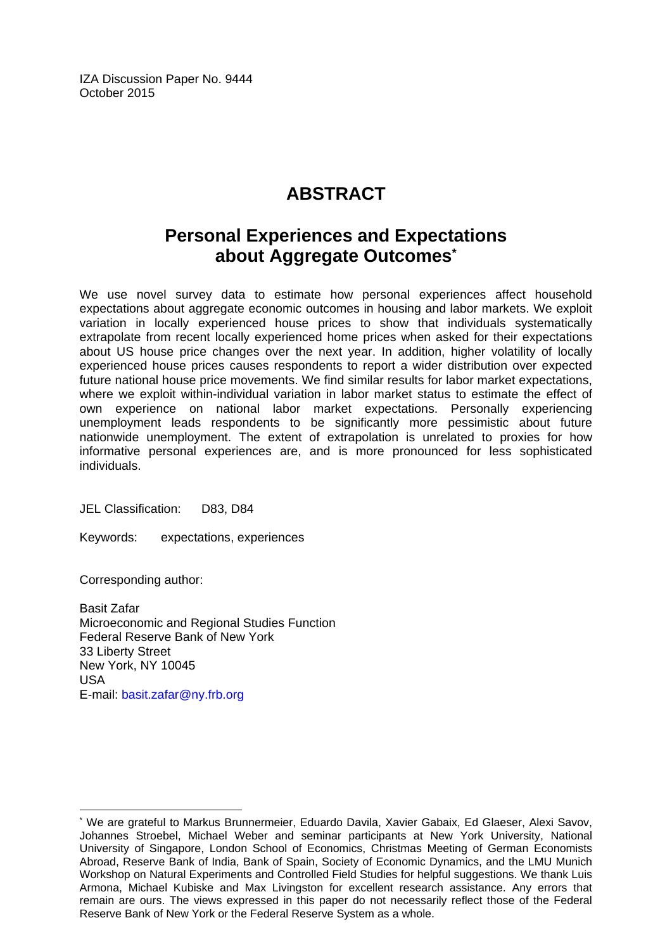IZA Discussion Paper No. 9444 October 2015

# **ABSTRACT**

# **Personal Experiences and Expectations about Aggregate Outcomes\***

We use novel survey data to estimate how personal experiences affect household expectations about aggregate economic outcomes in housing and labor markets. We exploit variation in locally experienced house prices to show that individuals systematically extrapolate from recent locally experienced home prices when asked for their expectations about US house price changes over the next year. In addition, higher volatility of locally experienced house prices causes respondents to report a wider distribution over expected future national house price movements. We find similar results for labor market expectations, where we exploit within-individual variation in labor market status to estimate the effect of own experience on national labor market expectations. Personally experiencing unemployment leads respondents to be significantly more pessimistic about future nationwide unemployment. The extent of extrapolation is unrelated to proxies for how informative personal experiences are, and is more pronounced for less sophisticated individuals.

JEL Classification: D83, D84

Keywords: expectations, experiences

Corresponding author:

 $\overline{a}$ 

Basit Zafar Microeconomic and Regional Studies Function Federal Reserve Bank of New York 33 Liberty Street New York, NY 10045 USA E-mail: basit.zafar@ny.frb.org

<sup>\*</sup> We are grateful to Markus Brunnermeier, Eduardo Davila, Xavier Gabaix, Ed Glaeser, Alexi Savov, Johannes Stroebel, Michael Weber and seminar participants at New York University, National University of Singapore, London School of Economics, Christmas Meeting of German Economists Abroad, Reserve Bank of India, Bank of Spain, Society of Economic Dynamics, and the LMU Munich Workshop on Natural Experiments and Controlled Field Studies for helpful suggestions. We thank Luis Armona, Michael Kubiske and Max Livingston for excellent research assistance. Any errors that remain are ours. The views expressed in this paper do not necessarily reflect those of the Federal Reserve Bank of New York or the Federal Reserve System as a whole.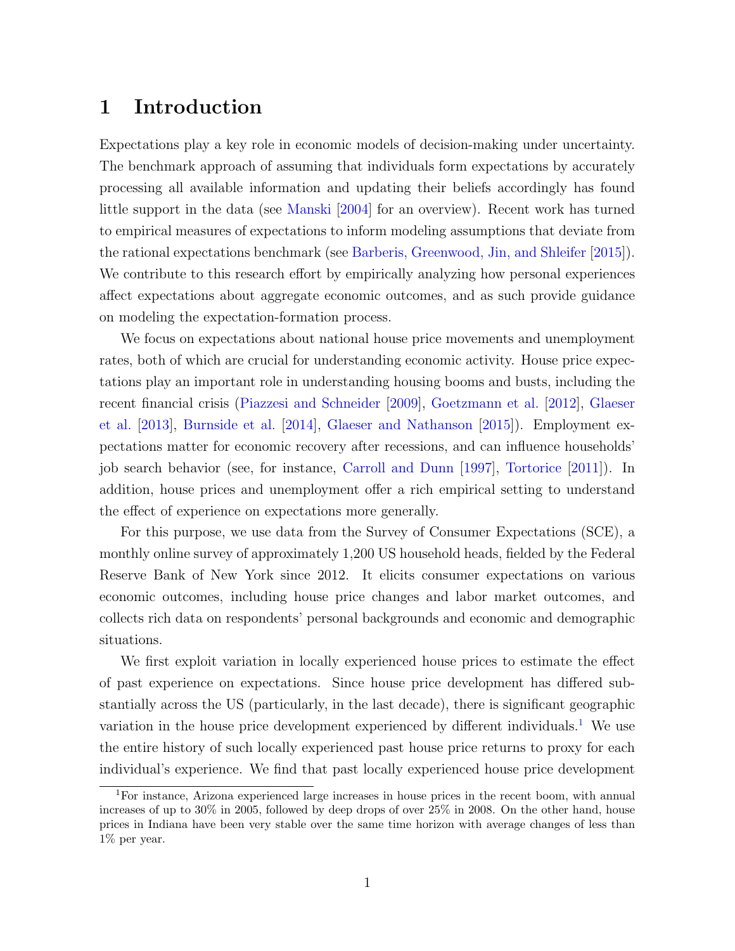### 1 Introduction

Expectations play a key role in economic models of decision-making under uncertainty. The benchmark approach of assuming that individuals form expectations by accurately processing all available information and updating their beliefs accordingly has found little support in the data (see [Manski](#page-29-0) [\[2004\]](#page-29-0) for an overview). Recent work has turned to empirical measures of expectations to inform modeling assumptions that deviate from the rational expectations benchmark (see [Barberis, Greenwood, Jin, and Shleifer](#page-27-0) [\[2015\]](#page-27-0)). We contribute to this research effort by empirically analyzing how personal experiences affect expectations about aggregate economic outcomes, and as such provide guidance on modeling the expectation-formation process.

We focus on expectations about national house price movements and unemployment rates, both of which are crucial for understanding economic activity. House price expectations play an important role in understanding housing booms and busts, including the recent financial crisis [\(Piazzesi and Schneider](#page-30-0) [\[2009\]](#page-30-0), [Goetzmann et al.](#page-28-0) [\[2012\]](#page-28-0), [Glaeser](#page-28-1) [et al.](#page-28-1) [\[2013\]](#page-28-1), [Burnside et al.](#page-27-1) [\[2014\]](#page-27-1), [Glaeser and Nathanson](#page-28-2) [\[2015\]](#page-28-2)). Employment expectations matter for economic recovery after recessions, and can influence households' job search behavior (see, for instance, [Carroll and Dunn](#page-27-2) [\[1997\]](#page-27-2), [Tortorice](#page-30-1) [\[2011\]](#page-30-1)). In addition, house prices and unemployment offer a rich empirical setting to understand the effect of experience on expectations more generally.

For this purpose, we use data from the Survey of Consumer Expectations (SCE), a monthly online survey of approximately 1,200 US household heads, fielded by the Federal Reserve Bank of New York since 2012. It elicits consumer expectations on various economic outcomes, including house price changes and labor market outcomes, and collects rich data on respondents' personal backgrounds and economic and demographic situations.

We first exploit variation in locally experienced house prices to estimate the effect of past experience on expectations. Since house price development has differed substantially across the US (particularly, in the last decade), there is significant geographic variation in the house price development experienced by different individuals.<sup>[1](#page-3-0)</sup> We use the entire history of such locally experienced past house price returns to proxy for each individual's experience. We find that past locally experienced house price development

<span id="page-3-0"></span><sup>1</sup>For instance, Arizona experienced large increases in house prices in the recent boom, with annual increases of up to 30% in 2005, followed by deep drops of over 25% in 2008. On the other hand, house prices in Indiana have been very stable over the same time horizon with average changes of less than 1% per year.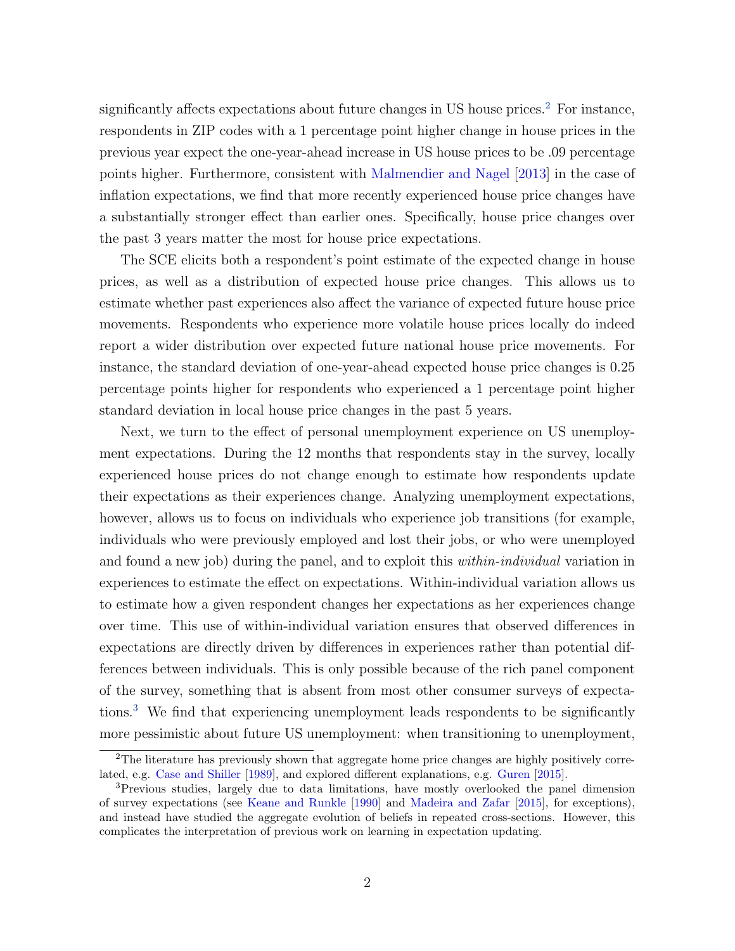significantly affects expectations about future changes in US house prices.<sup>[2](#page-4-0)</sup> For instance, respondents in ZIP codes with a 1 percentage point higher change in house prices in the previous year expect the one-year-ahead increase in US house prices to be .09 percentage points higher. Furthermore, consistent with [Malmendier and Nagel](#page-29-1) [\[2013\]](#page-29-1) in the case of inflation expectations, we find that more recently experienced house price changes have a substantially stronger effect than earlier ones. Specifically, house price changes over the past 3 years matter the most for house price expectations.

The SCE elicits both a respondent's point estimate of the expected change in house prices, as well as a distribution of expected house price changes. This allows us to estimate whether past experiences also affect the variance of expected future house price movements. Respondents who experience more volatile house prices locally do indeed report a wider distribution over expected future national house price movements. For instance, the standard deviation of one-year-ahead expected house price changes is 0.25 percentage points higher for respondents who experienced a 1 percentage point higher standard deviation in local house price changes in the past 5 years.

Next, we turn to the effect of personal unemployment experience on US unemployment expectations. During the 12 months that respondents stay in the survey, locally experienced house prices do not change enough to estimate how respondents update their expectations as their experiences change. Analyzing unemployment expectations, however, allows us to focus on individuals who experience job transitions (for example, individuals who were previously employed and lost their jobs, or who were unemployed and found a new job) during the panel, and to exploit this within-individual variation in experiences to estimate the effect on expectations. Within-individual variation allows us to estimate how a given respondent changes her expectations as her experiences change over time. This use of within-individual variation ensures that observed differences in expectations are directly driven by differences in experiences rather than potential differences between individuals. This is only possible because of the rich panel component of the survey, something that is absent from most other consumer surveys of expectations.[3](#page-4-1) We find that experiencing unemployment leads respondents to be significantly more pessimistic about future US unemployment: when transitioning to unemployment,

<span id="page-4-0"></span><sup>&</sup>lt;sup>2</sup>The literature has previously shown that aggregate home price changes are highly positively correlated, e.g. [Case and Shiller](#page-28-3) [\[1989\]](#page-28-3), and explored different explanations, e.g. [Guren](#page-29-2) [\[2015\]](#page-29-2).

<span id="page-4-1"></span><sup>&</sup>lt;sup>3</sup>Previous studies, largely due to data limitations, have mostly overlooked the panel dimension of survey expectations (see [Keane and Runkle](#page-29-3) [\[1990\]](#page-29-3) and [Madeira and Zafar](#page-29-4) [\[2015\]](#page-29-4), for exceptions), and instead have studied the aggregate evolution of beliefs in repeated cross-sections. However, this complicates the interpretation of previous work on learning in expectation updating.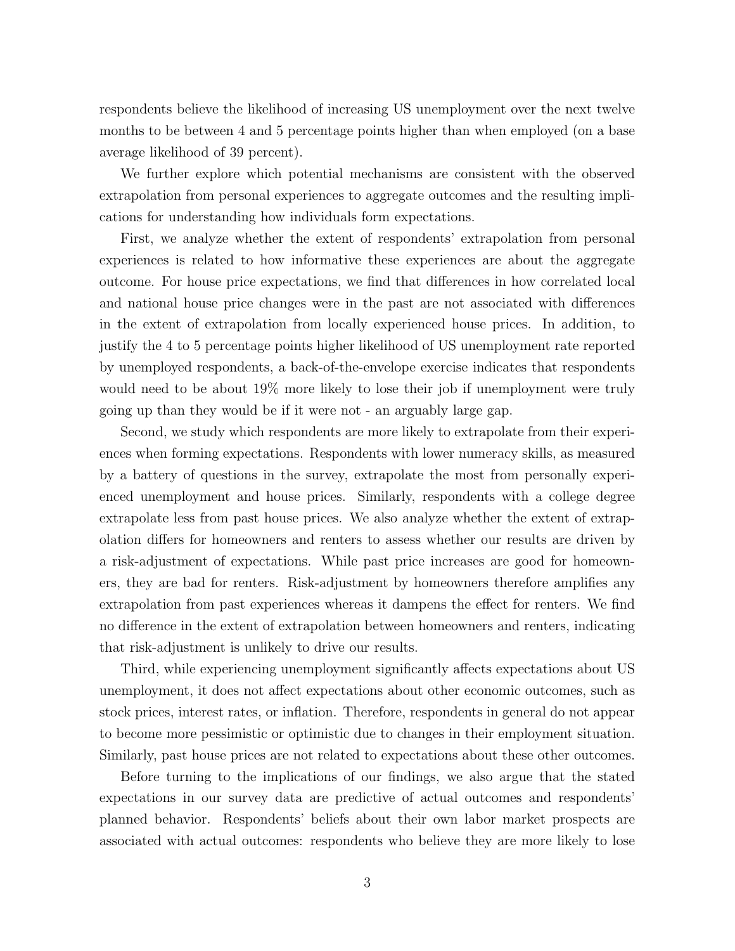respondents believe the likelihood of increasing US unemployment over the next twelve months to be between 4 and 5 percentage points higher than when employed (on a base average likelihood of 39 percent).

We further explore which potential mechanisms are consistent with the observed extrapolation from personal experiences to aggregate outcomes and the resulting implications for understanding how individuals form expectations.

First, we analyze whether the extent of respondents' extrapolation from personal experiences is related to how informative these experiences are about the aggregate outcome. For house price expectations, we find that differences in how correlated local and national house price changes were in the past are not associated with differences in the extent of extrapolation from locally experienced house prices. In addition, to justify the 4 to 5 percentage points higher likelihood of US unemployment rate reported by unemployed respondents, a back-of-the-envelope exercise indicates that respondents would need to be about 19% more likely to lose their job if unemployment were truly going up than they would be if it were not - an arguably large gap.

Second, we study which respondents are more likely to extrapolate from their experiences when forming expectations. Respondents with lower numeracy skills, as measured by a battery of questions in the survey, extrapolate the most from personally experienced unemployment and house prices. Similarly, respondents with a college degree extrapolate less from past house prices. We also analyze whether the extent of extrapolation differs for homeowners and renters to assess whether our results are driven by a risk-adjustment of expectations. While past price increases are good for homeowners, they are bad for renters. Risk-adjustment by homeowners therefore amplifies any extrapolation from past experiences whereas it dampens the effect for renters. We find no difference in the extent of extrapolation between homeowners and renters, indicating that risk-adjustment is unlikely to drive our results.

Third, while experiencing unemployment significantly affects expectations about US unemployment, it does not affect expectations about other economic outcomes, such as stock prices, interest rates, or inflation. Therefore, respondents in general do not appear to become more pessimistic or optimistic due to changes in their employment situation. Similarly, past house prices are not related to expectations about these other outcomes.

Before turning to the implications of our findings, we also argue that the stated expectations in our survey data are predictive of actual outcomes and respondents' planned behavior. Respondents' beliefs about their own labor market prospects are associated with actual outcomes: respondents who believe they are more likely to lose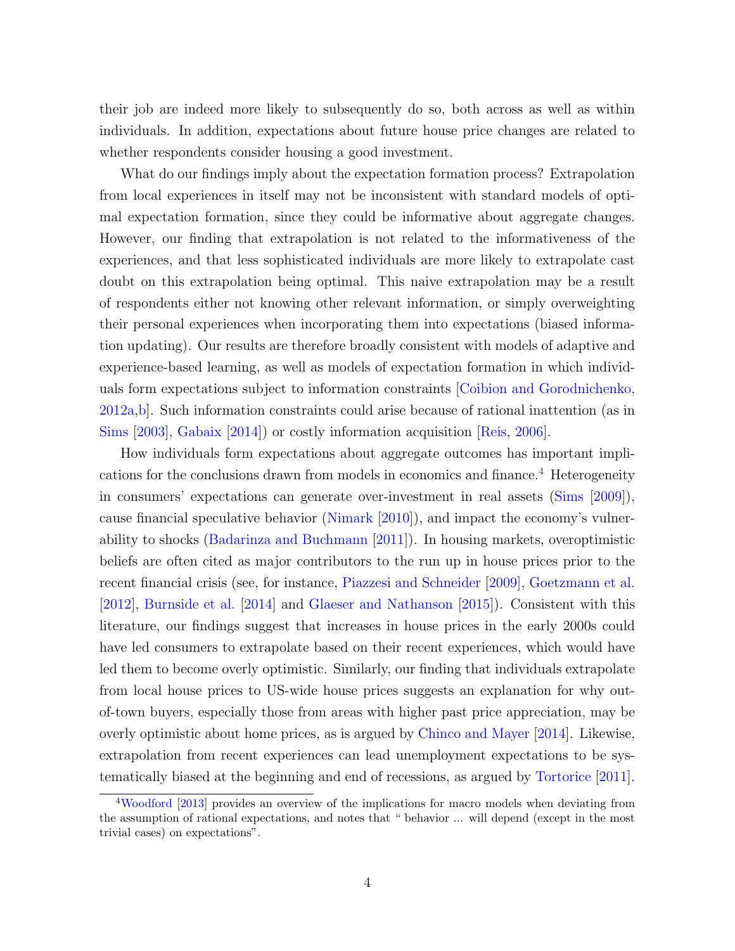their job are indeed more likely to subsequently do so, both across as well as within individuals. In addition, expectations about future house price changes are related to whether respondents consider housing a good investment.

What do our findings imply about the expectation formation process? Extrapolation from local experiences in itself may not be inconsistent with standard models of optimal expectation formation, since they could be informative about aggregate changes. However, our finding that extrapolation is not related to the informativeness of the experiences, and that less sophisticated individuals are more likely to extrapolate cast doubt on this extrapolation being optimal. This naive extrapolation may be a result of respondents either not knowing other relevant information, or simply overweighting their personal experiences when incorporating them into expectations (biased information updating). Our results are therefore broadly consistent with models of adaptive and experience-based learning, as well as models of expectation formation in which individuals form expectations subject to information constraints [\[Coibion and Gorodnichenko,](#page-28-4) [2012a](#page-28-4)[,b\]](#page-28-5). Such information constraints could arise because of rational inattention (as in [Sims](#page-30-2) [\[2003\]](#page-30-2), [Gabaix](#page-28-6) [\[2014\]](#page-28-6)) or costly information acquisition [\[Reis,](#page-30-3) [2006\]](#page-30-3).

How individuals form expectations about aggregate outcomes has important impli-cations for the conclusions drawn from models in economics and finance.<sup>[4](#page-6-0)</sup> Heterogeneity in consumers' expectations can generate over-investment in real assets [\(Sims](#page-30-4) [\[2009\]](#page-30-4)), cause financial speculative behavior [\(Nimark](#page-29-5) [\[2010\]](#page-29-5)), and impact the economy's vulnerability to shocks [\(Badarinza and Buchmann](#page-27-3) [\[2011\]](#page-27-3)). In housing markets, overoptimistic beliefs are often cited as major contributors to the run up in house prices prior to the recent financial crisis (see, for instance, [Piazzesi and Schneider](#page-30-0) [\[2009\]](#page-30-0), [Goetzmann et al.](#page-28-0) [\[2012\]](#page-28-0), [Burnside et al.](#page-27-1) [\[2014\]](#page-27-1) and [Glaeser and Nathanson](#page-28-2) [\[2015\]](#page-28-2)). Consistent with this literature, our findings suggest that increases in house prices in the early 2000s could have led consumers to extrapolate based on their recent experiences, which would have led them to become overly optimistic. Similarly, our finding that individuals extrapolate from local house prices to US-wide house prices suggests an explanation for why outof-town buyers, especially those from areas with higher past price appreciation, may be overly optimistic about home prices, as is argued by [Chinco and Mayer](#page-28-7) [\[2014\]](#page-28-7). Likewise, extrapolation from recent experiences can lead unemployment expectations to be systematically biased at the beginning and end of recessions, as argued by [Tortorice](#page-30-1) [\[2011\]](#page-30-1).

<span id="page-6-0"></span><sup>4</sup>[Woodford](#page-30-5) [\[2013\]](#page-30-5) provides an overview of the implications for macro models when deviating from the assumption of rational expectations, and notes that " behavior ... will depend (except in the most trivial cases) on expectations".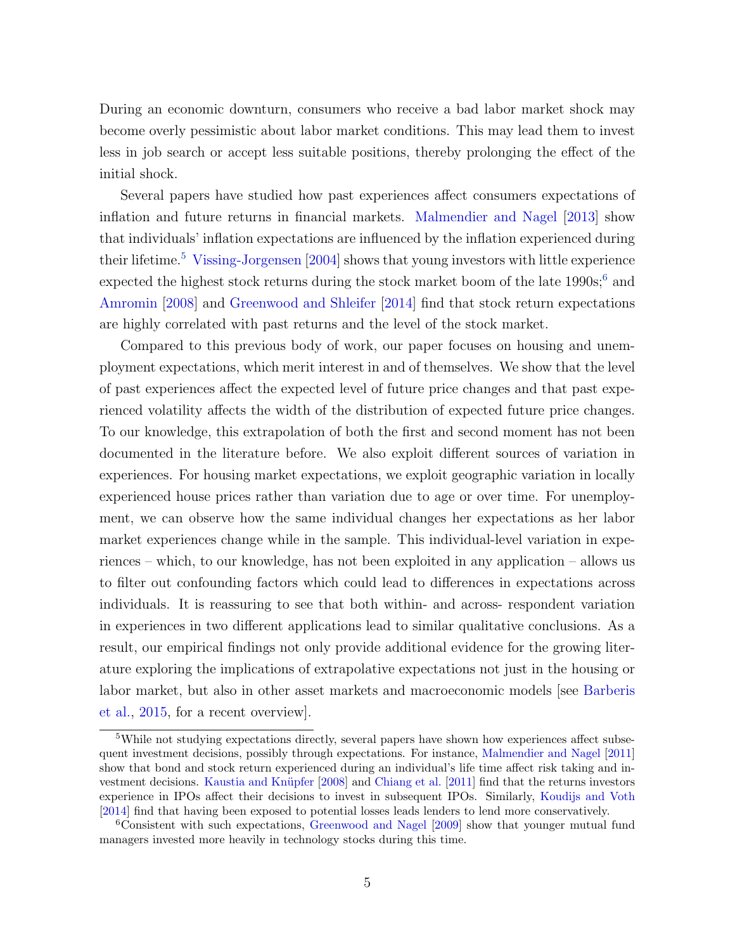During an economic downturn, consumers who receive a bad labor market shock may become overly pessimistic about labor market conditions. This may lead them to invest less in job search or accept less suitable positions, thereby prolonging the effect of the initial shock.

Several papers have studied how past experiences affect consumers expectations of inflation and future returns in financial markets. [Malmendier and Nagel](#page-29-1) [\[2013\]](#page-29-1) show that individuals' inflation expectations are influenced by the inflation experienced during their lifetime.[5](#page-7-0) [Vissing-Jorgensen](#page-30-6) [\[2004\]](#page-30-6) shows that young investors with little experience expected the highest stock returns during the stock market boom of the late  $1990s$ ;<sup>[6](#page-7-1)</sup> and [Amromin](#page-27-4) [\[2008\]](#page-27-4) and [Greenwood and Shleifer](#page-29-6) [\[2014\]](#page-29-6) find that stock return expectations are highly correlated with past returns and the level of the stock market.

Compared to this previous body of work, our paper focuses on housing and unemployment expectations, which merit interest in and of themselves. We show that the level of past experiences affect the expected level of future price changes and that past experienced volatility affects the width of the distribution of expected future price changes. To our knowledge, this extrapolation of both the first and second moment has not been documented in the literature before. We also exploit different sources of variation in experiences. For housing market expectations, we exploit geographic variation in locally experienced house prices rather than variation due to age or over time. For unemployment, we can observe how the same individual changes her expectations as her labor market experiences change while in the sample. This individual-level variation in experiences – which, to our knowledge, has not been exploited in any application – allows us to filter out confounding factors which could lead to differences in expectations across individuals. It is reassuring to see that both within- and across- respondent variation in experiences in two different applications lead to similar qualitative conclusions. As a result, our empirical findings not only provide additional evidence for the growing literature exploring the implications of extrapolative expectations not just in the housing or labor market, but also in other asset markets and macroeconomic models [see [Barberis](#page-27-0) [et al.,](#page-27-0) [2015,](#page-27-0) for a recent overview].

<span id="page-7-0"></span><sup>5</sup>While not studying expectations directly, several papers have shown how experiences affect subsequent investment decisions, possibly through expectations. For instance, [Malmendier and Nagel](#page-29-7) [\[2011\]](#page-29-7) show that bond and stock return experienced during an individual's life time affect risk taking and in-vestment decisions. Kaustia and Knüpfer [\[2008\]](#page-29-8) and [Chiang et al.](#page-28-8) [\[2011\]](#page-28-8) find that the returns investors experience in IPOs affect their decisions to invest in subsequent IPOs. Similarly, [Koudijs and Voth](#page-29-9) [\[2014\]](#page-29-9) find that having been exposed to potential losses leads lenders to lend more conservatively.

<span id="page-7-1"></span><sup>6</sup>Consistent with such expectations, [Greenwood and Nagel](#page-29-10) [\[2009\]](#page-29-10) show that younger mutual fund managers invested more heavily in technology stocks during this time.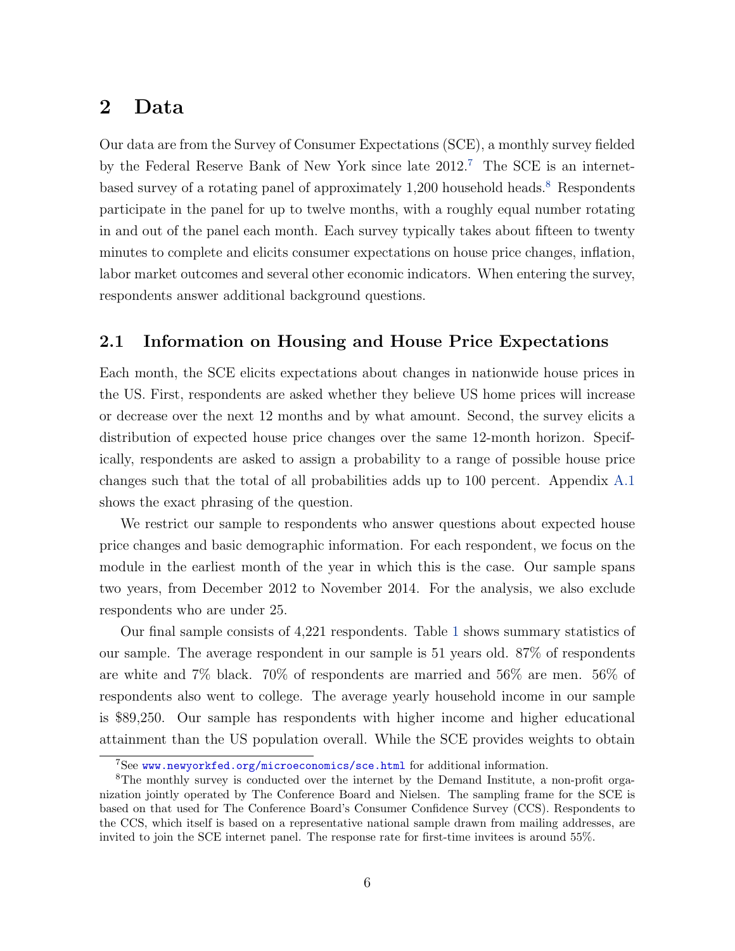## 2 Data

Our data are from the Survey of Consumer Expectations (SCE), a monthly survey fielded by the Federal Reserve Bank of New York since late 2012.[7](#page-8-0) The SCE is an internet-based survey of a rotating panel of approximately 1,200 household heads.<sup>[8](#page-8-1)</sup> Respondents participate in the panel for up to twelve months, with a roughly equal number rotating in and out of the panel each month. Each survey typically takes about fifteen to twenty minutes to complete and elicits consumer expectations on house price changes, inflation, labor market outcomes and several other economic indicators. When entering the survey, respondents answer additional background questions.

### <span id="page-8-2"></span>2.1 Information on Housing and House Price Expectations

Each month, the SCE elicits expectations about changes in nationwide house prices in the US. First, respondents are asked whether they believe US home prices will increase or decrease over the next 12 months and by what amount. Second, the survey elicits a distribution of expected house price changes over the same 12-month horizon. Specifically, respondents are asked to assign a probability to a range of possible house price changes such that the total of all probabilities adds up to 100 percent. Appendix [A.1](#page-54-0) shows the exact phrasing of the question.

We restrict our sample to respondents who answer questions about expected house price changes and basic demographic information. For each respondent, we focus on the module in the earliest month of the year in which this is the case. Our sample spans two years, from December 2012 to November 2014. For the analysis, we also exclude respondents who are under 25.

Our final sample consists of 4,221 respondents. Table [1](#page-37-0) shows summary statistics of our sample. The average respondent in our sample is 51 years old. 87% of respondents are white and 7% black. 70% of respondents are married and 56% are men. 56% of respondents also went to college. The average yearly household income in our sample is \$89,250. Our sample has respondents with higher income and higher educational attainment than the US population overall. While the SCE provides weights to obtain

<span id="page-8-1"></span><span id="page-8-0"></span><sup>7</sup>See <www.newyorkfed.org/microeconomics/sce.html> for additional information.

<sup>8</sup>The monthly survey is conducted over the internet by the Demand Institute, a non-profit organization jointly operated by The Conference Board and Nielsen. The sampling frame for the SCE is based on that used for The Conference Board's Consumer Confidence Survey (CCS). Respondents to the CCS, which itself is based on a representative national sample drawn from mailing addresses, are invited to join the SCE internet panel. The response rate for first-time invitees is around 55%.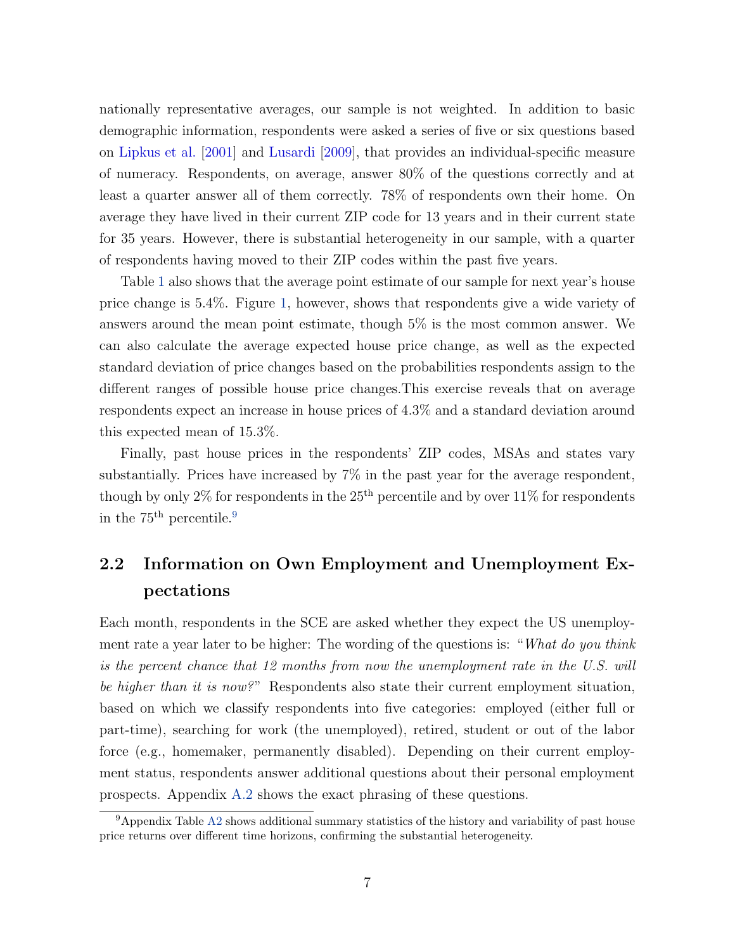nationally representative averages, our sample is not weighted. In addition to basic demographic information, respondents were asked a series of five or six questions based on [Lipkus et al.](#page-29-11) [\[2001\]](#page-29-11) and [Lusardi](#page-29-12) [\[2009\]](#page-29-12), that provides an individual-specific measure of numeracy. Respondents, on average, answer 80% of the questions correctly and at least a quarter answer all of them correctly. 78% of respondents own their home. On average they have lived in their current ZIP code for 13 years and in their current state for 35 years. However, there is substantial heterogeneity in our sample, with a quarter of respondents having moved to their ZIP codes within the past five years.

Table [1](#page-37-0) also shows that the average point estimate of our sample for next year's house price change is 5.4%. Figure [1,](#page-31-0) however, shows that respondents give a wide variety of answers around the mean point estimate, though 5% is the most common answer. We can also calculate the average expected house price change, as well as the expected standard deviation of price changes based on the probabilities respondents assign to the different ranges of possible house price changes.This exercise reveals that on average respondents expect an increase in house prices of 4.3% and a standard deviation around this expected mean of 15.3%.

Finally, past house prices in the respondents' ZIP codes, MSAs and states vary substantially. Prices have increased by 7% in the past year for the average respondent, though by only 2% for respondents in the  $25<sup>th</sup>$  percentile and by over  $11\%$  for respondents in the  $75<sup>th</sup>$  percentile.<sup>[9](#page-9-0)</sup>

# 2.2 Information on Own Employment and Unemployment Expectations

Each month, respondents in the SCE are asked whether they expect the US unemployment rate a year later to be higher: The wording of the questions is: "What do you think is the percent chance that 12 months from now the unemployment rate in the U.S. will be higher than it is now?" Respondents also state their current employment situation, based on which we classify respondents into five categories: employed (either full or part-time), searching for work (the unemployed), retired, student or out of the labor force (e.g., homemaker, permanently disabled). Depending on their current employment status, respondents answer additional questions about their personal employment prospects. Appendix [A.2](#page-55-0) shows the exact phrasing of these questions.

<span id="page-9-0"></span><sup>&</sup>lt;sup>9</sup>Appendix Table [A2](#page-58-0) shows additional summary statistics of the history and variability of past house price returns over different time horizons, confirming the substantial heterogeneity.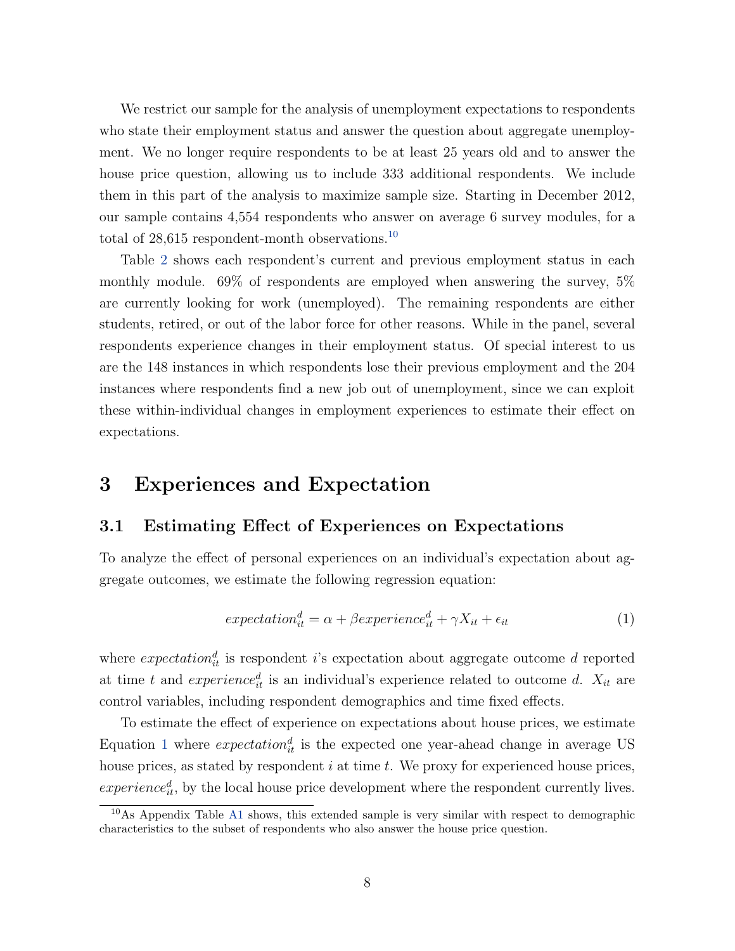We restrict our sample for the analysis of unemployment expectations to respondents who state their employment status and answer the question about aggregate unemployment. We no longer require respondents to be at least 25 years old and to answer the house price question, allowing us to include 333 additional respondents. We include them in this part of the analysis to maximize sample size. Starting in December 2012, our sample contains 4,554 respondents who answer on average 6 survey modules, for a total of  $28,615$  respondent-month observations.<sup>[10](#page-10-0)</sup>

Table [2](#page-38-0) shows each respondent's current and previous employment status in each monthly module. 69% of respondents are employed when answering the survey, 5% are currently looking for work (unemployed). The remaining respondents are either students, retired, or out of the labor force for other reasons. While in the panel, several respondents experience changes in their employment status. Of special interest to us are the 148 instances in which respondents lose their previous employment and the 204 instances where respondents find a new job out of unemployment, since we can exploit these within-individual changes in employment experiences to estimate their effect on expectations.

### 3 Experiences and Expectation

### 3.1 Estimating Effect of Experiences on Expectations

To analyze the effect of personal experiences on an individual's expectation about aggregate outcomes, we estimate the following regression equation:

<span id="page-10-1"></span>
$$
expectation_{it}^{d} = \alpha + \beta experience_{it}^{d} + \gamma X_{it} + \epsilon_{it}
$$
\n
$$
\tag{1}
$$

where  $expectation_{it}^d$  is respondent *i*'s expectation about aggregate outcome *d* reported at time t and experience<sub>it</sub> is an individual's experience related to outcome d.  $X_{it}$  are control variables, including respondent demographics and time fixed effects.

To estimate the effect of experience on expectations about house prices, we estimate Equation [1](#page-10-1) where  $expectation_{it}^d$  is the expected one year-ahead change in average US house prices, as stated by respondent  $i$  at time  $t$ . We proxy for experienced house prices,  $experience_{it}^d$ , by the local house price development where the respondent currently lives.

<span id="page-10-0"></span><sup>&</sup>lt;sup>10</sup>As Appendix Table [A1](#page-57-0) shows, this extended sample is very similar with respect to demographic characteristics to the subset of respondents who also answer the house price question.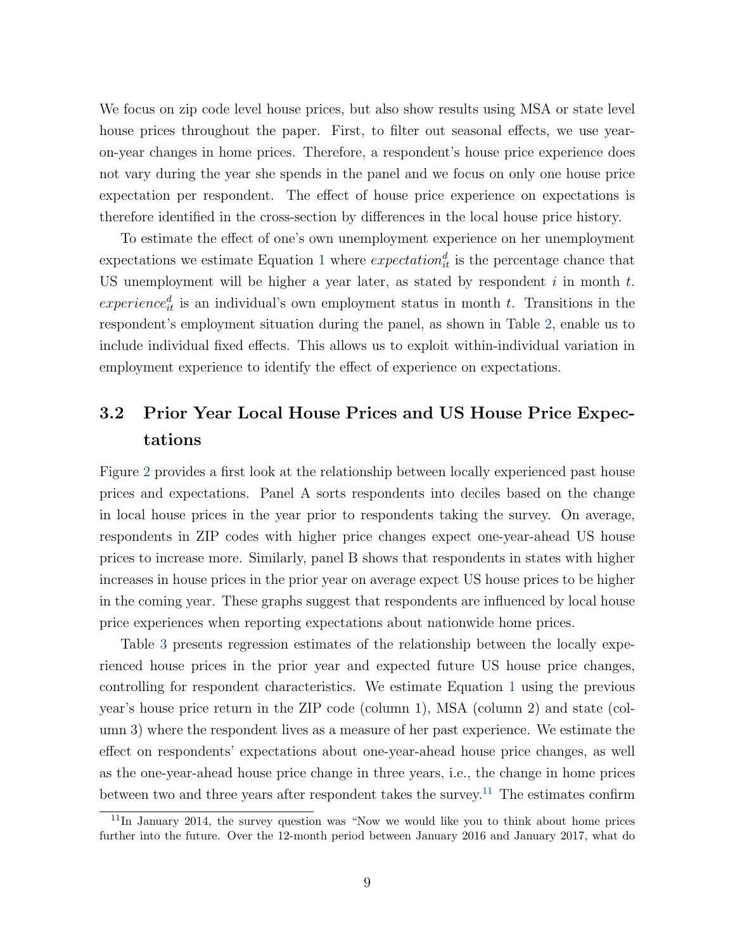We focus on zip code level house prices, but also show results using MSA or state level house prices throughout the paper. First, to filter out seasonal effects, we use yearon-year changes in home prices. Therefore, a respondent's house price experience does not vary during the year she spends in the panel and we focus on only one house price expectation per respondent. The effect of house price experience on expectations is therefore identified in the cross-section by differences in the local house price history.

To estimate the effect of one's own unemployment experience on her unemployment expectations we estimate Equation [1](#page-10-1) where  $expectation_{it}^d$  is the percentage chance that US unemployment will be higher a year later, as stated by respondent  $i$  in month  $t$ .  $experience_{it}^d$  is an individual's own employment status in month t. Transitions in the respondent's employment situation during the panel, as shown in Table [2,](#page-38-0) enable us to include individual fixed effects. This allows us to exploit within-individual variation in employment experience to identify the effect of experience on expectations.

# 3.2 Prior Year Local House Prices and US House Price Expectations

Figure [2](#page-32-0) provides a first look at the relationship between locally experienced past house prices and expectations. Panel A sorts respondents into deciles based on the change in local house prices in the year prior to respondents taking the survey. On average, respondents in ZIP codes with higher price changes expect one-year-ahead US house prices to increase more. Similarly, panel B shows that respondents in states with higher increases in house prices in the prior year on average expect US house prices to be higher in the coming year. These graphs suggest that respondents are influenced by local house price experiences when reporting expectations about nationwide home prices.

Table [3](#page-39-0) presents regression estimates of the relationship between the locally experienced house prices in the prior year and expected future US house price changes, controlling for respondent characteristics. We estimate Equation [1](#page-10-1) using the previous year's house price return in the ZIP code (column 1), MSA (column 2) and state (column 3) where the respondent lives as a measure of her past experience. We estimate the effect on respondents' expectations about one-year-ahead house price changes, as well as the one-year-ahead house price change in three years, i.e., the change in home prices between two and three years after respondent takes the survey.<sup>[11](#page-11-0)</sup> The estimates confirm

<span id="page-11-0"></span> $11$ In January 2014, the survey question was "Now we would like you to think about home prices further into the future. Over the 12-month period between January 2016 and January 2017, what do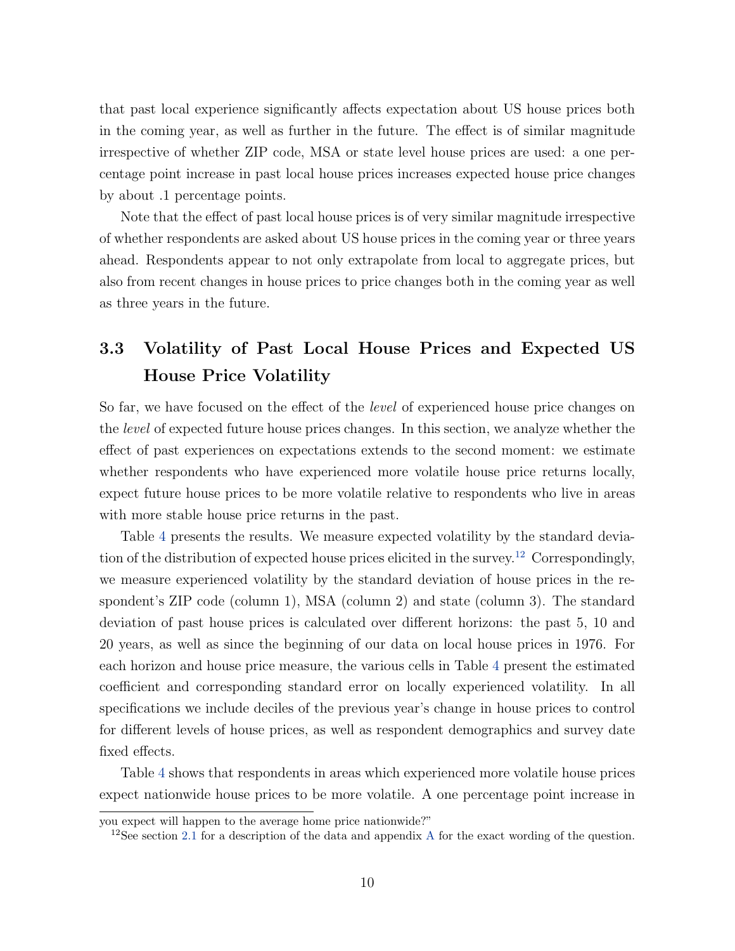that past local experience significantly affects expectation about US house prices both in the coming year, as well as further in the future. The effect is of similar magnitude irrespective of whether ZIP code, MSA or state level house prices are used: a one percentage point increase in past local house prices increases expected house price changes by about .1 percentage points.

Note that the effect of past local house prices is of very similar magnitude irrespective of whether respondents are asked about US house prices in the coming year or three years ahead. Respondents appear to not only extrapolate from local to aggregate prices, but also from recent changes in house prices to price changes both in the coming year as well as three years in the future.

# 3.3 Volatility of Past Local House Prices and Expected US House Price Volatility

So far, we have focused on the effect of the *level* of experienced house price changes on the level of expected future house prices changes. In this section, we analyze whether the effect of past experiences on expectations extends to the second moment: we estimate whether respondents who have experienced more volatile house price returns locally, expect future house prices to be more volatile relative to respondents who live in areas with more stable house price returns in the past.

Table [4](#page-40-0) presents the results. We measure expected volatility by the standard deviation of the distribution of expected house prices elicited in the survey.[12](#page-12-0) Correspondingly, we measure experienced volatility by the standard deviation of house prices in the respondent's ZIP code (column 1), MSA (column 2) and state (column 3). The standard deviation of past house prices is calculated over different horizons: the past 5, 10 and 20 years, as well as since the beginning of our data on local house prices in 1976. For each horizon and house price measure, the various cells in Table [4](#page-40-0) present the estimated coefficient and corresponding standard error on locally experienced volatility. In all specifications we include deciles of the previous year's change in house prices to control for different levels of house prices, as well as respondent demographics and survey date fixed effects.

Table [4](#page-40-0) shows that respondents in areas which experienced more volatile house prices expect nationwide house prices to be more volatile. A one percentage point increase in

you expect will happen to the average home price nationwide?"

<span id="page-12-0"></span><sup>&</sup>lt;sup>12</sup>See section [2.1](#page-8-2) for a description of the data and appendix [A](#page-54-1) for the exact wording of the question.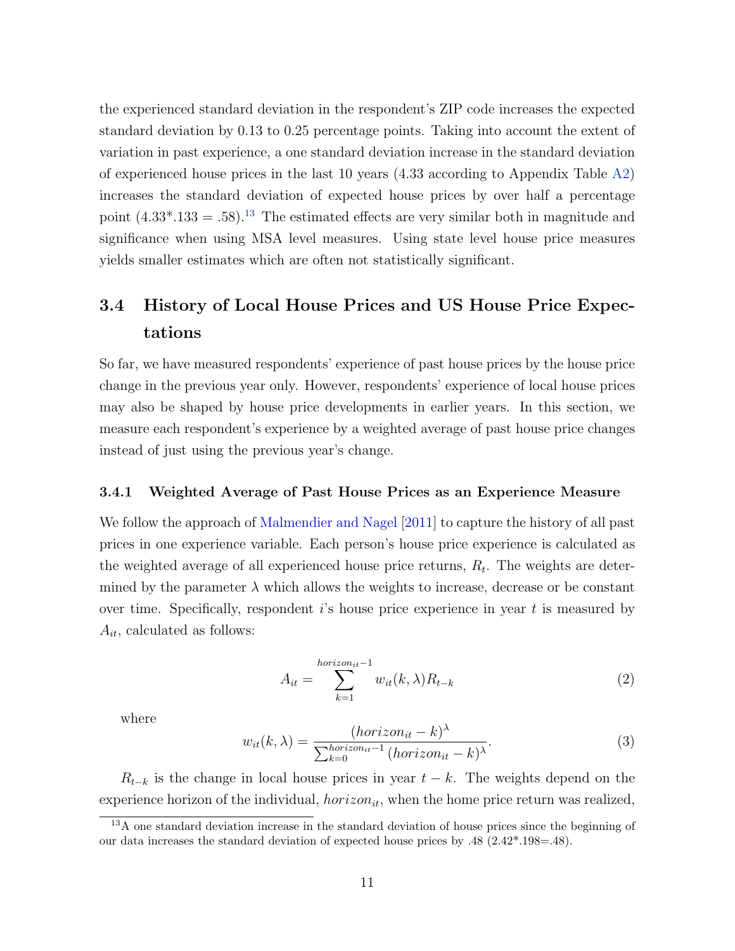the experienced standard deviation in the respondent's ZIP code increases the expected standard deviation by 0.13 to 0.25 percentage points. Taking into account the extent of variation in past experience, a one standard deviation increase in the standard deviation of experienced house prices in the last 10 years (4.33 according to Appendix Table [A2\)](#page-58-0) increases the standard deviation of expected house prices by over half a percentage point  $(4.33^* .133 = .58).$  $(4.33^* .133 = .58).$  $(4.33^* .133 = .58).$ <sup>13</sup> The estimated effects are very similar both in magnitude and significance when using MSA level measures. Using state level house price measures yields smaller estimates which are often not statistically significant.

# <span id="page-13-2"></span>3.4 History of Local House Prices and US House Price Expectations

So far, we have measured respondents' experience of past house prices by the house price change in the previous year only. However, respondents' experience of local house prices may also be shaped by house price developments in earlier years. In this section, we measure each respondent's experience by a weighted average of past house price changes instead of just using the previous year's change.

#### 3.4.1 Weighted Average of Past House Prices as an Experience Measure

We follow the approach of [Malmendier and Nagel](#page-29-7) [\[2011\]](#page-29-7) to capture the history of all past prices in one experience variable. Each person's house price experience is calculated as the weighted average of all experienced house price returns,  $R_t$ . The weights are determined by the parameter  $\lambda$  which allows the weights to increase, decrease or be constant over time. Specifically, respondent  $i$ 's house price experience in year  $t$  is measured by  $A_{it}$ , calculated as follows:

<span id="page-13-1"></span>
$$
A_{it} = \sum_{k=1}^{horizon_{it}-1} w_{it}(k,\lambda) R_{t-k}
$$
 (2)

where

$$
w_{it}(k,\lambda) = \frac{(horizon_{it} - k)^{\lambda}}{\sum_{k=0}^{horizon_{it} - 1} (horizon_{it} - k)^{\lambda}}.
$$
\n(3)

 $R_{t-k}$  is the change in local house prices in year  $t-k$ . The weights depend on the experience horizon of the individual,  $horizon_{it}$ , when the home price return was realized,

<span id="page-13-0"></span><sup>&</sup>lt;sup>13</sup>A one standard deviation increase in the standard deviation of house prices since the beginning of our data increases the standard deviation of expected house prices by .48 (2.42\*.198=.48).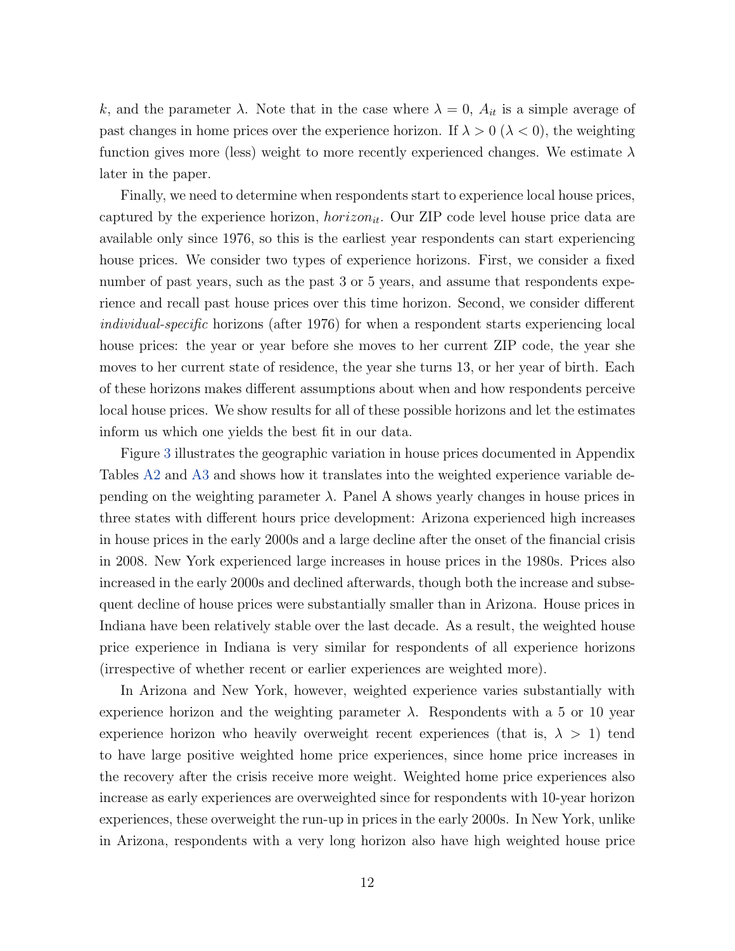k, and the parameter  $\lambda$ . Note that in the case where  $\lambda = 0$ ,  $A_{it}$  is a simple average of past changes in home prices over the experience horizon. If  $\lambda > 0$  ( $\lambda < 0$ ), the weighting function gives more (less) weight to more recently experienced changes. We estimate  $\lambda$ later in the paper.

Finally, we need to determine when respondents start to experience local house prices, captured by the experience horizon,  $horizon_{it}$ . Our ZIP code level house price data are available only since 1976, so this is the earliest year respondents can start experiencing house prices. We consider two types of experience horizons. First, we consider a fixed number of past years, such as the past 3 or 5 years, and assume that respondents experience and recall past house prices over this time horizon. Second, we consider different individual-specific horizons (after 1976) for when a respondent starts experiencing local house prices: the year or year before she moves to her current ZIP code, the year she moves to her current state of residence, the year she turns 13, or her year of birth. Each of these horizons makes different assumptions about when and how respondents perceive local house prices. We show results for all of these possible horizons and let the estimates inform us which one yields the best fit in our data.

Figure [3](#page-33-0) illustrates the geographic variation in house prices documented in Appendix Tables [A2](#page-58-0) and [A3](#page-59-0) and shows how it translates into the weighted experience variable depending on the weighting parameter  $\lambda$ . Panel A shows yearly changes in house prices in three states with different hours price development: Arizona experienced high increases in house prices in the early 2000s and a large decline after the onset of the financial crisis in 2008. New York experienced large increases in house prices in the 1980s. Prices also increased in the early 2000s and declined afterwards, though both the increase and subsequent decline of house prices were substantially smaller than in Arizona. House prices in Indiana have been relatively stable over the last decade. As a result, the weighted house price experience in Indiana is very similar for respondents of all experience horizons (irrespective of whether recent or earlier experiences are weighted more).

In Arizona and New York, however, weighted experience varies substantially with experience horizon and the weighting parameter  $\lambda$ . Respondents with a 5 or 10 year experience horizon who heavily overweight recent experiences (that is,  $\lambda > 1$ ) tend to have large positive weighted home price experiences, since home price increases in the recovery after the crisis receive more weight. Weighted home price experiences also increase as early experiences are overweighted since for respondents with 10-year horizon experiences, these overweight the run-up in prices in the early 2000s. In New York, unlike in Arizona, respondents with a very long horizon also have high weighted house price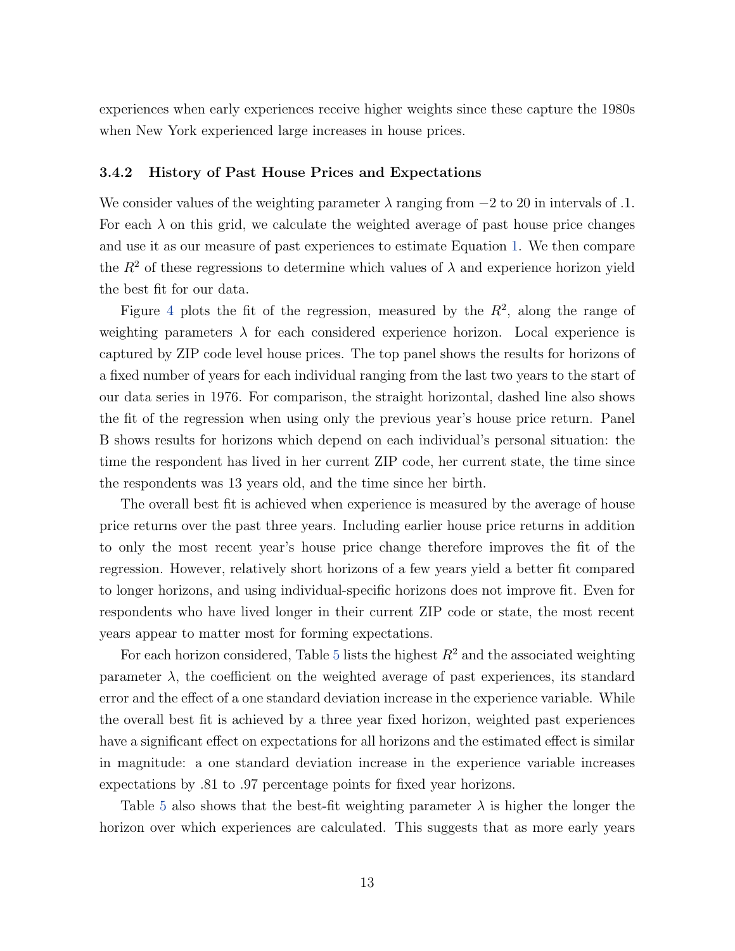experiences when early experiences receive higher weights since these capture the 1980s when New York experienced large increases in house prices.

#### 3.4.2 History of Past House Prices and Expectations

We consider values of the weighting parameter  $\lambda$  ranging from  $-2$  to 20 in intervals of .1. For each  $\lambda$  on this grid, we calculate the weighted average of past house price changes and use it as our measure of past experiences to estimate Equation [1.](#page-10-1) We then compare the  $R^2$  of these regressions to determine which values of  $\lambda$  and experience horizon yield the best fit for our data.

Figure [4](#page-34-0) plots the fit of the regression, measured by the  $R^2$ , along the range of weighting parameters  $\lambda$  for each considered experience horizon. Local experience is captured by ZIP code level house prices. The top panel shows the results for horizons of a fixed number of years for each individual ranging from the last two years to the start of our data series in 1976. For comparison, the straight horizontal, dashed line also shows the fit of the regression when using only the previous year's house price return. Panel B shows results for horizons which depend on each individual's personal situation: the time the respondent has lived in her current ZIP code, her current state, the time since the respondents was 13 years old, and the time since her birth.

The overall best fit is achieved when experience is measured by the average of house price returns over the past three years. Including earlier house price returns in addition to only the most recent year's house price change therefore improves the fit of the regression. However, relatively short horizons of a few years yield a better fit compared to longer horizons, and using individual-specific horizons does not improve fit. Even for respondents who have lived longer in their current ZIP code or state, the most recent years appear to matter most for forming expectations.

For each horizon considered, Table [5](#page-41-0) lists the highest  $R^2$  and the associated weighting parameter  $\lambda$ , the coefficient on the weighted average of past experiences, its standard error and the effect of a one standard deviation increase in the experience variable. While the overall best fit is achieved by a three year fixed horizon, weighted past experiences have a significant effect on expectations for all horizons and the estimated effect is similar in magnitude: a one standard deviation increase in the experience variable increases expectations by .81 to .97 percentage points for fixed year horizons.

Table [5](#page-41-0) also shows that the best-fit weighting parameter  $\lambda$  is higher the longer the horizon over which experiences are calculated. This suggests that as more early years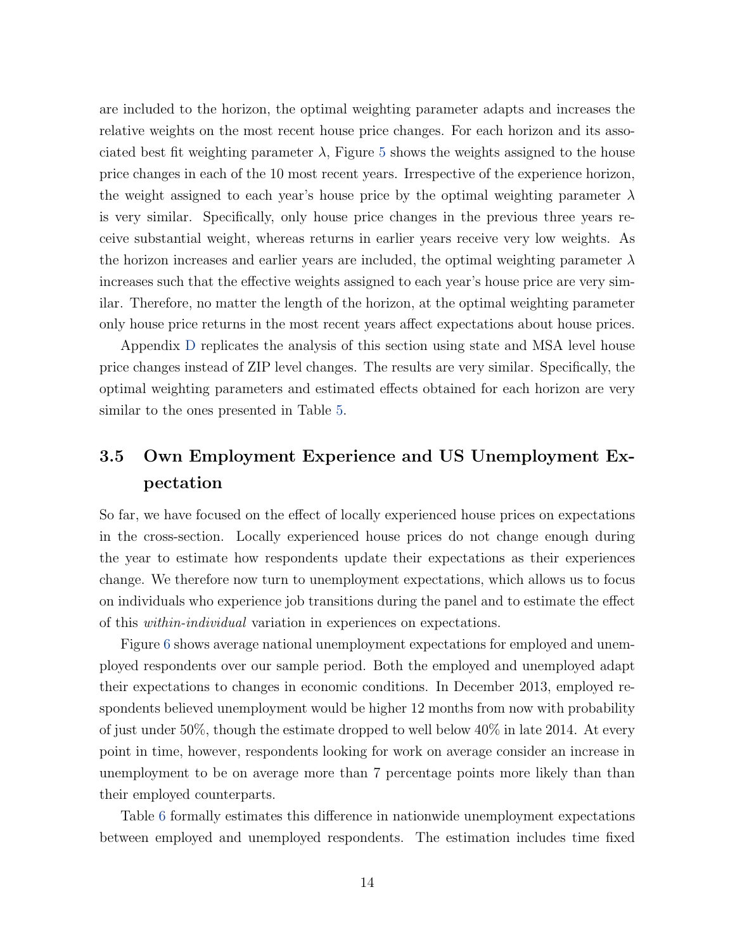are included to the horizon, the optimal weighting parameter adapts and increases the relative weights on the most recent house price changes. For each horizon and its associated best fit weighting parameter  $\lambda$ , Figure [5](#page-35-0) shows the weights assigned to the house price changes in each of the 10 most recent years. Irrespective of the experience horizon, the weight assigned to each year's house price by the optimal weighting parameter  $\lambda$ is very similar. Specifically, only house price changes in the previous three years receive substantial weight, whereas returns in earlier years receive very low weights. As the horizon increases and earlier years are included, the optimal weighting parameter  $\lambda$ increases such that the effective weights assigned to each year's house price are very similar. Therefore, no matter the length of the horizon, at the optimal weighting parameter only house price returns in the most recent years affect expectations about house prices.

Appendix [D](#page-56-0) replicates the analysis of this section using state and MSA level house price changes instead of ZIP level changes. The results are very similar. Specifically, the optimal weighting parameters and estimated effects obtained for each horizon are very similar to the ones presented in Table [5.](#page-41-0)

# 3.5 Own Employment Experience and US Unemployment Expectation

So far, we have focused on the effect of locally experienced house prices on expectations in the cross-section. Locally experienced house prices do not change enough during the year to estimate how respondents update their expectations as their experiences change. We therefore now turn to unemployment expectations, which allows us to focus on individuals who experience job transitions during the panel and to estimate the effect of this within-individual variation in experiences on expectations.

Figure [6](#page-36-0) shows average national unemployment expectations for employed and unemployed respondents over our sample period. Both the employed and unemployed adapt their expectations to changes in economic conditions. In December 2013, employed respondents believed unemployment would be higher 12 months from now with probability of just under 50%, though the estimate dropped to well below 40% in late 2014. At every point in time, however, respondents looking for work on average consider an increase in unemployment to be on average more than 7 percentage points more likely than than their employed counterparts.

Table [6](#page-42-0) formally estimates this difference in nationwide unemployment expectations between employed and unemployed respondents. The estimation includes time fixed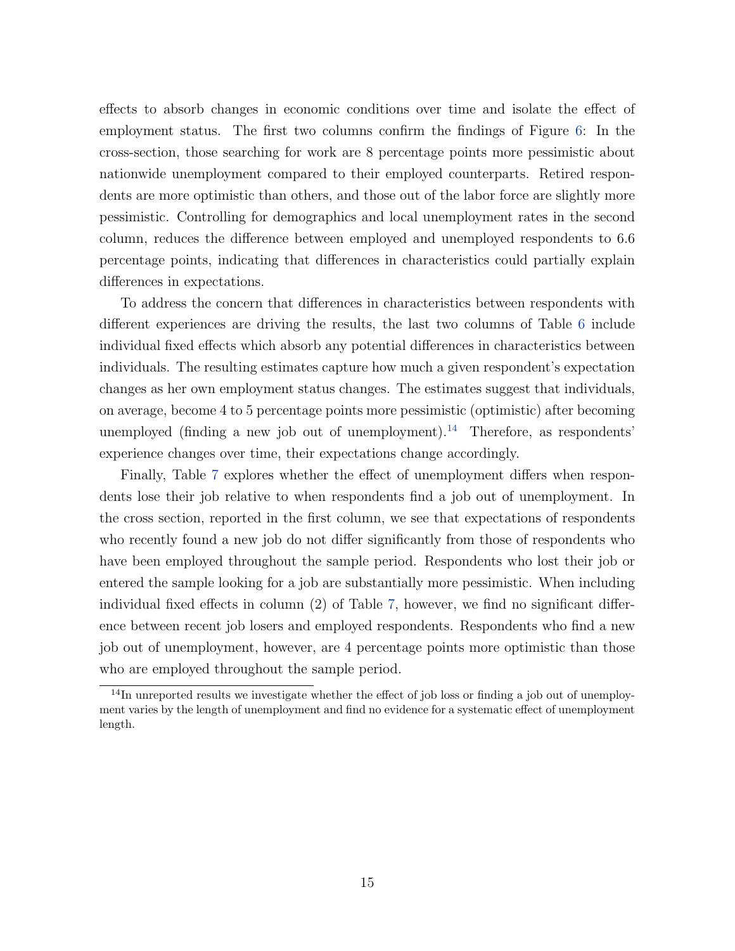effects to absorb changes in economic conditions over time and isolate the effect of employment status. The first two columns confirm the findings of Figure [6:](#page-36-0) In the cross-section, those searching for work are 8 percentage points more pessimistic about nationwide unemployment compared to their employed counterparts. Retired respondents are more optimistic than others, and those out of the labor force are slightly more pessimistic. Controlling for demographics and local unemployment rates in the second column, reduces the difference between employed and unemployed respondents to 6.6 percentage points, indicating that differences in characteristics could partially explain differences in expectations.

To address the concern that differences in characteristics between respondents with different experiences are driving the results, the last two columns of Table [6](#page-42-0) include individual fixed effects which absorb any potential differences in characteristics between individuals. The resulting estimates capture how much a given respondent's expectation changes as her own employment status changes. The estimates suggest that individuals, on average, become 4 to 5 percentage points more pessimistic (optimistic) after becoming unemployed (finding a new job out of unemployment).<sup>[14](#page-17-0)</sup> Therefore, as respondents' experience changes over time, their expectations change accordingly.

Finally, Table [7](#page-43-0) explores whether the effect of unemployment differs when respondents lose their job relative to when respondents find a job out of unemployment. In the cross section, reported in the first column, we see that expectations of respondents who recently found a new job do not differ significantly from those of respondents who have been employed throughout the sample period. Respondents who lost their job or entered the sample looking for a job are substantially more pessimistic. When including individual fixed effects in column (2) of Table [7,](#page-43-0) however, we find no significant difference between recent job losers and employed respondents. Respondents who find a new job out of unemployment, however, are 4 percentage points more optimistic than those who are employed throughout the sample period.

<span id="page-17-0"></span> $14$ In unreported results we investigate whether the effect of job loss or finding a job out of unemployment varies by the length of unemployment and find no evidence for a systematic effect of unemployment length.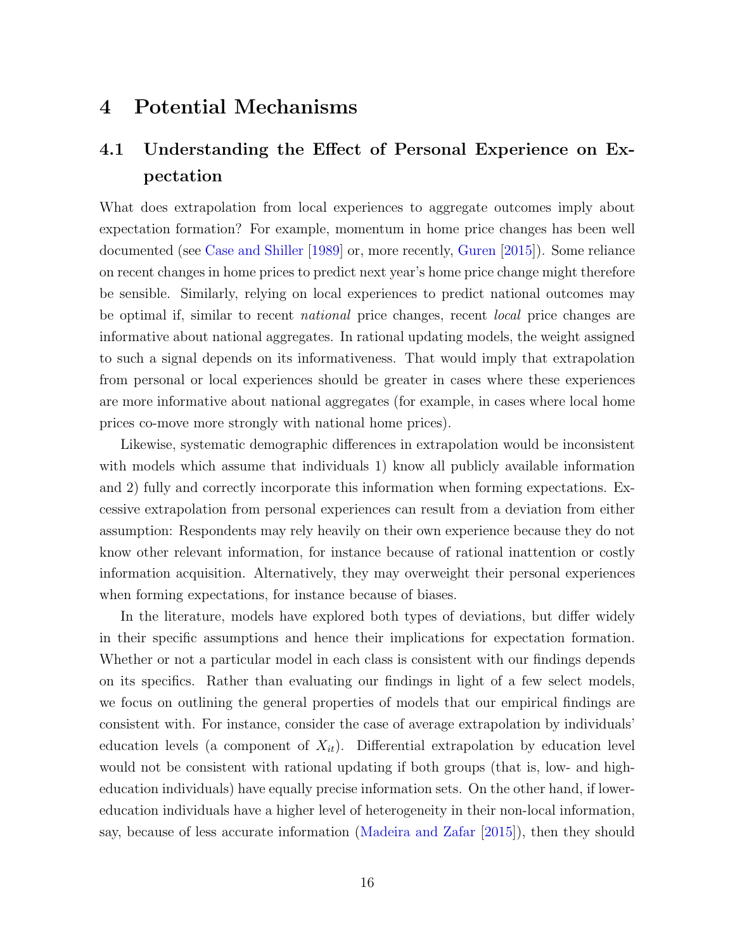### 4 Potential Mechanisms

# 4.1 Understanding the Effect of Personal Experience on Expectation

What does extrapolation from local experiences to aggregate outcomes imply about expectation formation? For example, momentum in home price changes has been well documented (see [Case and Shiller](#page-28-3) [\[1989\]](#page-28-3) or, more recently, [Guren](#page-29-2) [\[2015\]](#page-29-2)). Some reliance on recent changes in home prices to predict next year's home price change might therefore be sensible. Similarly, relying on local experiences to predict national outcomes may be optimal if, similar to recent national price changes, recent local price changes are informative about national aggregates. In rational updating models, the weight assigned to such a signal depends on its informativeness. That would imply that extrapolation from personal or local experiences should be greater in cases where these experiences are more informative about national aggregates (for example, in cases where local home prices co-move more strongly with national home prices).

Likewise, systematic demographic differences in extrapolation would be inconsistent with models which assume that individuals 1) know all publicly available information and 2) fully and correctly incorporate this information when forming expectations. Excessive extrapolation from personal experiences can result from a deviation from either assumption: Respondents may rely heavily on their own experience because they do not know other relevant information, for instance because of rational inattention or costly information acquisition. Alternatively, they may overweight their personal experiences when forming expectations, for instance because of biases.

In the literature, models have explored both types of deviations, but differ widely in their specific assumptions and hence their implications for expectation formation. Whether or not a particular model in each class is consistent with our findings depends on its specifics. Rather than evaluating our findings in light of a few select models, we focus on outlining the general properties of models that our empirical findings are consistent with. For instance, consider the case of average extrapolation by individuals' education levels (a component of  $X_{it}$ ). Differential extrapolation by education level would not be consistent with rational updating if both groups (that is, low- and higheducation individuals) have equally precise information sets. On the other hand, if lowereducation individuals have a higher level of heterogeneity in their non-local information, say, because of less accurate information [\(Madeira and Zafar](#page-29-4) [\[2015\]](#page-29-4)), then they should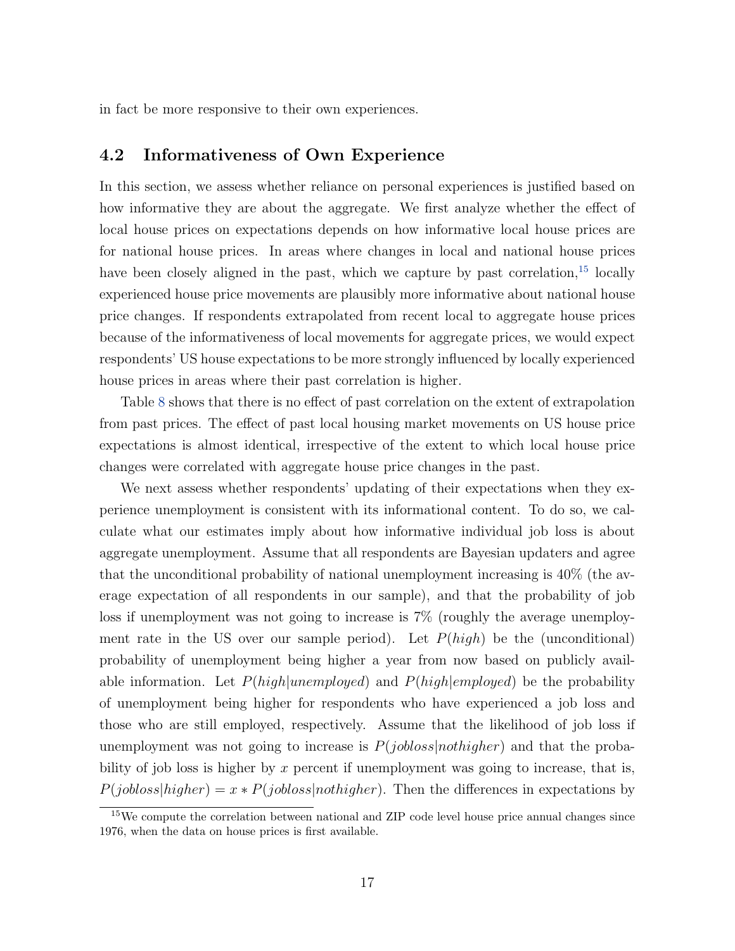in fact be more responsive to their own experiences.

### 4.2 Informativeness of Own Experience

In this section, we assess whether reliance on personal experiences is justified based on how informative they are about the aggregate. We first analyze whether the effect of local house prices on expectations depends on how informative local house prices are for national house prices. In areas where changes in local and national house prices have been closely aligned in the past, which we capture by past correlation,<sup>[15](#page-19-0)</sup> locally experienced house price movements are plausibly more informative about national house price changes. If respondents extrapolated from recent local to aggregate house prices because of the informativeness of local movements for aggregate prices, we would expect respondents' US house expectations to be more strongly influenced by locally experienced house prices in areas where their past correlation is higher.

Table [8](#page-44-0) shows that there is no effect of past correlation on the extent of extrapolation from past prices. The effect of past local housing market movements on US house price expectations is almost identical, irrespective of the extent to which local house price changes were correlated with aggregate house price changes in the past.

We next assess whether respondents' updating of their expectations when they experience unemployment is consistent with its informational content. To do so, we calculate what our estimates imply about how informative individual job loss is about aggregate unemployment. Assume that all respondents are Bayesian updaters and agree that the unconditional probability of national unemployment increasing is 40% (the average expectation of all respondents in our sample), and that the probability of job loss if unemployment was not going to increase is 7% (roughly the average unemployment rate in the US over our sample period). Let  $P(high)$  be the (unconditional) probability of unemployment being higher a year from now based on publicly available information. Let  $P(high|unemployed)$  and  $P(high|employed)$  be the probability of unemployment being higher for respondents who have experienced a job loss and those who are still employed, respectively. Assume that the likelihood of job loss if unemployment was not going to increase is  $P(jobloss|nothing)$  and that the probability of job loss is higher by  $x$  percent if unemployment was going to increase, that is,  $P(jobloss|higher) = x * P(jobloss|nothinger)$ . Then the differences in expectations by

<span id="page-19-0"></span><sup>&</sup>lt;sup>15</sup>We compute the correlation between national and ZIP code level house price annual changes since 1976, when the data on house prices is first available.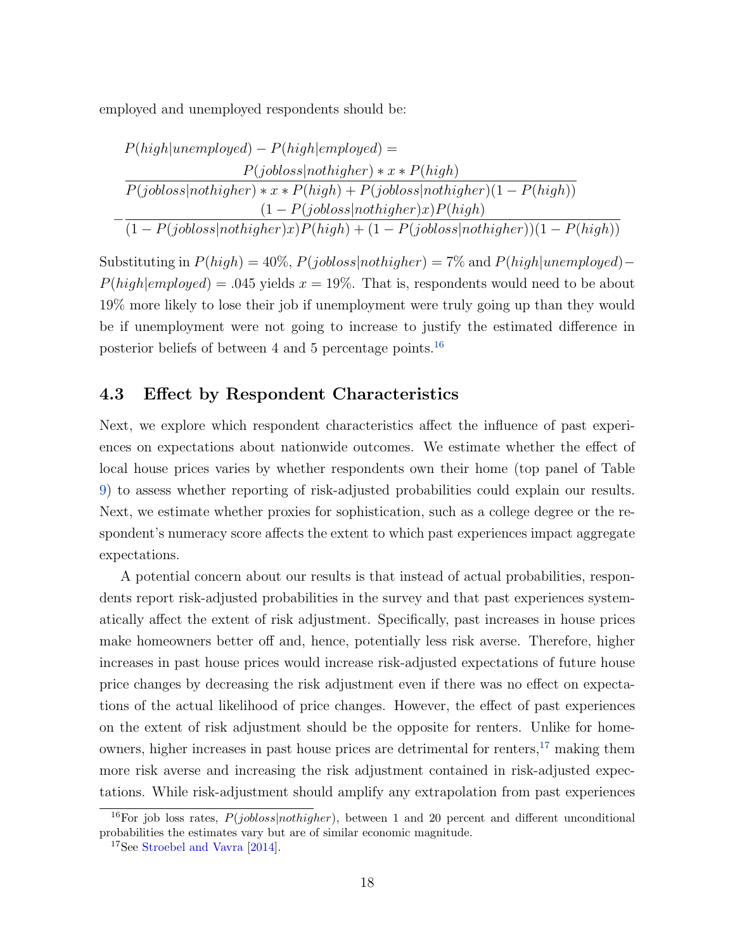employed and unemployed respondents should be:

$$
P(high|unemployed) - P(high|employed) =
$$
\n
$$
P(jobloss|nothinger) * x * P(high)
$$
\n
$$
\overline{P(jobloss|nothinger) * x * P(high) + P(jobloss|nothinger)(1 - P(high))}
$$
\n
$$
-\frac{(1 - P(jobloss|nothinger)x)P(high)}{(1 - P(jobloss|nothinger)x)P(high) + (1 - P(jobloss|nothinger))(1 - P(high))}
$$

Substituting in  $P(high) = 40\%, P(jobloss|nothing) = 7\%$  and  $P(high|unemployed) P(high|employed) = .045 yields x = 19\%$ . That is, respondents would need to be about 19% more likely to lose their job if unemployment were truly going up than they would be if unemployment were not going to increase to justify the estimated difference in posterior beliefs of between 4 and 5 percentage points.[16](#page-20-0)

### 4.3 Effect by Respondent Characteristics

Next, we explore which respondent characteristics affect the influence of past experiences on expectations about nationwide outcomes. We estimate whether the effect of local house prices varies by whether respondents own their home (top panel of Table [9\)](#page-45-0) to assess whether reporting of risk-adjusted probabilities could explain our results. Next, we estimate whether proxies for sophistication, such as a college degree or the respondent's numeracy score affects the extent to which past experiences impact aggregate expectations.

A potential concern about our results is that instead of actual probabilities, respondents report risk-adjusted probabilities in the survey and that past experiences systematically affect the extent of risk adjustment. Specifically, past increases in house prices make homeowners better off and, hence, potentially less risk averse. Therefore, higher increases in past house prices would increase risk-adjusted expectations of future house price changes by decreasing the risk adjustment even if there was no effect on expectations of the actual likelihood of price changes. However, the effect of past experiences on the extent of risk adjustment should be the opposite for renters. Unlike for homeowners, higher increases in past house prices are detrimental for renters, $17$  making them more risk averse and increasing the risk adjustment contained in risk-adjusted expectations. While risk-adjustment should amplify any extrapolation from past experiences

<span id="page-20-0"></span><sup>&</sup>lt;sup>16</sup>For job loss rates,  $P(jobloss|nothing)$ , between 1 and 20 percent and different unconditional probabilities the estimates vary but are of similar economic magnitude.

<span id="page-20-1"></span><sup>&</sup>lt;sup>17</sup>See [Stroebel and Vavra](#page-30-7) [\[2014\]](#page-30-7).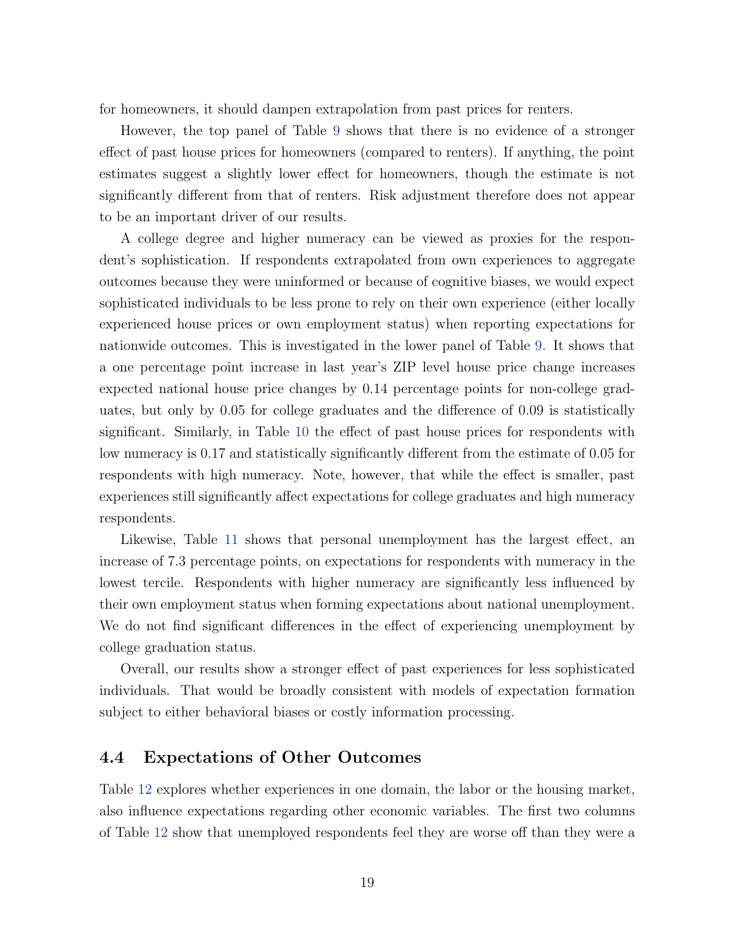for homeowners, it should dampen extrapolation from past prices for renters.

However, the top panel of Table [9](#page-45-0) shows that there is no evidence of a stronger effect of past house prices for homeowners (compared to renters). If anything, the point estimates suggest a slightly lower effect for homeowners, though the estimate is not significantly different from that of renters. Risk adjustment therefore does not appear to be an important driver of our results.

A college degree and higher numeracy can be viewed as proxies for the respondent's sophistication. If respondents extrapolated from own experiences to aggregate outcomes because they were uninformed or because of cognitive biases, we would expect sophisticated individuals to be less prone to rely on their own experience (either locally experienced house prices or own employment status) when reporting expectations for nationwide outcomes. This is investigated in the lower panel of Table [9.](#page-45-0) It shows that a one percentage point increase in last year's ZIP level house price change increases expected national house price changes by 0.14 percentage points for non-college graduates, but only by 0.05 for college graduates and the difference of 0.09 is statistically significant. Similarly, in Table [10](#page-46-0) the effect of past house prices for respondents with low numeracy is 0.17 and statistically significantly different from the estimate of 0.05 for respondents with high numeracy. Note, however, that while the effect is smaller, past experiences still significantly affect expectations for college graduates and high numeracy respondents.

Likewise, Table [11](#page-47-0) shows that personal unemployment has the largest effect, an increase of 7.3 percentage points, on expectations for respondents with numeracy in the lowest tercile. Respondents with higher numeracy are significantly less influenced by their own employment status when forming expectations about national unemployment. We do not find significant differences in the effect of experiencing unemployment by college graduation status.

Overall, our results show a stronger effect of past experiences for less sophisticated individuals. That would be broadly consistent with models of expectation formation subject to either behavioral biases or costly information processing.

### 4.4 Expectations of Other Outcomes

Table [12](#page-48-0) explores whether experiences in one domain, the labor or the housing market, also influence expectations regarding other economic variables. The first two columns of Table [12](#page-48-0) show that unemployed respondents feel they are worse off than they were a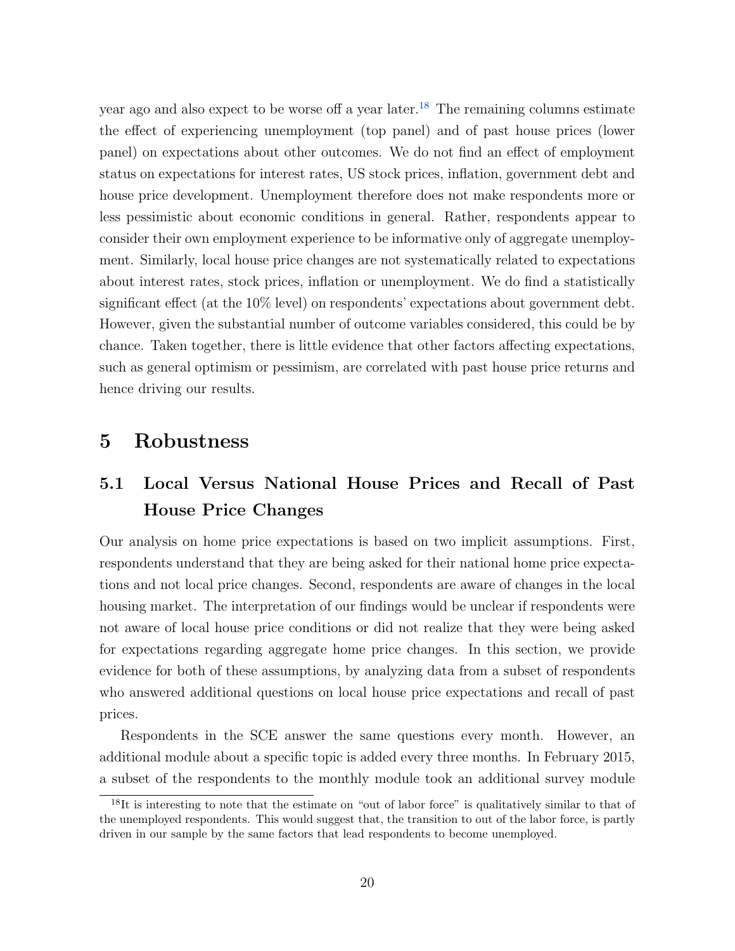year ago and also expect to be worse off a year later.<sup>[18](#page-22-0)</sup> The remaining columns estimate the effect of experiencing unemployment (top panel) and of past house prices (lower panel) on expectations about other outcomes. We do not find an effect of employment status on expectations for interest rates, US stock prices, inflation, government debt and house price development. Unemployment therefore does not make respondents more or less pessimistic about economic conditions in general. Rather, respondents appear to consider their own employment experience to be informative only of aggregate unemployment. Similarly, local house price changes are not systematically related to expectations about interest rates, stock prices, inflation or unemployment. We do find a statistically significant effect (at the 10% level) on respondents' expectations about government debt. However, given the substantial number of outcome variables considered, this could be by chance. Taken together, there is little evidence that other factors affecting expectations, such as general optimism or pessimism, are correlated with past house price returns and hence driving our results.

### 5 Robustness

# 5.1 Local Versus National House Prices and Recall of Past House Price Changes

Our analysis on home price expectations is based on two implicit assumptions. First, respondents understand that they are being asked for their national home price expectations and not local price changes. Second, respondents are aware of changes in the local housing market. The interpretation of our findings would be unclear if respondents were not aware of local house price conditions or did not realize that they were being asked for expectations regarding aggregate home price changes. In this section, we provide evidence for both of these assumptions, by analyzing data from a subset of respondents who answered additional questions on local house price expectations and recall of past prices.

Respondents in the SCE answer the same questions every month. However, an additional module about a specific topic is added every three months. In February 2015, a subset of the respondents to the monthly module took an additional survey module

<span id="page-22-0"></span><sup>&</sup>lt;sup>18</sup>It is interesting to note that the estimate on "out of labor force" is qualitatively similar to that of the unemployed respondents. This would suggest that, the transition to out of the labor force, is partly driven in our sample by the same factors that lead respondents to become unemployed.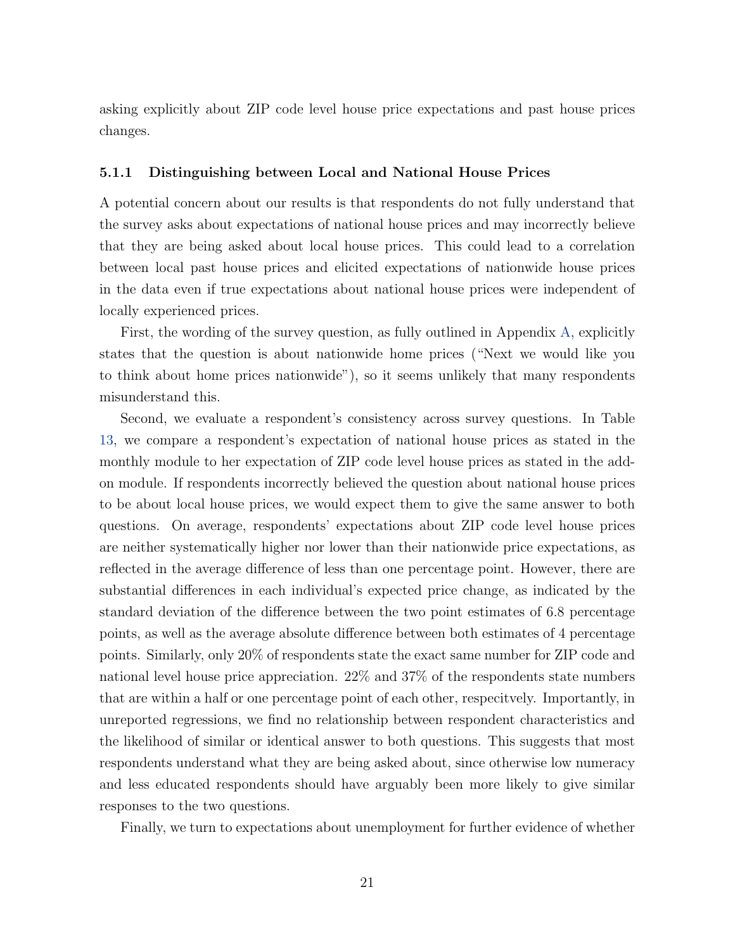asking explicitly about ZIP code level house price expectations and past house prices changes.

#### 5.1.1 Distinguishing between Local and National House Prices

A potential concern about our results is that respondents do not fully understand that the survey asks about expectations of national house prices and may incorrectly believe that they are being asked about local house prices. This could lead to a correlation between local past house prices and elicited expectations of nationwide house prices in the data even if true expectations about national house prices were independent of locally experienced prices.

First, the wording of the survey question, as fully outlined in Appendix [A,](#page-54-1) explicitly states that the question is about nationwide home prices ("Next we would like you to think about home prices nationwide"), so it seems unlikely that many respondents misunderstand this.

Second, we evaluate a respondent's consistency across survey questions. In Table [13,](#page-49-0) we compare a respondent's expectation of national house prices as stated in the monthly module to her expectation of ZIP code level house prices as stated in the addon module. If respondents incorrectly believed the question about national house prices to be about local house prices, we would expect them to give the same answer to both questions. On average, respondents' expectations about ZIP code level house prices are neither systematically higher nor lower than their nationwide price expectations, as reflected in the average difference of less than one percentage point. However, there are substantial differences in each individual's expected price change, as indicated by the standard deviation of the difference between the two point estimates of 6.8 percentage points, as well as the average absolute difference between both estimates of 4 percentage points. Similarly, only 20% of respondents state the exact same number for ZIP code and national level house price appreciation. 22% and 37% of the respondents state numbers that are within a half or one percentage point of each other, respecitvely. Importantly, in unreported regressions, we find no relationship between respondent characteristics and the likelihood of similar or identical answer to both questions. This suggests that most respondents understand what they are being asked about, since otherwise low numeracy and less educated respondents should have arguably been more likely to give similar responses to the two questions.

Finally, we turn to expectations about unemployment for further evidence of whether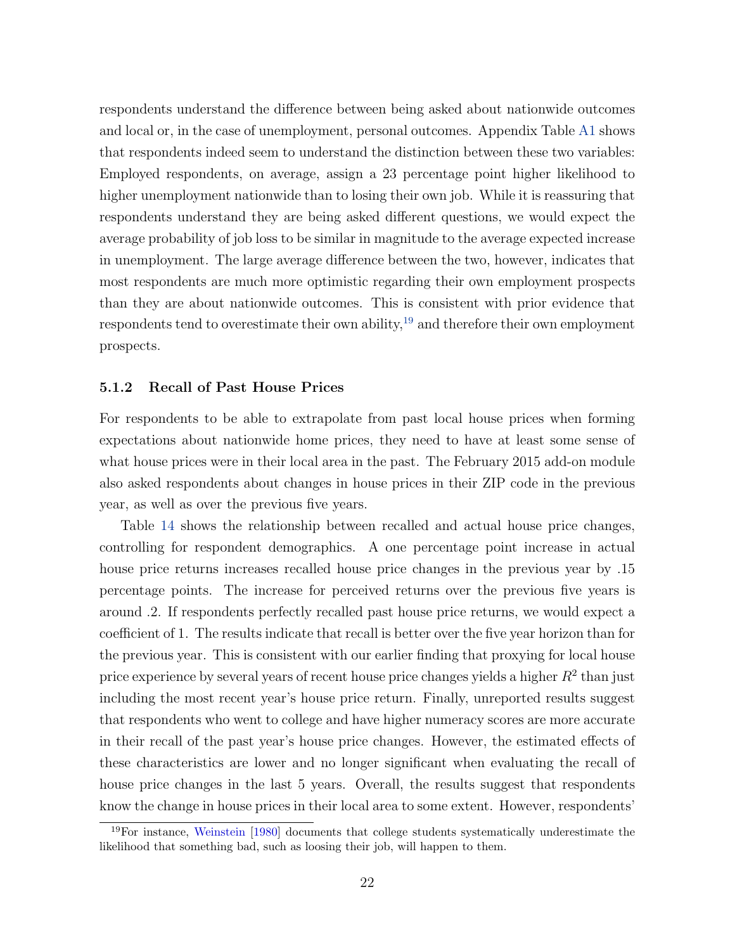respondents understand the difference between being asked about nationwide outcomes and local or, in the case of unemployment, personal outcomes. Appendix Table [A1](#page-57-0) shows that respondents indeed seem to understand the distinction between these two variables: Employed respondents, on average, assign a 23 percentage point higher likelihood to higher unemployment nationwide than to losing their own job. While it is reassuring that respondents understand they are being asked different questions, we would expect the average probability of job loss to be similar in magnitude to the average expected increase in unemployment. The large average difference between the two, however, indicates that most respondents are much more optimistic regarding their own employment prospects than they are about nationwide outcomes. This is consistent with prior evidence that respondents tend to overestimate their own ability,<sup>[19](#page-24-0)</sup> and therefore their own employment prospects.

#### 5.1.2 Recall of Past House Prices

For respondents to be able to extrapolate from past local house prices when forming expectations about nationwide home prices, they need to have at least some sense of what house prices were in their local area in the past. The February 2015 add-on module also asked respondents about changes in house prices in their ZIP code in the previous year, as well as over the previous five years.

Table [14](#page-50-0) shows the relationship between recalled and actual house price changes, controlling for respondent demographics. A one percentage point increase in actual house price returns increases recalled house price changes in the previous year by .15 percentage points. The increase for perceived returns over the previous five years is around .2. If respondents perfectly recalled past house price returns, we would expect a coefficient of 1. The results indicate that recall is better over the five year horizon than for the previous year. This is consistent with our earlier finding that proxying for local house price experience by several years of recent house price changes yields a higher  $R^2$  than just including the most recent year's house price return. Finally, unreported results suggest that respondents who went to college and have higher numeracy scores are more accurate in their recall of the past year's house price changes. However, the estimated effects of these characteristics are lower and no longer significant when evaluating the recall of house price changes in the last 5 years. Overall, the results suggest that respondents know the change in house prices in their local area to some extent. However, respondents'

<span id="page-24-0"></span><sup>19</sup>For instance, [Weinstein](#page-30-8) [\[1980\]](#page-30-8) documents that college students systematically underestimate the likelihood that something bad, such as loosing their job, will happen to them.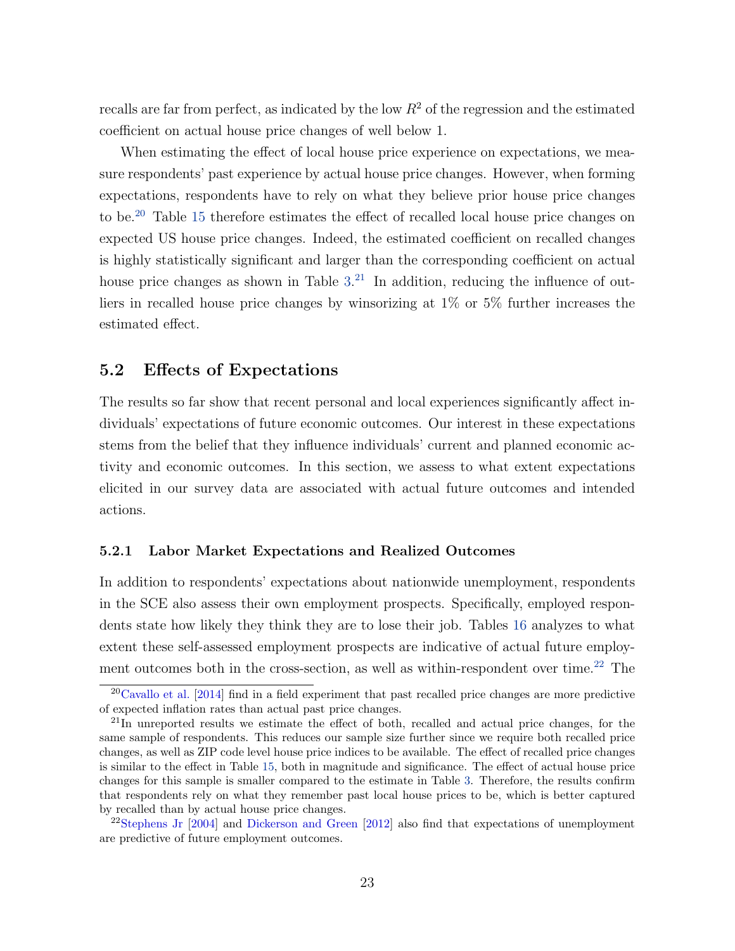recalls are far from perfect, as indicated by the low  $R^2$  of the regression and the estimated coefficient on actual house price changes of well below 1.

When estimating the effect of local house price experience on expectations, we measure respondents' past experience by actual house price changes. However, when forming expectations, respondents have to rely on what they believe prior house price changes to be.[20](#page-25-0) Table [15](#page-51-0) therefore estimates the effect of recalled local house price changes on expected US house price changes. Indeed, the estimated coefficient on recalled changes is highly statistically significant and larger than the corresponding coefficient on actual house price changes as shown in Table  $3<sup>21</sup>$  $3<sup>21</sup>$  $3<sup>21</sup>$  In addition, reducing the influence of outliers in recalled house price changes by winsorizing at 1% or 5% further increases the estimated effect.

### 5.2 Effects of Expectations

The results so far show that recent personal and local experiences significantly affect individuals' expectations of future economic outcomes. Our interest in these expectations stems from the belief that they influence individuals' current and planned economic activity and economic outcomes. In this section, we assess to what extent expectations elicited in our survey data are associated with actual future outcomes and intended actions.

#### 5.2.1 Labor Market Expectations and Realized Outcomes

In addition to respondents' expectations about nationwide unemployment, respondents in the SCE also assess their own employment prospects. Specifically, employed respondents state how likely they think they are to lose their job. Tables [16](#page-52-0) analyzes to what extent these self-assessed employment prospects are indicative of actual future employ-ment outcomes both in the cross-section, as well as within-respondent over time.<sup>[22](#page-25-2)</sup> The

<span id="page-25-0"></span> $20$ [Cavallo et al.](#page-28-9) [\[2014\]](#page-28-9) find in a field experiment that past recalled price changes are more predictive of expected inflation rates than actual past price changes.

<span id="page-25-1"></span><sup>&</sup>lt;sup>21</sup>In unreported results we estimate the effect of both, recalled and actual price changes, for the same sample of respondents. This reduces our sample size further since we require both recalled price changes, as well as ZIP code level house price indices to be available. The effect of recalled price changes is similar to the effect in Table [15,](#page-51-0) both in magnitude and significance. The effect of actual house price changes for this sample is smaller compared to the estimate in Table [3.](#page-39-0) Therefore, the results confirm that respondents rely on what they remember past local house prices to be, which is better captured by recalled than by actual house price changes.

<span id="page-25-2"></span><sup>22</sup>[Stephens Jr](#page-30-9) [\[2004\]](#page-30-9) and [Dickerson and Green](#page-28-10) [\[2012\]](#page-28-10) also find that expectations of unemployment are predictive of future employment outcomes.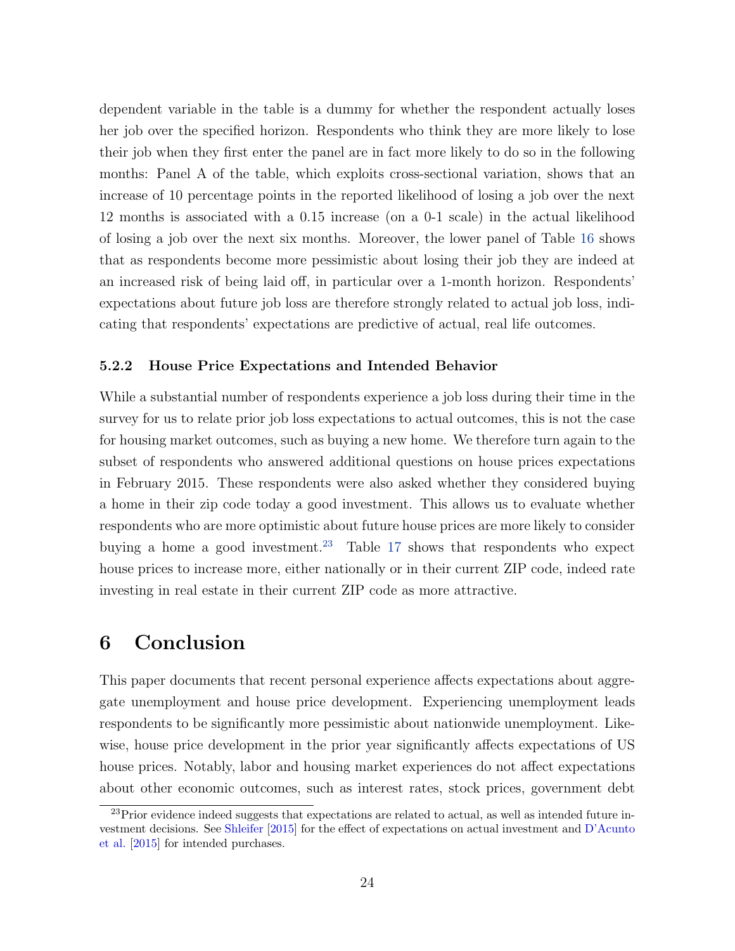dependent variable in the table is a dummy for whether the respondent actually loses her job over the specified horizon. Respondents who think they are more likely to lose their job when they first enter the panel are in fact more likely to do so in the following months: Panel A of the table, which exploits cross-sectional variation, shows that an increase of 10 percentage points in the reported likelihood of losing a job over the next 12 months is associated with a 0.15 increase (on a 0-1 scale) in the actual likelihood of losing a job over the next six months. Moreover, the lower panel of Table [16](#page-52-0) shows that as respondents become more pessimistic about losing their job they are indeed at an increased risk of being laid off, in particular over a 1-month horizon. Respondents' expectations about future job loss are therefore strongly related to actual job loss, indicating that respondents' expectations are predictive of actual, real life outcomes.

#### 5.2.2 House Price Expectations and Intended Behavior

While a substantial number of respondents experience a job loss during their time in the survey for us to relate prior job loss expectations to actual outcomes, this is not the case for housing market outcomes, such as buying a new home. We therefore turn again to the subset of respondents who answered additional questions on house prices expectations in February 2015. These respondents were also asked whether they considered buying a home in their zip code today a good investment. This allows us to evaluate whether respondents who are more optimistic about future house prices are more likely to consider buying a home a good investment.<sup>[23](#page-26-0)</sup> Table [17](#page-53-0) shows that respondents who expect house prices to increase more, either nationally or in their current ZIP code, indeed rate investing in real estate in their current ZIP code as more attractive.

### 6 Conclusion

This paper documents that recent personal experience affects expectations about aggregate unemployment and house price development. Experiencing unemployment leads respondents to be significantly more pessimistic about nationwide unemployment. Likewise, house price development in the prior year significantly affects expectations of US house prices. Notably, labor and housing market experiences do not affect expectations about other economic outcomes, such as interest rates, stock prices, government debt

<span id="page-26-0"></span> $^{23}$ Prior evidence indeed suggests that expectations are related to actual, as well as intended future investment decisions. See [Shleifer](#page-30-10) [\[2015\]](#page-30-10) for the effect of expectations on actual investment and [D'Acunto](#page-28-11) [et al.](#page-28-11) [\[2015\]](#page-28-11) for intended purchases.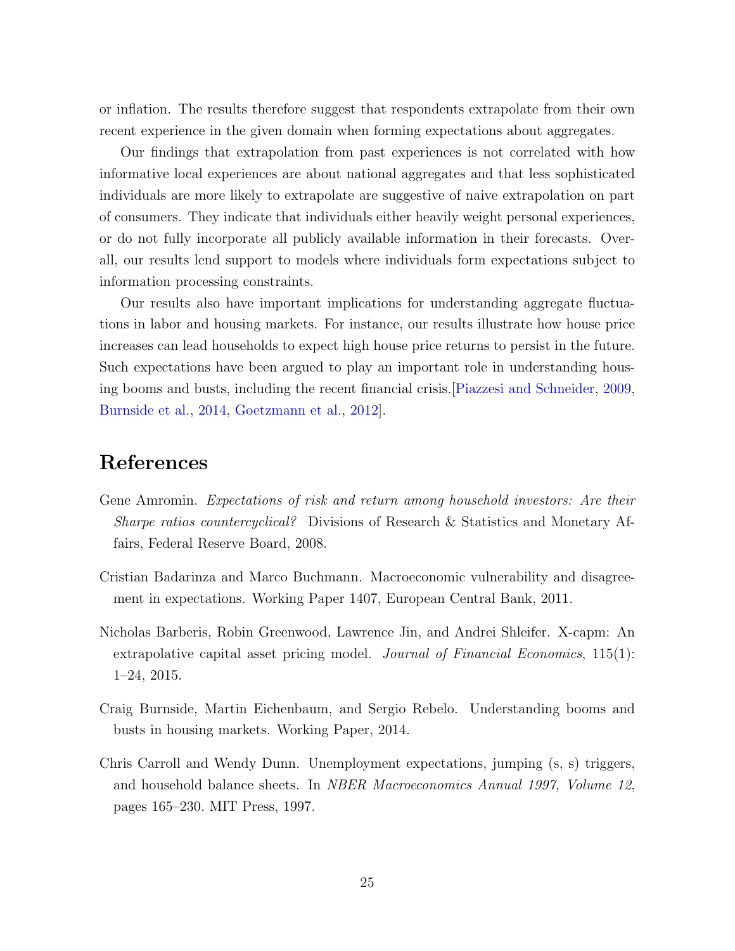or inflation. The results therefore suggest that respondents extrapolate from their own recent experience in the given domain when forming expectations about aggregates.

Our findings that extrapolation from past experiences is not correlated with how informative local experiences are about national aggregates and that less sophisticated individuals are more likely to extrapolate are suggestive of naive extrapolation on part of consumers. They indicate that individuals either heavily weight personal experiences, or do not fully incorporate all publicly available information in their forecasts. Overall, our results lend support to models where individuals form expectations subject to information processing constraints.

Our results also have important implications for understanding aggregate fluctuations in labor and housing markets. For instance, our results illustrate how house price increases can lead households to expect high house price returns to persist in the future. Such expectations have been argued to play an important role in understanding housing booms and busts, including the recent financial crisis.[\[Piazzesi and Schneider,](#page-30-0) [2009,](#page-30-0) [Burnside et al.,](#page-27-1) [2014,](#page-27-1) [Goetzmann et al.,](#page-28-0) [2012\]](#page-28-0).

## References

- <span id="page-27-4"></span>Gene Amromin. Expectations of risk and return among household investors: Are their Sharpe ratios countercyclical? Divisions of Research & Statistics and Monetary Affairs, Federal Reserve Board, 2008.
- <span id="page-27-3"></span>Cristian Badarinza and Marco Buchmann. Macroeconomic vulnerability and disagreement in expectations. Working Paper 1407, European Central Bank, 2011.
- <span id="page-27-0"></span>Nicholas Barberis, Robin Greenwood, Lawrence Jin, and Andrei Shleifer. X-capm: An extrapolative capital asset pricing model. *Journal of Financial Economics*,  $115(1)$ : 1–24, 2015.
- <span id="page-27-1"></span>Craig Burnside, Martin Eichenbaum, and Sergio Rebelo. Understanding booms and busts in housing markets. Working Paper, 2014.
- <span id="page-27-2"></span>Chris Carroll and Wendy Dunn. Unemployment expectations, jumping (s, s) triggers, and household balance sheets. In NBER Macroeconomics Annual 1997, Volume 12, pages 165–230. MIT Press, 1997.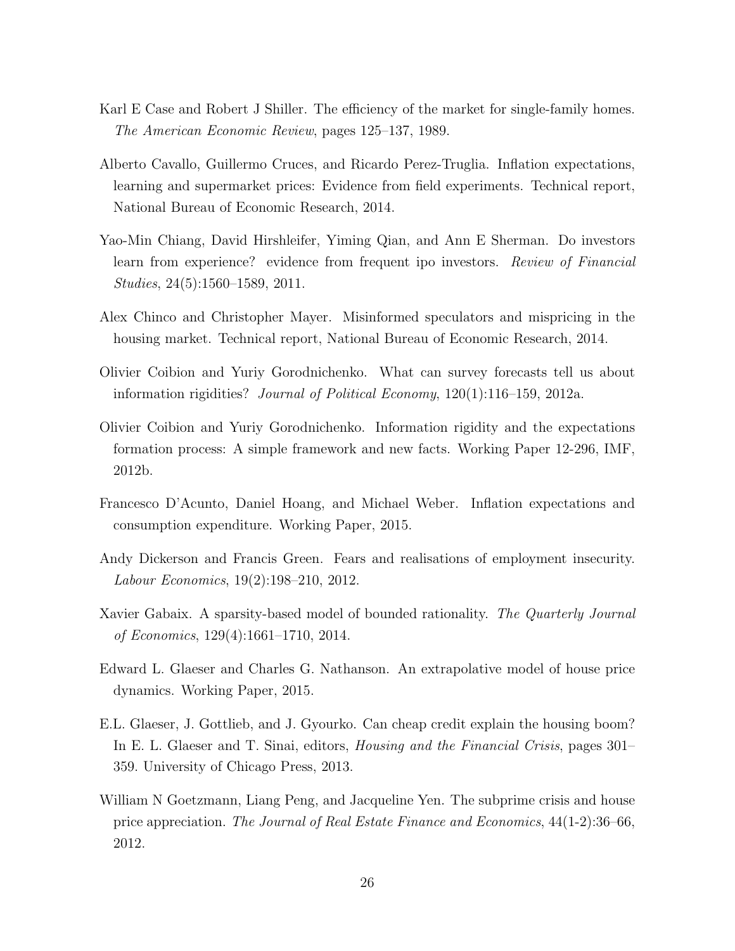- <span id="page-28-3"></span>Karl E Case and Robert J Shiller. The efficiency of the market for single-family homes. The American Economic Review, pages 125–137, 1989.
- <span id="page-28-9"></span>Alberto Cavallo, Guillermo Cruces, and Ricardo Perez-Truglia. Inflation expectations, learning and supermarket prices: Evidence from field experiments. Technical report, National Bureau of Economic Research, 2014.
- <span id="page-28-8"></span>Yao-Min Chiang, David Hirshleifer, Yiming Qian, and Ann E Sherman. Do investors learn from experience? evidence from frequent ipo investors. Review of Financial Studies, 24(5):1560–1589, 2011.
- <span id="page-28-7"></span>Alex Chinco and Christopher Mayer. Misinformed speculators and mispricing in the housing market. Technical report, National Bureau of Economic Research, 2014.
- <span id="page-28-4"></span>Olivier Coibion and Yuriy Gorodnichenko. What can survey forecasts tell us about information rigidities? Journal of Political Economy, 120(1):116–159, 2012a.
- <span id="page-28-5"></span>Olivier Coibion and Yuriy Gorodnichenko. Information rigidity and the expectations formation process: A simple framework and new facts. Working Paper 12-296, IMF, 2012b.
- <span id="page-28-11"></span>Francesco D'Acunto, Daniel Hoang, and Michael Weber. Inflation expectations and consumption expenditure. Working Paper, 2015.
- <span id="page-28-10"></span>Andy Dickerson and Francis Green. Fears and realisations of employment insecurity. Labour Economics, 19(2):198–210, 2012.
- <span id="page-28-6"></span>Xavier Gabaix. A sparsity-based model of bounded rationality. The Quarterly Journal of Economics, 129(4):1661–1710, 2014.
- <span id="page-28-2"></span>Edward L. Glaeser and Charles G. Nathanson. An extrapolative model of house price dynamics. Working Paper, 2015.
- <span id="page-28-1"></span>E.L. Glaeser, J. Gottlieb, and J. Gyourko. Can cheap credit explain the housing boom? In E. L. Glaeser and T. Sinai, editors, Housing and the Financial Crisis, pages 301– 359. University of Chicago Press, 2013.
- <span id="page-28-0"></span>William N Goetzmann, Liang Peng, and Jacqueline Yen. The subprime crisis and house price appreciation. The Journal of Real Estate Finance and Economics, 44(1-2):36–66, 2012.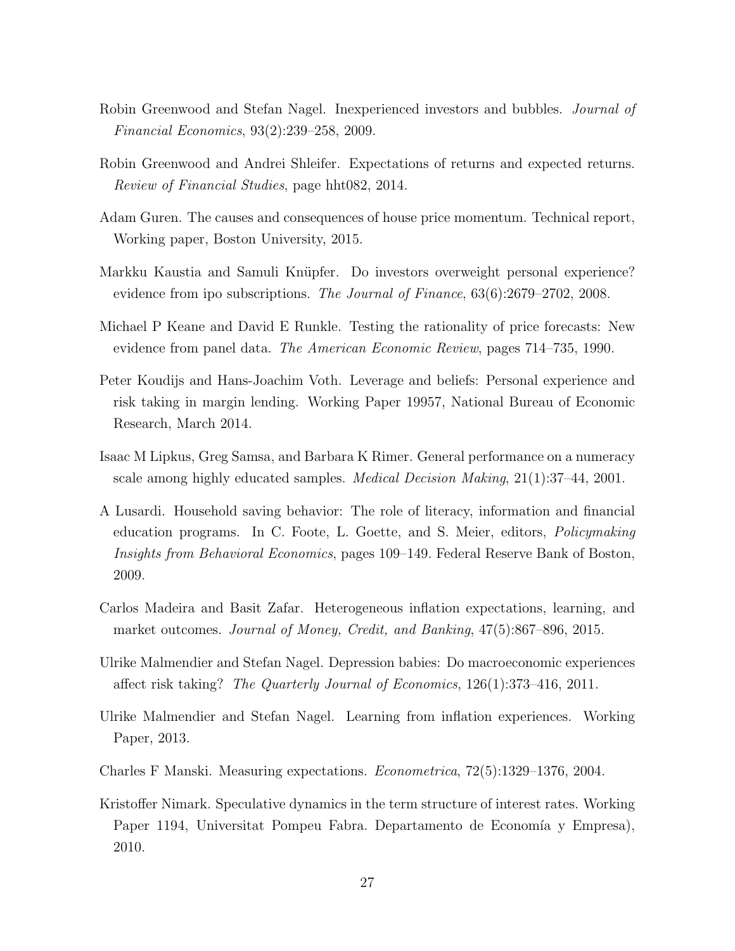- <span id="page-29-10"></span>Robin Greenwood and Stefan Nagel. Inexperienced investors and bubbles. Journal of Financial Economics, 93(2):239–258, 2009.
- <span id="page-29-6"></span>Robin Greenwood and Andrei Shleifer. Expectations of returns and expected returns. Review of Financial Studies, page hht082, 2014.
- <span id="page-29-2"></span>Adam Guren. The causes and consequences of house price momentum. Technical report, Working paper, Boston University, 2015.
- <span id="page-29-8"></span>Markku Kaustia and Samuli Knüpfer. Do investors overweight personal experience? evidence from ipo subscriptions. The Journal of Finance, 63(6):2679–2702, 2008.
- <span id="page-29-3"></span>Michael P Keane and David E Runkle. Testing the rationality of price forecasts: New evidence from panel data. The American Economic Review, pages 714–735, 1990.
- <span id="page-29-9"></span>Peter Koudijs and Hans-Joachim Voth. Leverage and beliefs: Personal experience and risk taking in margin lending. Working Paper 19957, National Bureau of Economic Research, March 2014.
- <span id="page-29-11"></span>Isaac M Lipkus, Greg Samsa, and Barbara K Rimer. General performance on a numeracy scale among highly educated samples. Medical Decision Making, 21(1):37–44, 2001.
- <span id="page-29-12"></span>A Lusardi. Household saving behavior: The role of literacy, information and financial education programs. In C. Foote, L. Goette, and S. Meier, editors, Policymaking Insights from Behavioral Economics, pages 109–149. Federal Reserve Bank of Boston, 2009.
- <span id="page-29-4"></span>Carlos Madeira and Basit Zafar. Heterogeneous inflation expectations, learning, and market outcomes. Journal of Money, Credit, and Banking, 47(5):867–896, 2015.
- <span id="page-29-7"></span>Ulrike Malmendier and Stefan Nagel. Depression babies: Do macroeconomic experiences affect risk taking? The Quarterly Journal of Economics, 126(1):373–416, 2011.
- <span id="page-29-1"></span>Ulrike Malmendier and Stefan Nagel. Learning from inflation experiences. Working Paper, 2013.
- <span id="page-29-0"></span>Charles F Manski. Measuring expectations. Econometrica, 72(5):1329–1376, 2004.
- <span id="page-29-5"></span>Kristoffer Nimark. Speculative dynamics in the term structure of interest rates. Working Paper 1194, Universitat Pompeu Fabra. Departamento de Economía y Empresa), 2010.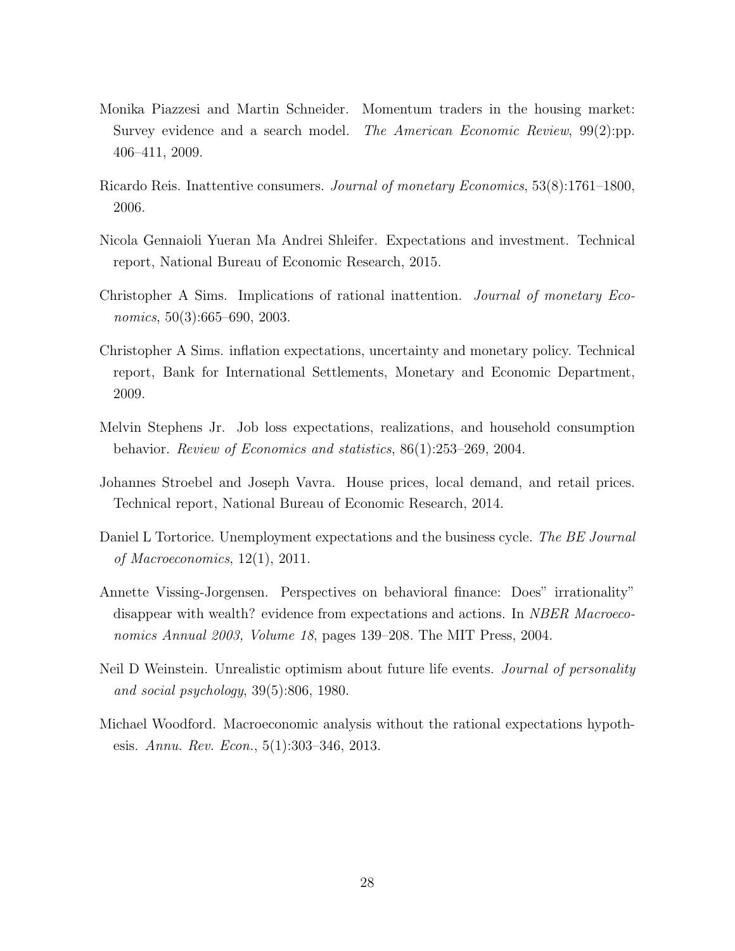- <span id="page-30-0"></span>Monika Piazzesi and Martin Schneider. Momentum traders in the housing market: Survey evidence and a search model. The American Economic Review, 99(2):pp. 406–411, 2009.
- <span id="page-30-3"></span>Ricardo Reis. Inattentive consumers. Journal of monetary Economics, 53(8):1761–1800, 2006.
- <span id="page-30-10"></span>Nicola Gennaioli Yueran Ma Andrei Shleifer. Expectations and investment. Technical report, National Bureau of Economic Research, 2015.
- <span id="page-30-2"></span>Christopher A Sims. Implications of rational inattention. Journal of monetary Economics, 50(3):665–690, 2003.
- <span id="page-30-4"></span>Christopher A Sims. inflation expectations, uncertainty and monetary policy. Technical report, Bank for International Settlements, Monetary and Economic Department, 2009.
- <span id="page-30-9"></span>Melvin Stephens Jr. Job loss expectations, realizations, and household consumption behavior. Review of Economics and statistics, 86(1):253–269, 2004.
- <span id="page-30-7"></span>Johannes Stroebel and Joseph Vavra. House prices, local demand, and retail prices. Technical report, National Bureau of Economic Research, 2014.
- <span id="page-30-1"></span>Daniel L Tortorice. Unemployment expectations and the business cycle. The BE Journal of Macroeconomics, 12(1), 2011.
- <span id="page-30-6"></span>Annette Vissing-Jorgensen. Perspectives on behavioral finance: Does" irrationality" disappear with wealth? evidence from expectations and actions. In NBER Macroeconomics Annual 2003, Volume 18, pages 139–208. The MIT Press, 2004.
- <span id="page-30-8"></span>Neil D Weinstein. Unrealistic optimism about future life events. Journal of personality and social psychology, 39(5):806, 1980.
- <span id="page-30-5"></span>Michael Woodford. Macroeconomic analysis without the rational expectations hypothesis. Annu. Rev. Econ., 5(1):303–346, 2013.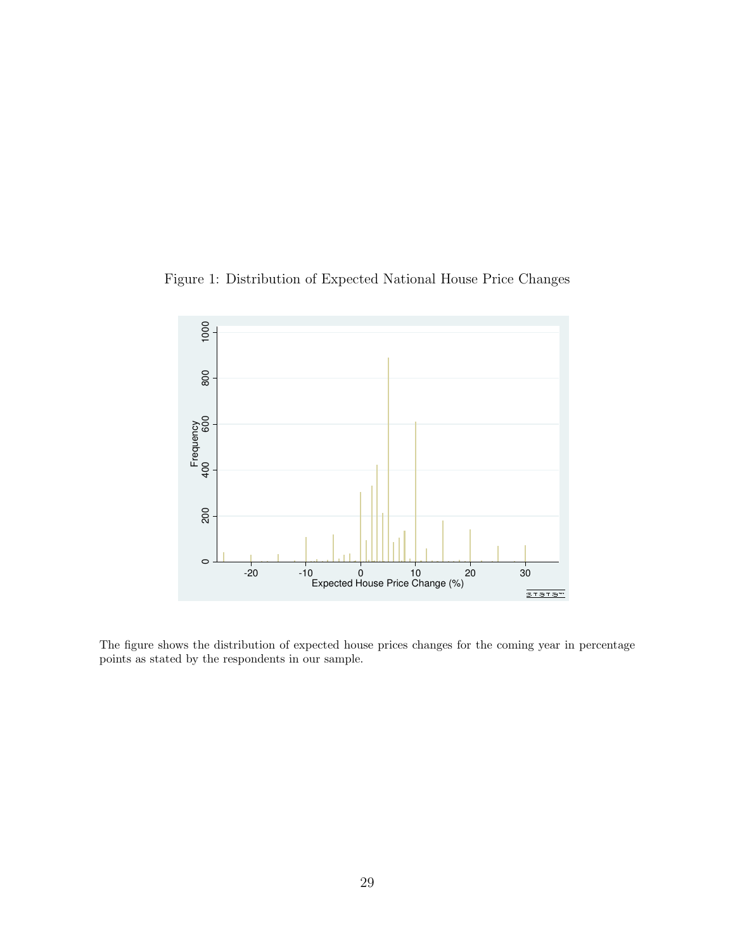<span id="page-31-0"></span>Figure 1: Distribution of Expected National House Price Changes



The figure shows the distribution of expected house prices changes for the coming year in percentage points as stated by the respondents in our sample.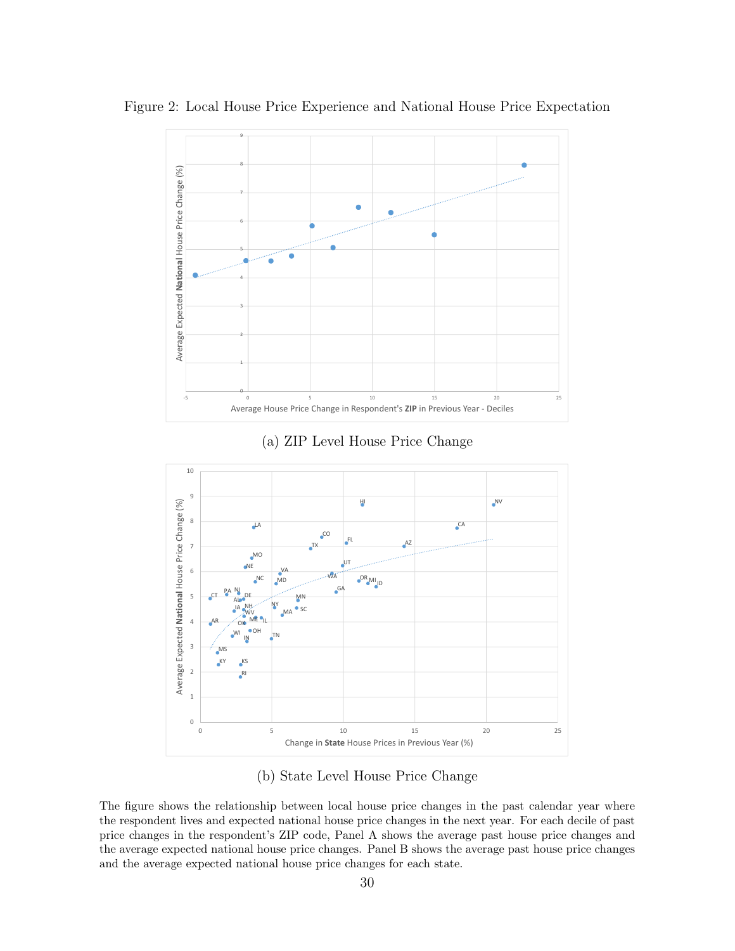

<span id="page-32-0"></span>Figure 2: Local House Price Experience and National House Price Expectation

(a) ZIP Level House Price Change



(b) State Level House Price Change

The figure shows the relationship between local house price changes in the past calendar year where the respondent lives and expected national house price changes in the next year. For each decile of past price changes in the respondent's ZIP code, Panel A shows the average past house price changes and the average expected national house price changes. Panel B shows the average past house price changes and the average expected national house price changes for each state.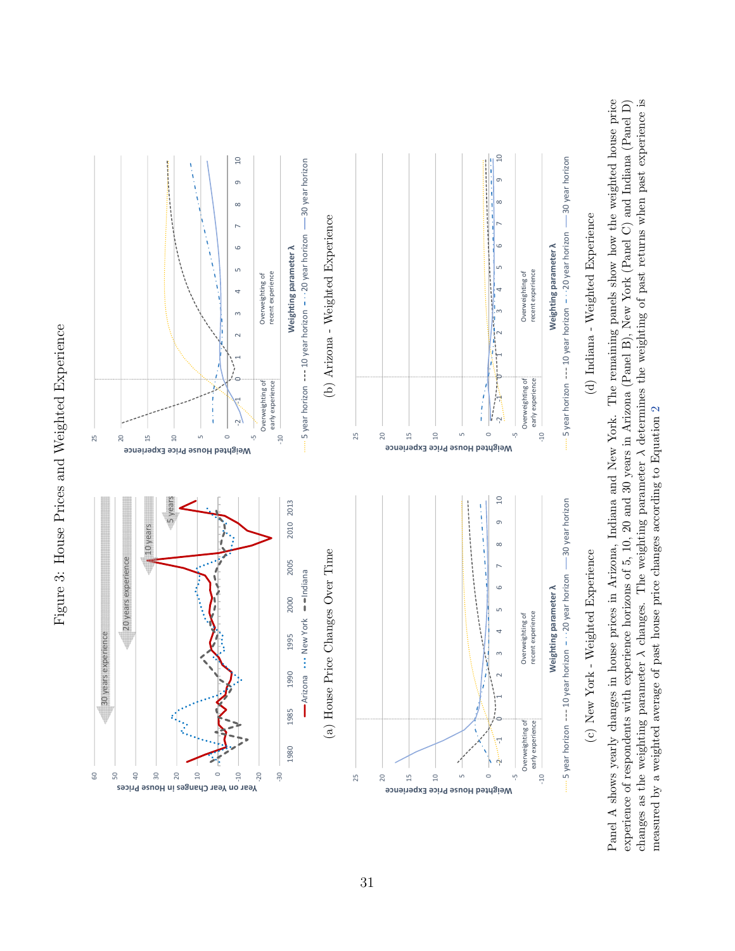

<span id="page-33-0"></span>

Panel A shows yearly changes in house prices in Arizona, Indiana and New York. The remaining panels show how the weighted house price changes as the weighting parameter  $\lambda$  changes. The weighting parameter  $\lambda$  determines the weighting of past returns when past experience is experience of respondents with experience horizons of 5, 10, 20 and 30 years in Arizona (Panel B), New York (Panel C) and Indiana (Panel D) changes as the weighting parameter λ changes. The weighting parameter λ determines the weighting of past returns when past experience is Panel A shows yearly changes in house prices in Arizona, Indiana and New York. The remaining panels show how the weighted house price experience of respondents with experience horizons of 5, 10, 20 and 30 years in Arizona (Panel B), New York (Panel C) and Indiana (Panel D) measured by a weighted average of past house price changes according to Equation 2 measured by a weighted average of past house price changes according to Equation [2](#page-13-1)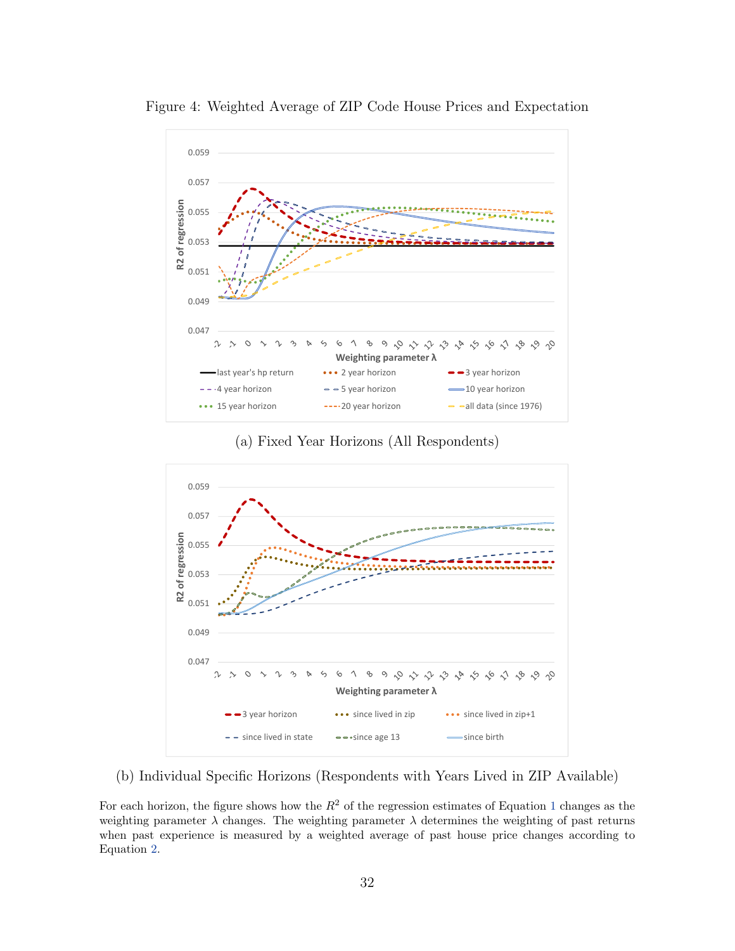

<span id="page-34-0"></span>Figure 4: Weighted Average of ZIP Code House Prices and Expectation

(a) Fixed Year Horizons (All Respondents)



(b) Individual Specific Horizons (Respondents with Years Lived in ZIP Available)

For each horizon, the figure shows how the  $R^2$  of the regression estimates of Equation [1](#page-10-1) changes as the weighting parameter  $\lambda$  changes. The weighting parameter  $\lambda$  determines the weighting of past returns when past experience is measured by a weighted average of past house price changes according to Equation [2.](#page-13-1)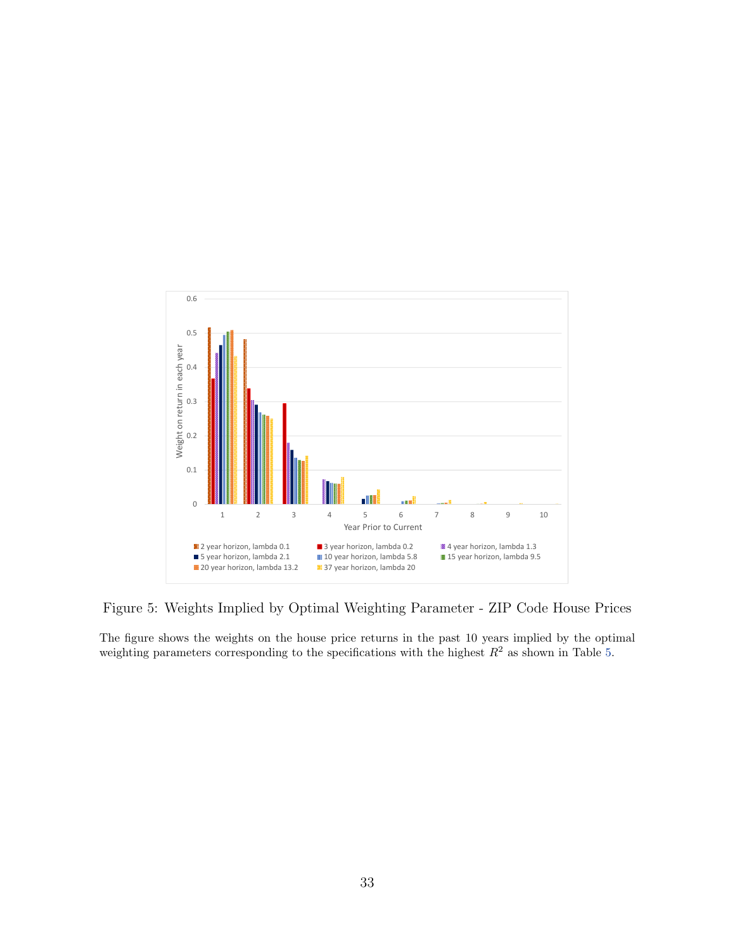<span id="page-35-0"></span>

Figure 5: Weights Implied by Optimal Weighting Parameter - ZIP Code House Prices

The figure shows the weights on the house price returns in the past 10 years implied by the optimal weighting parameters corresponding to the specifications with the highest  $R^2$  as shown in Table [5.](#page-41-0)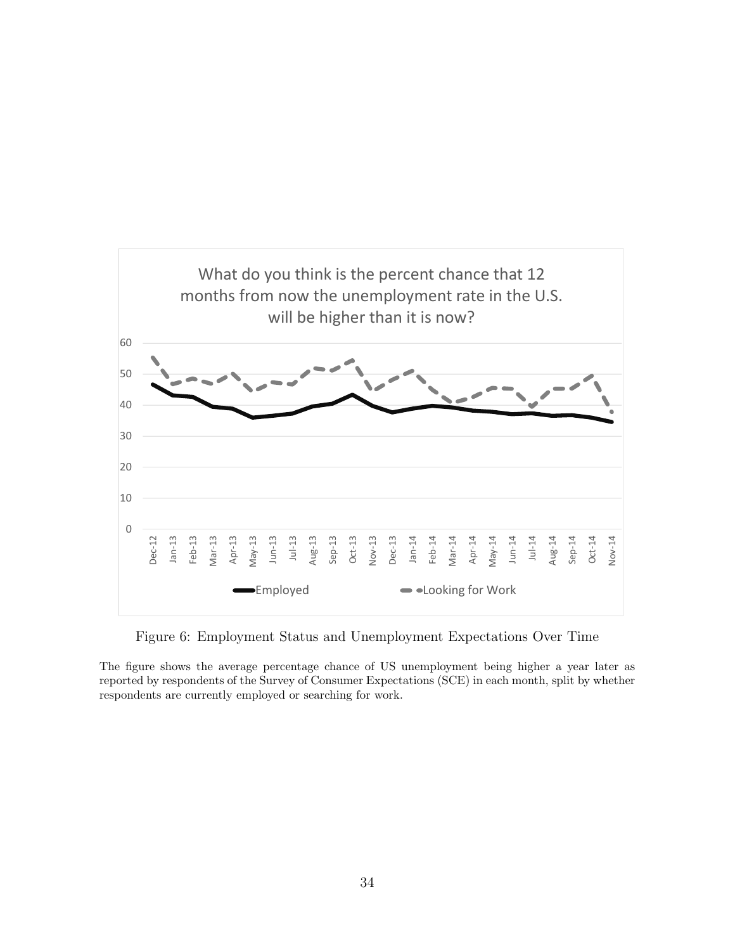<span id="page-36-0"></span>

Figure 6: Employment Status and Unemployment Expectations Over Time

The figure shows the average percentage chance of US unemployment being higher a year later as reported by respondents of the Survey of Consumer Expectations (SCE) in each month, split by whether respondents are currently employed or searching for work.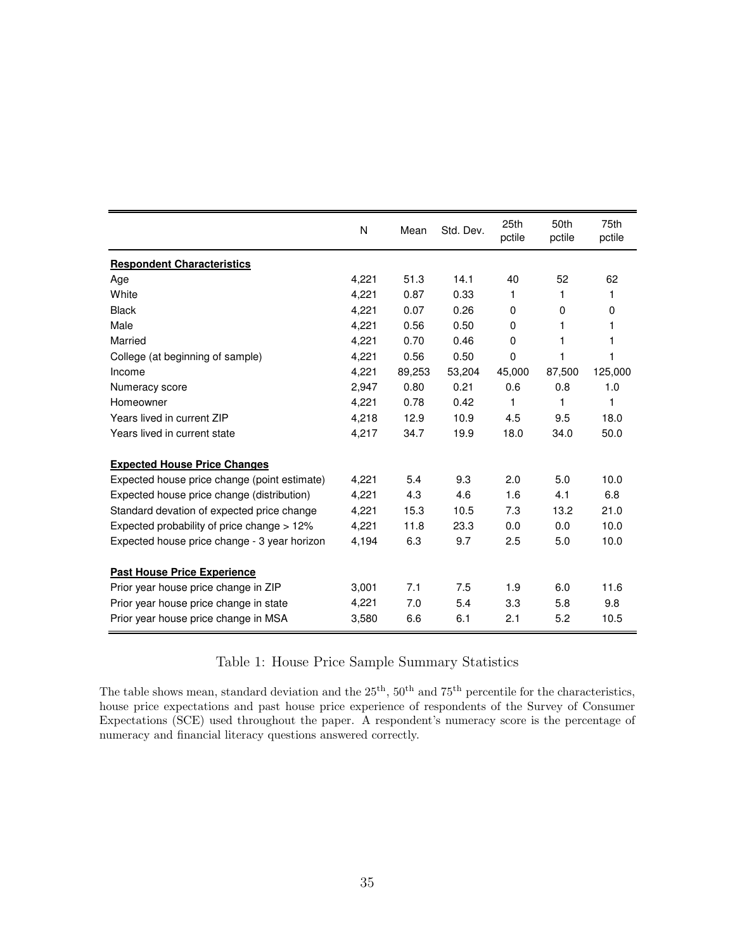<span id="page-37-0"></span>

|                                              | N     | Mean   | Std. Dev. | 25th<br>pctile | 50th<br>pctile | 75th<br>pctile |
|----------------------------------------------|-------|--------|-----------|----------------|----------------|----------------|
| <b>Respondent Characteristics</b>            |       |        |           |                |                |                |
| Age                                          | 4,221 | 51.3   | 14.1      | 40             | 52             | 62             |
| White                                        | 4,221 | 0.87   | 0.33      | 1              | 1              | 1              |
| <b>Black</b>                                 | 4,221 | 0.07   | 0.26      | 0              | 0              | 0              |
| Male                                         | 4,221 | 0.56   | 0.50      | 0              | 1              | 1              |
| Married                                      | 4,221 | 0.70   | 0.46      | 0              | 1              | 1              |
| College (at beginning of sample)             | 4,221 | 0.56   | 0.50      | 0              | 1              | 1              |
| Income                                       | 4,221 | 89,253 | 53,204    | 45,000         | 87,500         | 125,000        |
| Numeracy score                               | 2,947 | 0.80   | 0.21      | 0.6            | 0.8            | 1.0            |
| Homeowner                                    | 4,221 | 0.78   | 0.42      | 1              | 1              | 1              |
| Years lived in current ZIP                   | 4,218 | 12.9   | 10.9      | 4.5            | 9.5            | 18.0           |
| Years lived in current state                 | 4,217 | 34.7   | 19.9      | 18.0           | 34.0           | 50.0           |
| <b>Expected House Price Changes</b>          |       |        |           |                |                |                |
| Expected house price change (point estimate) | 4,221 | 5.4    | 9.3       | 2.0            | 5.0            | 10.0           |
| Expected house price change (distribution)   | 4,221 | 4.3    | 4.6       | 1.6            | 4.1            | 6.8            |
| Standard devation of expected price change   | 4,221 | 15.3   | 10.5      | 7.3            | 13.2           | 21.0           |
| Expected probability of price change > 12%   | 4,221 | 11.8   | 23.3      | 0.0            | 0.0            | 10.0           |
| Expected house price change - 3 year horizon | 4,194 | 6.3    | 9.7       | 2.5            | 5.0            | 10.0           |
| <b>Past House Price Experience</b>           |       |        |           |                |                |                |
| Prior year house price change in ZIP         | 3,001 | 7.1    | 7.5       | 1.9            | 6.0            | 11.6           |
| Prior year house price change in state       | 4,221 | 7.0    | 5.4       | 3.3            | 5.8            | 9.8            |
| Prior year house price change in MSA         | 3,580 | 6.6    | 6.1       | 2.1            | 5.2            | 10.5           |

### Table 1: House Price Sample Summary Statistics

The table shows mean, standard deviation and the  $25<sup>th</sup>$ ,  $50<sup>th</sup>$  and  $75<sup>th</sup>$  percentile for the characteristics, house price expectations and past house price experience of respondents of the Survey of Consumer Expectations (SCE) used throughout the paper. A respondent's numeracy score is the percentage of numeracy and financial literacy questions answered correctly.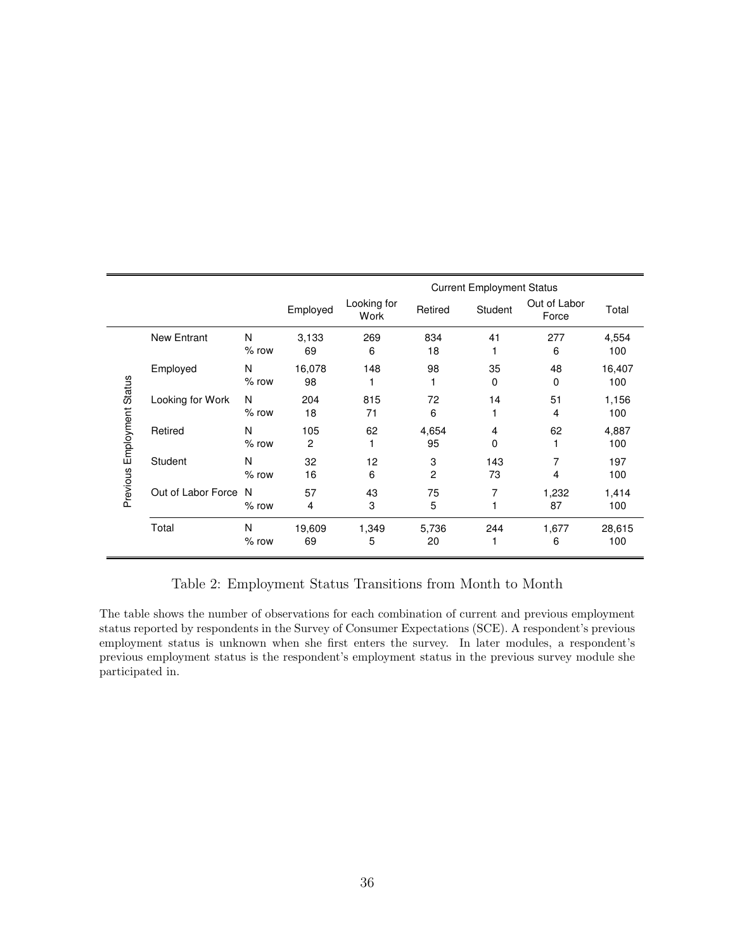<span id="page-38-0"></span>

|                            |                    |              |              |                     |             | <b>Current Employment Status</b> |                       |               |
|----------------------------|--------------------|--------------|--------------|---------------------|-------------|----------------------------------|-----------------------|---------------|
|                            |                    |              | Employed     | Looking for<br>Work | Retired     | Student                          | Out of Labor<br>Force | Total         |
|                            | <b>New Entrant</b> | N<br>$%$ row | 3,133<br>69  | 269<br>6            | 834<br>18   | 41                               | 277<br>6              | 4,554<br>100  |
|                            | Employed           | N<br>$%$ row | 16,078<br>98 | 148                 | 98          | 35<br>0                          | 48<br>0               | 16,407<br>100 |
| Previous Employment Status | Looking for Work   | N<br>$%$ row | 204<br>18    | 815<br>71           | 72<br>6     | 14                               | 51<br>4               | 1,156<br>100  |
|                            | Retired            | N<br>$%$ row | 105<br>2     | 62                  | 4,654<br>95 | 4<br>0                           | 62                    | 4,887<br>100  |
|                            | Student            | N<br>$%$ row | 32<br>16     | 12<br>6             | 3<br>2      | 143<br>73                        | 7<br>4                | 197<br>100    |
|                            | Out of Labor Force | N<br>$%$ row | 57<br>4      | 43<br>3             | 75<br>5     | 7                                | 1,232<br>87           | 1,414<br>100  |
|                            | Total              | N<br>$%$ row | 19,609<br>69 | 1,349<br>5          | 5,736<br>20 | 244<br>1                         | 1,677<br>6            | 28,615<br>100 |

Table 2: Employment Status Transitions from Month to Month

The table shows the number of observations for each combination of current and previous employment status reported by respondents in the Survey of Consumer Expectations (SCE). A respondent's previous employment status is unknown when she first enters the survey. In later modules, a respondent's previous employment status is the respondent's employment status in the previous survey module she participated in.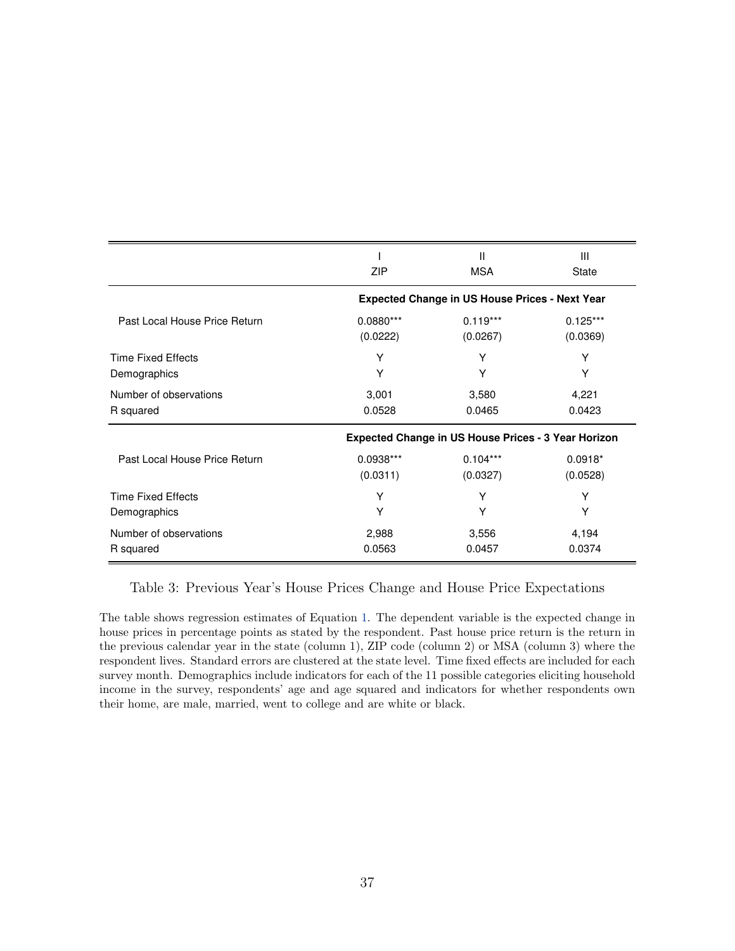<span id="page-39-0"></span>

|                               |             | Ш                                                          | $\mathbf{III}$ |
|-------------------------------|-------------|------------------------------------------------------------|----------------|
|                               | ZIP         | <b>MSA</b>                                                 | <b>State</b>   |
|                               |             | <b>Expected Change in US House Prices - Next Year</b>      |                |
| Past Local House Price Return | $0.0880***$ | $0.119***$                                                 | $0.125***$     |
|                               | (0.0222)    | (0.0267)                                                   | (0.0369)       |
| <b>Time Fixed Effects</b>     | Y           | Υ                                                          | Υ              |
| Demographics                  | Υ           | Υ                                                          | Υ              |
| Number of observations        | 3,001       | 3,580                                                      | 4,221          |
| R squared                     | 0.0528      | 0.0465                                                     | 0.0423         |
|                               |             | <b>Expected Change in US House Prices - 3 Year Horizon</b> |                |
| Past Local House Price Return | 0.0938***   | $0.104***$                                                 | $0.0918*$      |
|                               | (0.0311)    | (0.0327)                                                   | (0.0528)       |
| <b>Time Fixed Effects</b>     | Y           | Y                                                          | Y              |
| Demographics                  | Y           | Υ                                                          | Υ              |
| Number of observations        | 2,988       | 3,556                                                      | 4,194          |
| R squared                     | 0.0563      | 0.0457                                                     | 0.0374         |

#### Table 3: Previous Year's House Prices Change and House Price Expectations

The table shows regression estimates of Equation [1.](#page-10-1) The dependent variable is the expected change in house prices in percentage points as stated by the respondent. Past house price return is the return in the previous calendar year in the state (column 1), ZIP code (column 2) or MSA (column 3) where the respondent lives. Standard errors are clustered at the state level. Time fixed effects are included for each survey month. Demographics include indicators for each of the 11 possible categories eliciting household income in the survey, respondents' age and age squared and indicators for whether respondents own their home, are male, married, went to college and are white or black.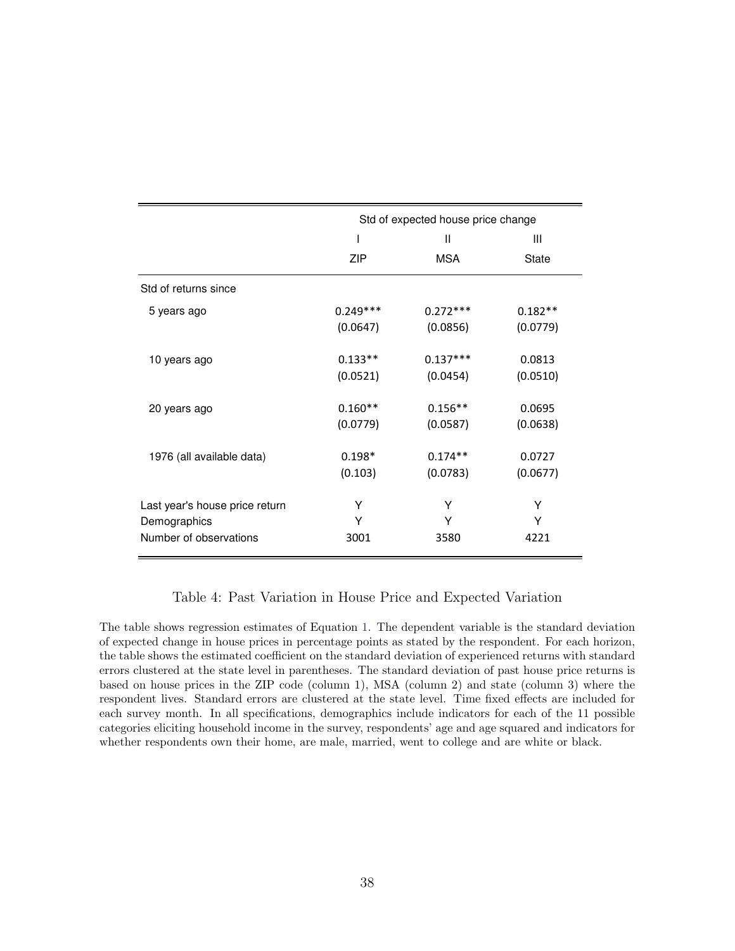<span id="page-40-0"></span>

|                                |            | Std of expected house price change |              |
|--------------------------------|------------|------------------------------------|--------------|
|                                |            | Ш                                  | Ш            |
|                                | ZIP        | MSA                                | <b>State</b> |
| Std of returns since           |            |                                    |              |
| 5 years ago                    | $0.249***$ | $0.272***$                         | $0.182**$    |
|                                | (0.0647)   | (0.0856)                           | (0.0779)     |
| 10 years ago                   | $0.133**$  | $0.137***$                         | 0.0813       |
|                                | (0.0521)   | (0.0454)                           | (0.0510)     |
| 20 years ago                   | $0.160**$  | $0.156**$                          | 0.0695       |
|                                | (0.0779)   | (0.0587)                           | (0.0638)     |
| 1976 (all available data)      | $0.198*$   | $0.174**$                          | 0.0727       |
|                                | (0.103)    | (0.0783)                           | (0.0677)     |
| Last year's house price return | Y          | Υ                                  | Y            |
| Demographics                   | Y          | Υ                                  | Y            |
| Number of observations         | 3001       | 3580                               | 4221         |

#### Table 4: Past Variation in House Price and Expected Variation

The table shows regression estimates of Equation [1.](#page-10-1) The dependent variable is the standard deviation of expected change in house prices in percentage points as stated by the respondent. For each horizon, the table shows the estimated coefficient on the standard deviation of experienced returns with standard errors clustered at the state level in parentheses. The standard deviation of past house price returns is based on house prices in the ZIP code (column 1), MSA (column 2) and state (column 3) where the respondent lives. Standard errors are clustered at the state level. Time fixed effects are included for each survey month. In all specifications, demographics include indicators for each of the 11 possible categories eliciting household income in the survey, respondents' age and age squared and indicators for whether respondents own their home, are male, married, went to college and are white or black.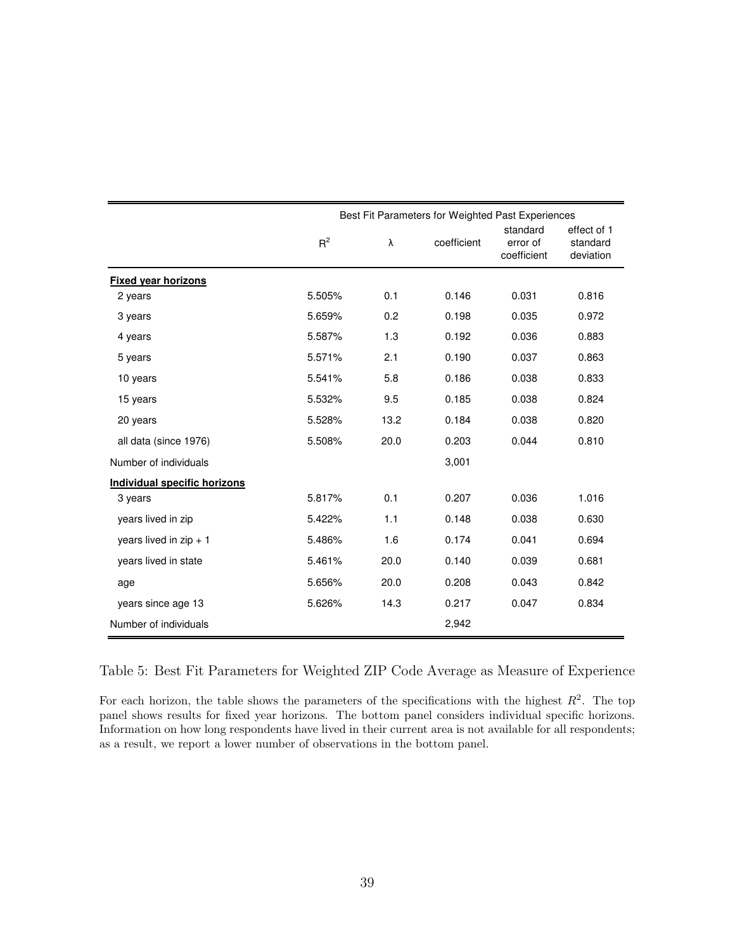<span id="page-41-0"></span>

|                                     |        |      | Best Fit Parameters for Weighted Past Experiences |                                     |                                      |
|-------------------------------------|--------|------|---------------------------------------------------|-------------------------------------|--------------------------------------|
|                                     | $R^2$  | λ    | coefficient                                       | standard<br>error of<br>coefficient | effect of 1<br>standard<br>deviation |
| <b>Fixed year horizons</b>          |        |      |                                                   |                                     |                                      |
| 2 years                             | 5.505% | 0.1  | 0.146                                             | 0.031                               | 0.816                                |
| 3 years                             | 5.659% | 0.2  | 0.198                                             | 0.035                               | 0.972                                |
| 4 years                             | 5.587% | 1.3  | 0.192                                             | 0.036                               | 0.883                                |
| 5 years                             | 5.571% | 2.1  | 0.190                                             | 0.037                               | 0.863                                |
| 10 years                            | 5.541% | 5.8  | 0.186                                             | 0.038                               | 0.833                                |
| 15 years                            | 5.532% | 9.5  | 0.185                                             | 0.038                               | 0.824                                |
| 20 years                            | 5.528% | 13.2 | 0.184                                             | 0.038                               | 0.820                                |
| all data (since 1976)               | 5.508% | 20.0 | 0.203                                             | 0.044                               | 0.810                                |
| Number of individuals               |        |      | 3,001                                             |                                     |                                      |
| <b>Individual specific horizons</b> |        |      |                                                   |                                     |                                      |
| 3 years                             | 5.817% | 0.1  | 0.207                                             | 0.036                               | 1.016                                |
| years lived in zip                  | 5.422% | 1.1  | 0.148                                             | 0.038                               | 0.630                                |
| years lived in $zip + 1$            | 5.486% | 1.6  | 0.174                                             | 0.041                               | 0.694                                |
| years lived in state                | 5.461% | 20.0 | 0.140                                             | 0.039                               | 0.681                                |
| age                                 | 5.656% | 20.0 | 0.208                                             | 0.043                               | 0.842                                |
| years since age 13                  | 5.626% | 14.3 | 0.217                                             | 0.047                               | 0.834                                |
| Number of individuals               |        |      | 2,942                                             |                                     |                                      |

Table 5: Best Fit Parameters for Weighted ZIP Code Average as Measure of Experience

For each horizon, the table shows the parameters of the specifications with the highest  $R^2$ . The top panel shows results for fixed year horizons. The bottom panel considers individual specific horizons. Information on how long respondents have lived in their current area is not available for all respondents; as a result, we report a lower number of observations in the bottom panel.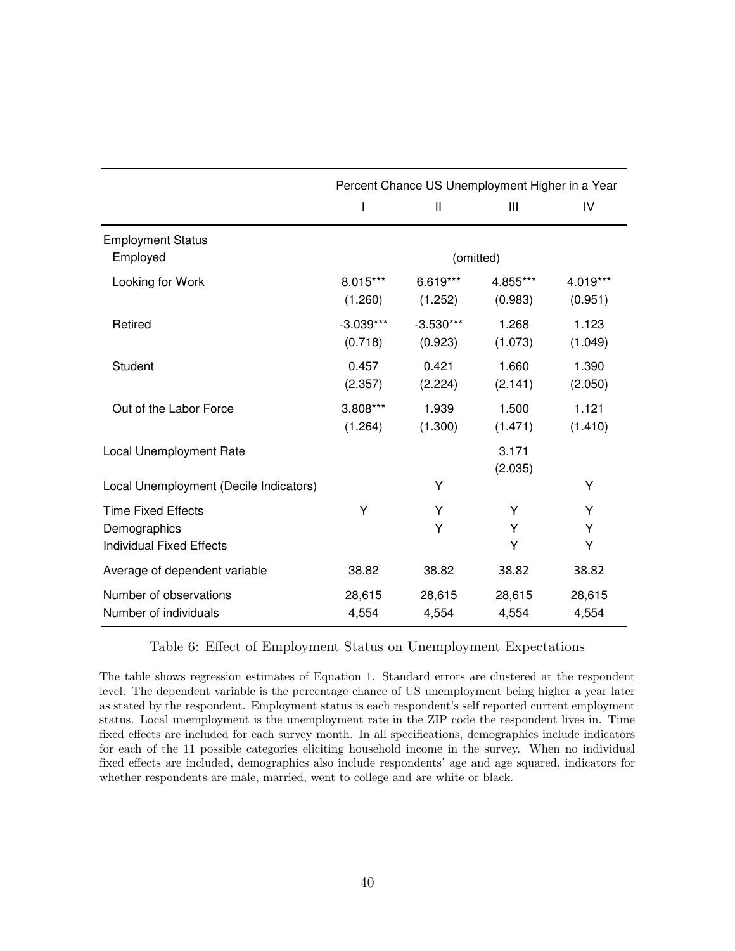<span id="page-42-0"></span>

|                                                                              |                        | Percent Chance US Unemployment Higher in a Year |                     |                     |
|------------------------------------------------------------------------------|------------------------|-------------------------------------------------|---------------------|---------------------|
|                                                                              |                        | $\mathbf{I}$                                    | Ш                   | IV                  |
| <b>Employment Status</b><br>Employed                                         |                        | (omitted)                                       |                     |                     |
| Looking for Work                                                             | 8.015***<br>(1.260)    | $6.619***$<br>(1.252)                           | 4.855***<br>(0.983) | 4.019***<br>(0.951) |
| Retired                                                                      | $-3.039***$<br>(0.718) | $-3.530***$<br>(0.923)                          | 1.268<br>(1.073)    | 1.123<br>(1.049)    |
| Student                                                                      | 0.457<br>(2.357)       | 0.421<br>(2.224)                                | 1.660<br>(2.141)    | 1.390<br>(2.050)    |
| Out of the Labor Force                                                       | 3.808***<br>(1.264)    | 1.939<br>(1.300)                                | 1.500<br>(1.471)    | 1.121<br>(1.410)    |
| Local Unemployment Rate                                                      |                        |                                                 | 3.171<br>(2.035)    |                     |
| Local Unemployment (Decile Indicators)                                       |                        | Υ                                               |                     | Υ                   |
| <b>Time Fixed Effects</b><br>Demographics<br><b>Individual Fixed Effects</b> | Y                      | Y<br>Y                                          | Υ<br>Y<br>Υ         | Y<br>Υ<br>Υ         |
| Average of dependent variable                                                | 38.82                  | 38.82                                           | 38.82               | 38.82               |
| Number of observations<br>Number of individuals                              | 28,615<br>4,554        | 28,615<br>4,554                                 | 28,615<br>4,554     | 28,615<br>4,554     |

#### Table 6: Effect of Employment Status on Unemployment Expectations

The table shows regression estimates of Equation [1.](#page-10-1) Standard errors are clustered at the respondent level. The dependent variable is the percentage chance of US unemployment being higher a year later as stated by the respondent. Employment status is each respondent's self reported current employment status. Local unemployment is the unemployment rate in the ZIP code the respondent lives in. Time fixed effects are included for each survey month. In all specifications, demographics include indicators for each of the 11 possible categories eliciting household income in the survey. When no individual fixed effects are included, demographics also include respondents' age and age squared, indicators for whether respondents are male, married, went to college and are white or black.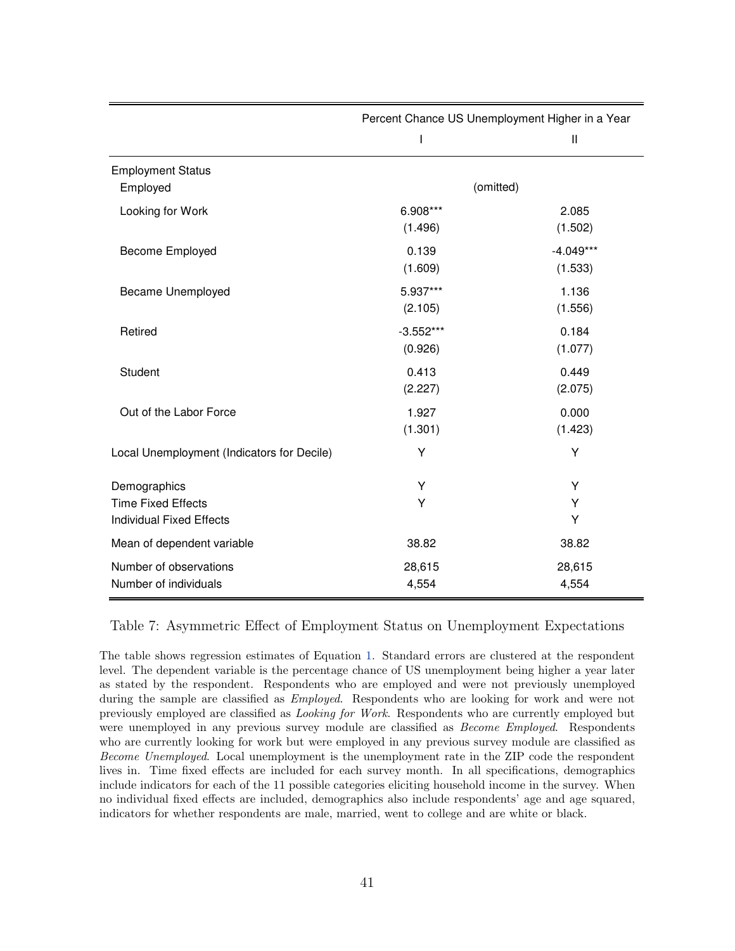<span id="page-43-0"></span>

|                                                                              |                        | Percent Chance US Unemployment Higher in a Year |
|------------------------------------------------------------------------------|------------------------|-------------------------------------------------|
|                                                                              | $\mathsf{I}$           | Ш                                               |
| <b>Employment Status</b><br>Employed                                         |                        | (omitted)                                       |
| Looking for Work                                                             | 6.908***<br>(1.496)    | 2.085<br>(1.502)                                |
| Become Employed                                                              | 0.139<br>(1.609)       | $-4.049***$<br>(1.533)                          |
| Became Unemployed                                                            | 5.937***<br>(2.105)    | 1.136<br>(1.556)                                |
| Retired                                                                      | $-3.552***$<br>(0.926) | 0.184<br>(1.077)                                |
| Student                                                                      | 0.413<br>(2.227)       | 0.449<br>(2.075)                                |
| Out of the Labor Force                                                       | 1.927<br>(1.301)       | 0.000<br>(1.423)                                |
| Local Unemployment (Indicators for Decile)                                   | Υ                      | Υ                                               |
| Demographics<br><b>Time Fixed Effects</b><br><b>Individual Fixed Effects</b> | Υ<br>Υ                 | Y<br>Υ<br>Υ                                     |
| Mean of dependent variable                                                   | 38.82                  | 38.82                                           |
| Number of observations<br>Number of individuals                              | 28,615<br>4,554        | 28,615<br>4,554                                 |

Table 7: Asymmetric Effect of Employment Status on Unemployment Expectations

The table shows regression estimates of Equation [1.](#page-10-1) Standard errors are clustered at the respondent level. The dependent variable is the percentage chance of US unemployment being higher a year later as stated by the respondent. Respondents who are employed and were not previously unemployed during the sample are classified as *Employed*. Respondents who are looking for work and were not previously employed are classified as Looking for Work. Respondents who are currently employed but were unemployed in any previous survey module are classified as *Become Employed*. Respondents who are currently looking for work but were employed in any previous survey module are classified as Become Unemployed. Local unemployment is the unemployment rate in the ZIP code the respondent lives in. Time fixed effects are included for each survey month. In all specifications, demographics include indicators for each of the 11 possible categories eliciting household income in the survey. When no individual fixed effects are included, demographics also include respondents' age and age squared, indicators for whether respondents are male, married, went to college and are white or black.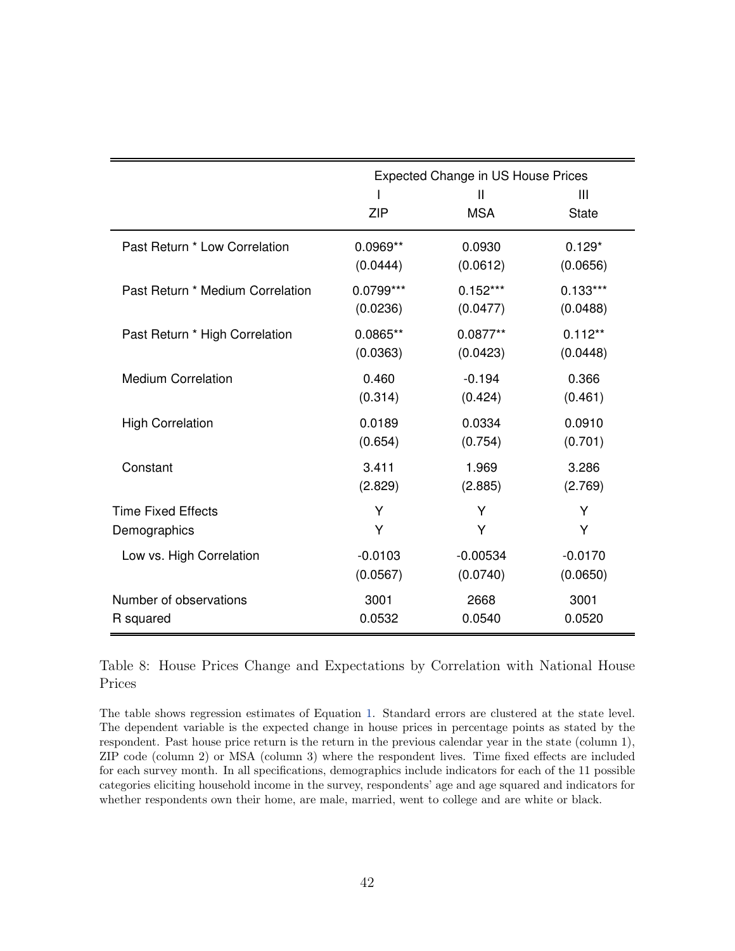<span id="page-44-0"></span>

|                                  |            | <b>Expected Change in US House Prices</b> |                   |
|----------------------------------|------------|-------------------------------------------|-------------------|
|                                  | <b>ZIP</b> | $\mathbf{I}$<br><b>MSA</b>                | Ш<br><b>State</b> |
| Past Return * Low Correlation    | 0.0969**   | 0.0930                                    | $0.129*$          |
|                                  | (0.0444)   | (0.0612)                                  | (0.0656)          |
| Past Return * Medium Correlation | 0.0799***  | $0.152***$                                | $0.133***$        |
|                                  | (0.0236)   | (0.0477)                                  | (0.0488)          |
| Past Return * High Correlation   | 0.0865**   | $0.0877**$                                | $0.112**$         |
|                                  | (0.0363)   | (0.0423)                                  | (0.0448)          |
| <b>Medium Correlation</b>        | 0.460      | $-0.194$                                  | 0.366             |
|                                  | (0.314)    | (0.424)                                   | (0.461)           |
| <b>High Correlation</b>          | 0.0189     | 0.0334                                    | 0.0910            |
|                                  | (0.654)    | (0.754)                                   | (0.701)           |
| Constant                         | 3.411      | 1.969                                     | 3.286             |
|                                  | (2.829)    | (2.885)                                   | (2.769)           |
| <b>Time Fixed Effects</b>        | Y          | Υ                                         | Υ                 |
| Demographics                     | Y          | Y                                         | Υ                 |
| Low vs. High Correlation         | $-0.0103$  | $-0.00534$                                | $-0.0170$         |
|                                  | (0.0567)   | (0.0740)                                  | (0.0650)          |
| Number of observations           | 3001       | 2668                                      | 3001              |
| R squared                        | 0.0532     | 0.0540                                    | 0.0520            |

Table 8: House Prices Change and Expectations by Correlation with National House Prices

The table shows regression estimates of Equation [1.](#page-10-1) Standard errors are clustered at the state level. The dependent variable is the expected change in house prices in percentage points as stated by the respondent. Past house price return is the return in the previous calendar year in the state (column 1), ZIP code (column 2) or MSA (column 3) where the respondent lives. Time fixed effects are included for each survey month. In all specifications, demographics include indicators for each of the 11 possible categories eliciting household income in the survey, respondents' age and age squared and indicators for whether respondents own their home, are male, married, went to college and are white or black.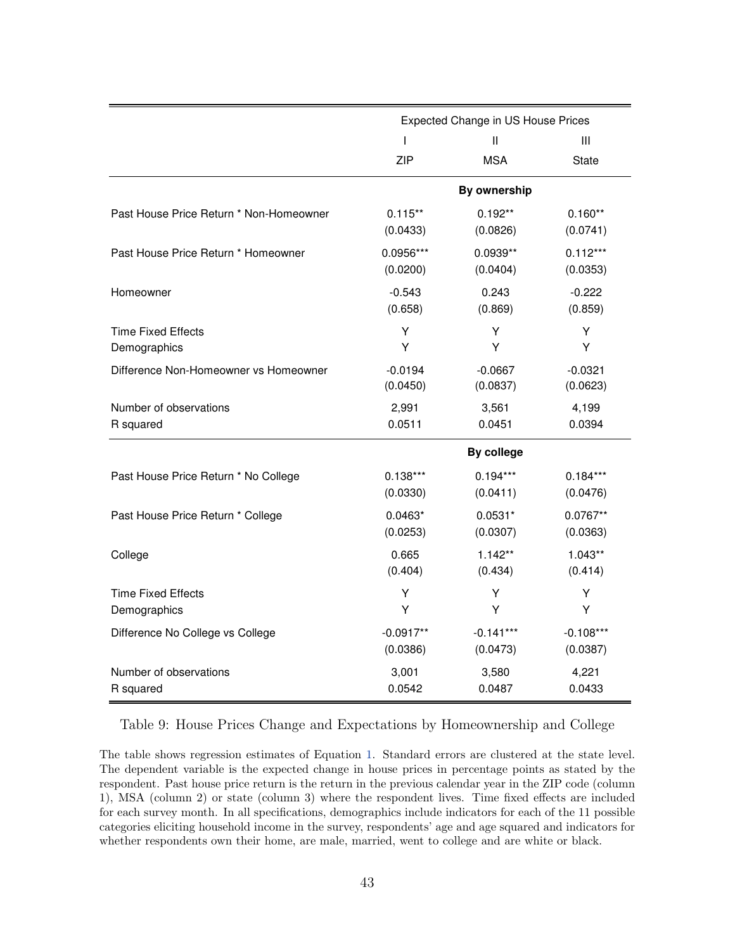<span id="page-45-0"></span>

|                                         |             | Expected Change in US House Prices |              |
|-----------------------------------------|-------------|------------------------------------|--------------|
|                                         | I           | $\mathbf{  }$                      | Ш            |
|                                         | ZIP         | <b>MSA</b>                         | <b>State</b> |
|                                         |             | By ownership                       |              |
| Past House Price Return * Non-Homeowner | $0.115**$   | $0.192**$                          | $0.160**$    |
|                                         | (0.0433)    | (0.0826)                           | (0.0741)     |
| Past House Price Return * Homeowner     | 0.0956***   | $0.0939**$                         | $0.112***$   |
|                                         | (0.0200)    | (0.0404)                           | (0.0353)     |
| Homeowner                               | $-0.543$    | 0.243                              | $-0.222$     |
|                                         | (0.658)     | (0.869)                            | (0.859)      |
| <b>Time Fixed Effects</b>               | Y           | Y                                  | Υ            |
| Demographics                            | Y           | Y                                  | Y            |
| Difference Non-Homeowner vs Homeowner   | $-0.0194$   | $-0.0667$                          | $-0.0321$    |
|                                         | (0.0450)    | (0.0837)                           | (0.0623)     |
| Number of observations                  | 2,991       | 3,561                              | 4,199        |
| R squared                               | 0.0511      | 0.0451                             | 0.0394       |
|                                         |             | By college                         |              |
| Past House Price Return * No College    | $0.138***$  | $0.194***$                         | $0.184***$   |
|                                         | (0.0330)    | (0.0411)                           | (0.0476)     |
| Past House Price Return * College       | $0.0463*$   | $0.0531*$                          | $0.0767**$   |
|                                         | (0.0253)    | (0.0307)                           | (0.0363)     |
| College                                 | 0.665       | $1.142**$                          | $1.043**$    |
|                                         | (0.404)     | (0.434)                            | (0.414)      |
| <b>Time Fixed Effects</b>               | Y           | Y                                  | Y            |
| Demographics                            | Y           | Y                                  | Y            |
| Difference No College vs College        | $-0.0917**$ | $-0.141***$                        | $-0.108***$  |
|                                         | (0.0386)    | (0.0473)                           | (0.0387)     |
| Number of observations                  | 3,001       | 3,580                              | 4,221        |
| R squared                               | 0.0542      | 0.0487                             | 0.0433       |

#### Table 9: House Prices Change and Expectations by Homeownership and College

The table shows regression estimates of Equation [1.](#page-10-1) Standard errors are clustered at the state level. The dependent variable is the expected change in house prices in percentage points as stated by the respondent. Past house price return is the return in the previous calendar year in the ZIP code (column 1), MSA (column 2) or state (column 3) where the respondent lives. Time fixed effects are included for each survey month. In all specifications, demographics include indicators for each of the 11 possible categories eliciting household income in the survey, respondents' age and age squared and indicators for whether respondents own their home, are male, married, went to college and are white or black.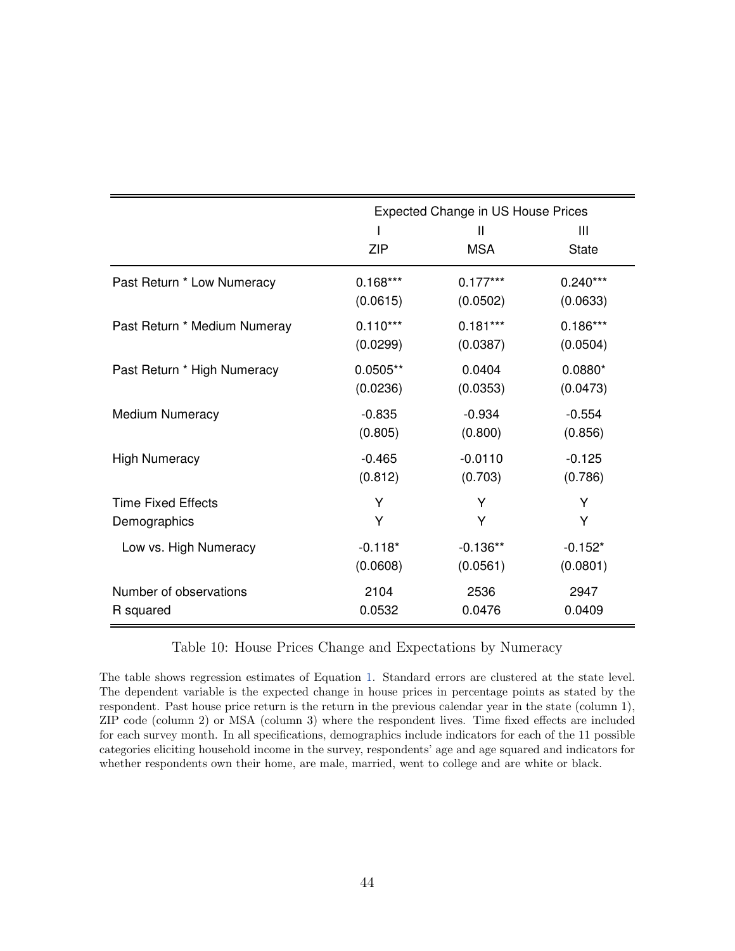<span id="page-46-0"></span>

|                              |            | <b>Expected Change in US House Prices</b> |                   |
|------------------------------|------------|-------------------------------------------|-------------------|
|                              | <b>ZIP</b> | Ш<br><b>MSA</b>                           | Ш<br><b>State</b> |
| Past Return * Low Numeracy   | $0.168***$ | $0.177***$                                | $0.240***$        |
|                              | (0.0615)   | (0.0502)                                  | (0.0633)          |
| Past Return * Medium Numeray | $0.110***$ | $0.181***$                                | $0.186***$        |
|                              | (0.0299)   | (0.0387)                                  | (0.0504)          |
| Past Return * High Numeracy  | $0.0505**$ | 0.0404                                    | $0.0880*$         |
|                              | (0.0236)   | (0.0353)                                  | (0.0473)          |
| Medium Numeracy              | $-0.835$   | $-0.934$                                  | $-0.554$          |
|                              | (0.805)    | (0.800)                                   | (0.856)           |
| <b>High Numeracy</b>         | $-0.465$   | $-0.0110$                                 | $-0.125$          |
|                              | (0.812)    | (0.703)                                   | (0.786)           |
| <b>Time Fixed Effects</b>    | Y          | Y                                         | Y                 |
| Demographics                 | Y          | Υ                                         | Υ                 |
| Low vs. High Numeracy        | $-0.118*$  | $-0.136**$                                | $-0.152*$         |
|                              | (0.0608)   | (0.0561)                                  | (0.0801)          |
| Number of observations       | 2104       | 2536                                      | 2947              |
| R squared                    | 0.0532     | 0.0476                                    | 0.0409            |

Table 10: House Prices Change and Expectations by Numeracy

The table shows regression estimates of Equation [1.](#page-10-1) Standard errors are clustered at the state level. The dependent variable is the expected change in house prices in percentage points as stated by the respondent. Past house price return is the return in the previous calendar year in the state (column 1), ZIP code (column 2) or MSA (column 3) where the respondent lives. Time fixed effects are included for each survey month. In all specifications, demographics include indicators for each of the 11 possible categories eliciting household income in the survey, respondents' age and age squared and indicators for whether respondents own their home, are male, married, went to college and are white or black.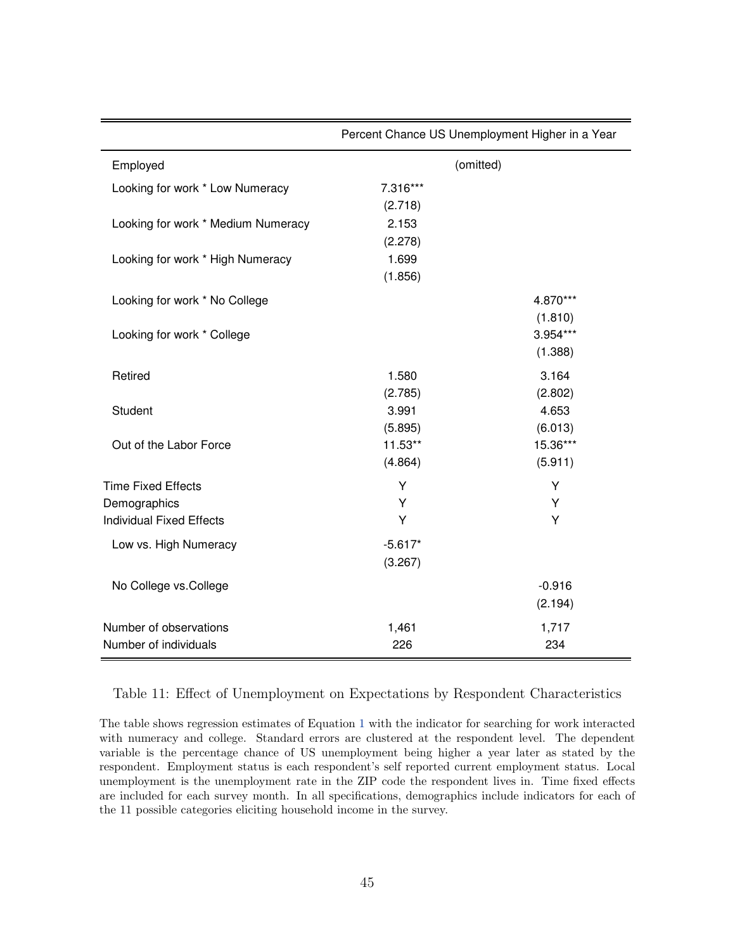<span id="page-47-0"></span>

|                                    | r credit Onance Oo Onemployment riigher in a real |          |
|------------------------------------|---------------------------------------------------|----------|
| Employed                           | (omitted)                                         |          |
| Looking for work * Low Numeracy    | 7.316***                                          |          |
|                                    | (2.718)                                           |          |
| Looking for work * Medium Numeracy | 2.153                                             |          |
|                                    | (2.278)                                           |          |
| Looking for work * High Numeracy   | 1.699                                             |          |
|                                    | (1.856)                                           |          |
| Looking for work * No College      |                                                   | 4.870*** |
|                                    |                                                   | (1.810)  |
| Looking for work * College         |                                                   | 3.954*** |
|                                    |                                                   | (1.388)  |
| Retired                            | 1.580                                             | 3.164    |
|                                    | (2.785)                                           | (2.802)  |
| Student                            | 3.991                                             | 4.653    |
|                                    | (5.895)                                           | (6.013)  |
| Out of the Labor Force             | 11.53**                                           | 15.36*** |
|                                    | (4.864)                                           | (5.911)  |
| <b>Time Fixed Effects</b>          | Υ                                                 | Υ        |
| Demographics                       | Y                                                 | Y        |
| <b>Individual Fixed Effects</b>    | Y                                                 | Y        |
| Low vs. High Numeracy              | $-5.617*$                                         |          |
|                                    | (3.267)                                           |          |
| No College vs.College              |                                                   | $-0.916$ |
|                                    |                                                   | (2.194)  |
| Number of observations             | 1,461                                             | 1,717    |
| Number of individuals              | 226                                               | 234      |

Percent Chance US Unemployment Higher in a Year

Table 11: Effect of Unemployment on Expectations by Respondent Characteristics

Ė

The table shows regression estimates of Equation [1](#page-10-1) with the indicator for searching for work interacted with numeracy and college. Standard errors are clustered at the respondent level. The dependent variable is the percentage chance of US unemployment being higher a year later as stated by the respondent. Employment status is each respondent's self reported current employment status. Local unemployment is the unemployment rate in the ZIP code the respondent lives in. Time fixed effects are included for each survey month. In all specifications, demographics include indicators for each of the 11 possible categories eliciting household income in the survey.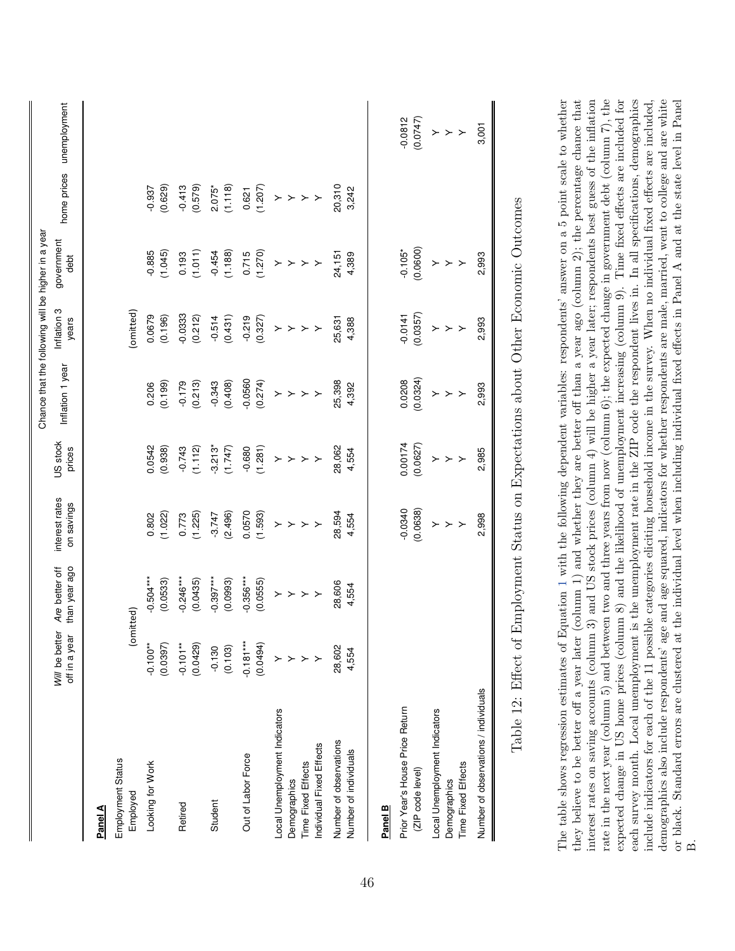<span id="page-48-0"></span>

|                                                                                                 |                                 |                                 |                              |                                 | Chance that the following will be higher in a year |                                  |                                                         |                                                         |                          |
|-------------------------------------------------------------------------------------------------|---------------------------------|---------------------------------|------------------------------|---------------------------------|----------------------------------------------------|----------------------------------|---------------------------------------------------------|---------------------------------------------------------|--------------------------|
|                                                                                                 | Will be better<br>off in a year | than year ago<br>Are better off | interest rates<br>on savings | US stock<br>prices              | Inflation 1 year                                   | Inflation 3<br>years             | government<br>debt                                      |                                                         | home prices unemployment |
| Panel A                                                                                         |                                 |                                 |                              |                                 |                                                    |                                  |                                                         |                                                         |                          |
| Employment Status<br>Employed                                                                   |                                 | (omitted)                       |                              |                                 |                                                    | omitted)                         |                                                         |                                                         |                          |
| Looking for Work                                                                                | $-0.100**$<br>(0.0397)          | $-0.504***$<br>(0.0533)         | (1.022)<br>0.802             | 0.0542<br>(0.938)               | (0.199)<br>0.206                                   | 0.0679<br>(0.196)                | $-0.885$<br>(1.045)                                     | (0.629)<br>$-0.937$                                     |                          |
| Retired                                                                                         | (0.0429)<br>$-0.101**$          | $-0.246***$<br>(0.0435)         | (1.225)<br>0.773             | $-0.743$<br>(1.112)             | $-0.179$<br>(0.213)                                | $-0.0333$<br>(0.212)             | (1.011)                                                 | $-0.413$<br>(0.579)                                     |                          |
| Student                                                                                         | (0.103)<br>$-0.130$             | $-0.397***$<br>(0.0993)         | (2.496)<br>$-3.747$          | $-3.213*$<br>(1.747)            | (0.408)                                            | (0.514)                          | $-0.454$<br>(1.188)                                     | $2.075*$<br>(1.118)                                     |                          |
| Out of Labor Force                                                                              | $-0.181***$<br>(0.0494)         | $-0.356***$<br>(0.0555)         | 0.0570<br>(1.593)            | (1.281)                         | $-0.0560$<br>$(0.274)$                             | $-0.219$<br>(0.327)              | $0.715$<br>(1.270)                                      | $0.621$<br>(1.207)                                      |                          |
| Local Unemployment Indicators<br>Individual Fixed Effects<br>Time Fixed Effects<br>Demographics | $>$ > > >                       | $>$ > > >                       | $>$ > > >                    | $\succ$ $\succ$ $\succ$ $\succ$ | $\rightarrow$ $\rightarrow$ $\rightarrow$          | $\succ$ $\succ$ $\succ$ $\succ$  | $\rightarrow$ $\rightarrow$ $\rightarrow$ $\rightarrow$ | $\rightarrow$ $\rightarrow$ $\rightarrow$ $\rightarrow$ |                          |
| Number of observations<br>Number of individuals                                                 | 28,602<br>4,554                 | 28,606<br>4,554                 | 28,594<br>4,554              | 28,062<br>4,554                 | 25,398<br>4,392                                    | 25,631<br>4,388                  | 24,151<br>4,389                                         | 20,310<br>3,242                                         |                          |
| Panel <sub>B</sub>                                                                              |                                 |                                 |                              |                                 |                                                    |                                  |                                                         |                                                         |                          |
| Prior Year's House Price Return<br>(ZIP code level)                                             |                                 |                                 | $-0.0340$<br>(0.0638)        | 0.00174                         | (0.0324)<br>0.0208                                 | $-0.0141$<br>(0.0357)            | (0.0600)<br>$-0.105*$                                   |                                                         | $-0.0812$<br>(0.0747)    |
| Local Unemployment Indicators<br>Time Fixed Effects<br>Demographics                             |                                 |                                 | $\succ$<br>$>$ $>$           | $>$ > >                         | $\,>\,$ $\,$<br>$\succ$                            | $\left. \right.$<br>$\,>\,$ $\,$ | $\,>$ $\,>$ $\,>$                                       |                                                         | $\rightarrow$ $>$ $>$    |
| Number of observations / individuals                                                            |                                 |                                 | 2,998                        | 2,985                           | 2,993                                              | 2,993                            | 2,993                                                   |                                                         | 3,001                    |
|                                                                                                 |                                 |                                 |                              |                                 |                                                    |                                  |                                                         |                                                         |                          |

Table 12: Effect of Employment Status on Expectations about Other Economic Outcomes Table 12: Effect of Employment Status on Expectations about Other Economic Outcomes The table shows regression estimates of Equation 1 with the following dependent variables: respondents' answer on a 5 point scale to whether interest rates on saving accounts (column 3) and US stock prices (column 4) will be higher a year later; respondents best guess of the inflation rate in the next year (column 5) and between two and three years from now (column 6); the expected change in government debt (column 7), the expected change in US home prices (column 8) and the likelihood of unemployment increasing (column 9). Time fixed effects are included for each survey month. Local unemployment is the unemployment rate in the ZIP code the respondent lives in. In all specifications, demographics demographics also include respondents' age and age squared, indicators for whether respondents are male, married, went to college and are white they believe to be better off a year later (column 1) and whether they are better off than a year ago (column 2); the percentage chance that include indicators for each of the 11 possible categories eliciting household income in the survey. When no individual fixed effects are included, The table shows regression estimates of Equation [1](#page-10-1) with the following dependent variables: respondents' answer on a 5 point scale to whether<br>they believe to be better off a year later (column 1) and whether they are bette demographics also include respondents' age and age squared, indicators for whether respondents are male, married, went to college and are white or black. Standard errors are clustered at the individual level when including individual fixed effects in Panel A and at the state level in Panel or black. Standard errors are clustered at the individual level when including individual fixed effects in Panel A and at the state level in Panel  $\dot{\Xi}$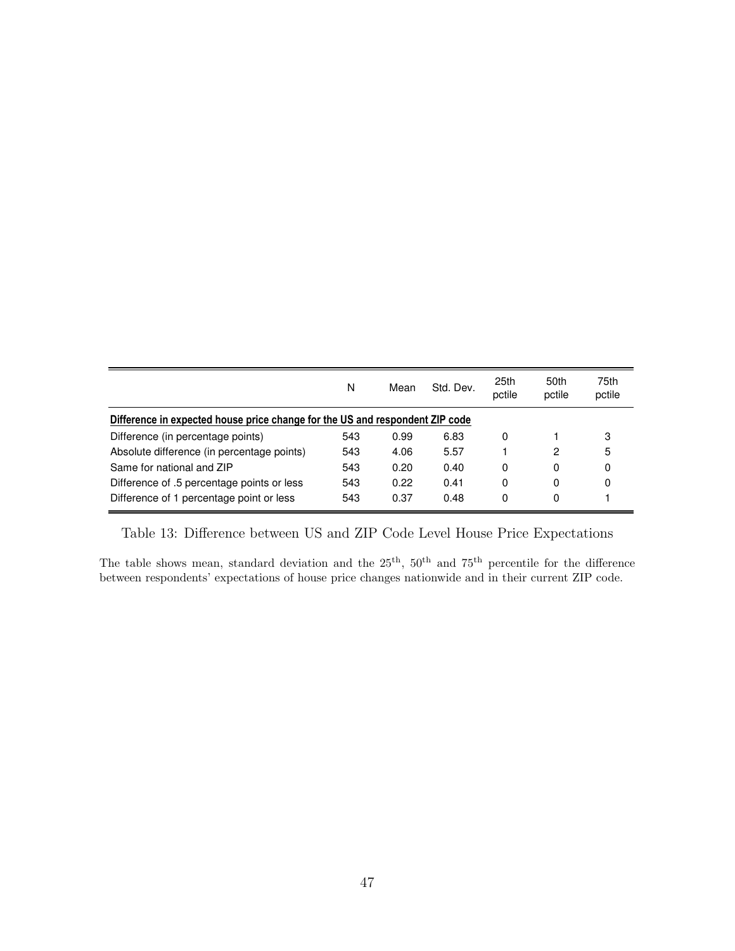<span id="page-49-0"></span>

|                                                                              | N   | Mean | Std. Dev. | 25th<br>pctile | 50th<br>pctile | 75th<br>pctile |
|------------------------------------------------------------------------------|-----|------|-----------|----------------|----------------|----------------|
| Difference in expected house price change for the US and respondent ZIP code |     |      |           |                |                |                |
| Difference (in percentage points)                                            | 543 | 0.99 | 6.83      | 0              |                | 3              |
| Absolute difference (in percentage points)                                   | 543 | 4.06 | 5.57      |                | 2              | 5              |
| Same for national and ZIP                                                    | 543 | 0.20 | 0.40      | 0              | 0              | 0              |
| Difference of .5 percentage points or less                                   | 543 | 0.22 | 0.41      | 0              | 0              | 0              |
| Difference of 1 percentage point or less                                     | 543 | 0.37 | 0.48      | 0              | 0              |                |

Table 13: Difference between US and ZIP Code Level House Price Expectations

The table shows mean, standard deviation and the  $25<sup>th</sup>$ ,  $50<sup>th</sup>$  and  $75<sup>th</sup>$  percentile for the difference between respondents' expectations of house price changes nationwide and in their current ZIP code.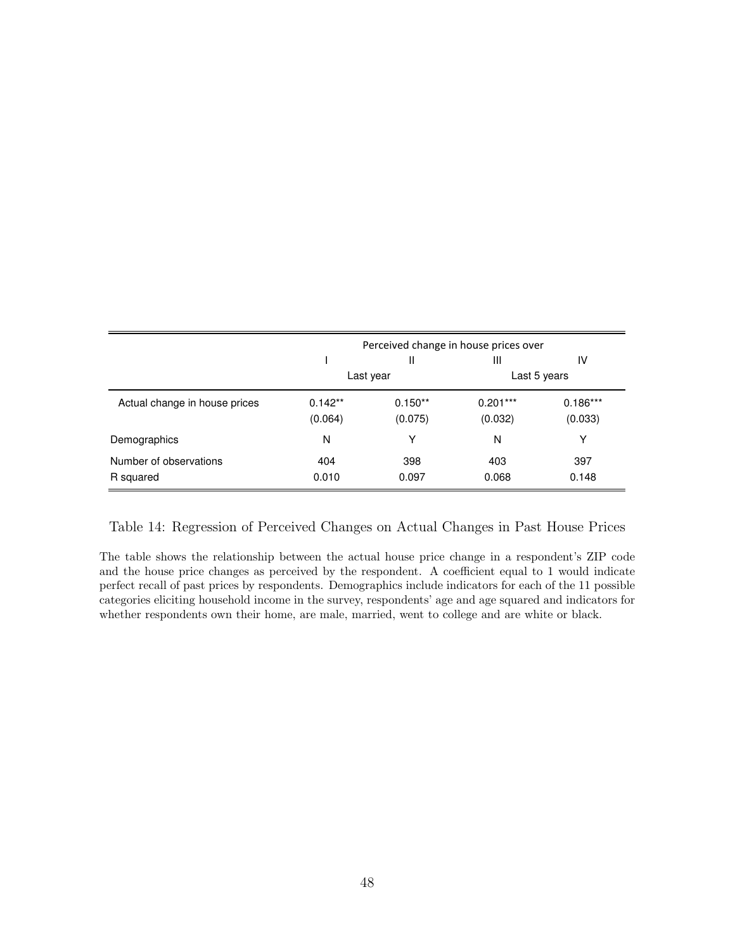<span id="page-50-0"></span>

|                                     |                      |                      | Perceived change in house prices over |                       |
|-------------------------------------|----------------------|----------------------|---------------------------------------|-----------------------|
|                                     |                      | H.                   | Ш                                     | IV                    |
|                                     |                      | Last year            |                                       | Last 5 years          |
| Actual change in house prices       | $0.142**$<br>(0.064) | $0.150**$<br>(0.075) | $0.201***$<br>(0.032)                 | $0.186***$<br>(0.033) |
| Demographics                        | N                    | Υ                    | N                                     | Y                     |
| Number of observations<br>R squared | 404<br>0.010         | 398<br>0.097         | 403<br>0.068                          | 397<br>0.148          |

Table 14: Regression of Perceived Changes on Actual Changes in Past House Prices

The table shows the relationship between the actual house price change in a respondent's ZIP code and the house price changes as perceived by the respondent. A coefficient equal to 1 would indicate perfect recall of past prices by respondents. Demographics include indicators for each of the 11 possible categories eliciting household income in the survey, respondents' age and age squared and indicators for whether respondents own their home, are male, married, went to college and are white or black.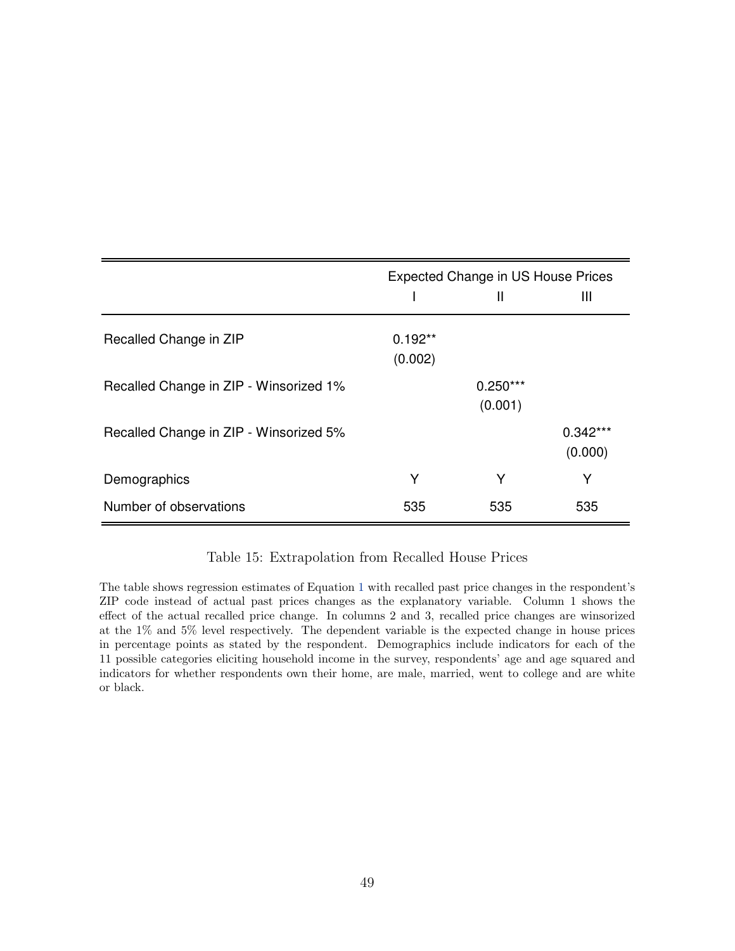<span id="page-51-0"></span>

|                                        |                      | <b>Expected Change in US House Prices</b> |                       |
|----------------------------------------|----------------------|-------------------------------------------|-----------------------|
|                                        |                      | Ш                                         | Ш                     |
| Recalled Change in ZIP                 | $0.192**$<br>(0.002) |                                           |                       |
| Recalled Change in ZIP - Winsorized 1% |                      | $0.250***$<br>(0.001)                     |                       |
| Recalled Change in ZIP - Winsorized 5% |                      |                                           | $0.342***$<br>(0.000) |
| Demographics                           | Υ                    | Υ                                         | Υ                     |
| Number of observations                 | 535                  | 535                                       | 535                   |

Table 15: Extrapolation from Recalled House Prices

The table shows regression estimates of Equation [1](#page-10-1) with recalled past price changes in the respondent's ZIP code instead of actual past prices changes as the explanatory variable. Column 1 shows the effect of the actual recalled price change. In columns 2 and 3, recalled price changes are winsorized at the 1% and 5% level respectively. The dependent variable is the expected change in house prices in percentage points as stated by the respondent. Demographics include indicators for each of the 11 possible categories eliciting household income in the survey, respondents' age and age squared and indicators for whether respondents own their home, are male, married, went to college and are white or black.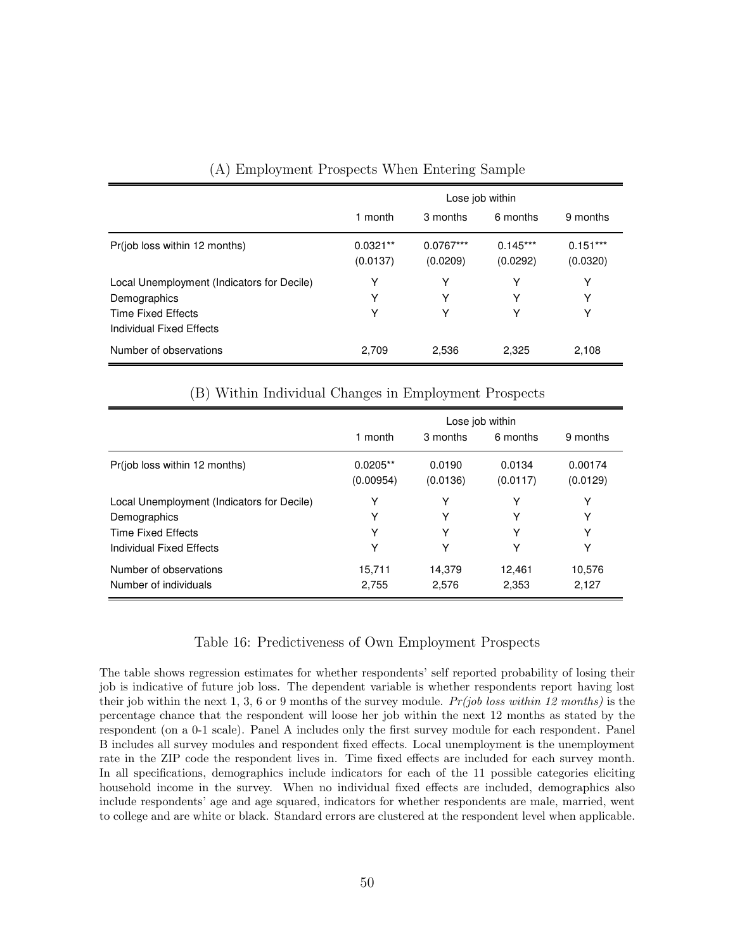<span id="page-52-0"></span>

|                                                                                                                     |                        | Lose job within         |                        |                        |
|---------------------------------------------------------------------------------------------------------------------|------------------------|-------------------------|------------------------|------------------------|
|                                                                                                                     | 1 month                | 3 months                | 6 months               | 9 months               |
| Pr(job loss within 12 months)                                                                                       | $0.0321**$<br>(0.0137) | $0.0767***$<br>(0.0209) | $0.145***$<br>(0.0292) | $0.151***$<br>(0.0320) |
| Local Unemployment (Indicators for Decile)<br>Demographics<br><b>Time Fixed Effects</b><br>Individual Fixed Effects | Y<br>Υ<br>Υ            | Y<br>Y<br>Υ             | Υ<br>Y<br>Υ            | Υ<br>Y<br>Υ            |
| Number of observations                                                                                              | 2,709                  | 2,536                   | 2,325                  | 2,108                  |

#### (A) Employment Prospects When Entering Sample

#### (B) Within Individual Changes in Employment Prospects

|                                            |            |          | Lose job within |          |
|--------------------------------------------|------------|----------|-----------------|----------|
|                                            | 1 month    | 3 months | 6 months        | 9 months |
| Pr(job loss within 12 months)              | $0.0205**$ | 0.0190   | 0.0134          | 0.00174  |
|                                            | (0.00954)  | (0.0136) | (0.0117)        | (0.0129) |
| Local Unemployment (Indicators for Decile) | Y          | Υ        | Υ               | Υ        |
| Demographics                               | Y          | Y        | Y               | Υ        |
| Time Fixed Effects                         | Y          | Y        | Υ               | Υ        |
| Individual Fixed Effects                   | Y          | Y        | Υ               | Υ        |
| Number of observations                     | 15,711     | 14.379   | 12.461          | 10,576   |
| Number of individuals                      | 2,755      | 2,576    | 2,353           | 2,127    |

#### Table 16: Predictiveness of Own Employment Prospects

The table shows regression estimates for whether respondents' self reported probability of losing their job is indicative of future job loss. The dependent variable is whether respondents report having lost their job within the next 1, 3, 6 or 9 months of the survey module.  $Pr(job \text{ loss within 12 months})$  is the percentage chance that the respondent will loose her job within the next 12 months as stated by the respondent (on a 0-1 scale). Panel A includes only the first survey module for each respondent. Panel B includes all survey modules and respondent fixed effects. Local unemployment is the unemployment rate in the ZIP code the respondent lives in. Time fixed effects are included for each survey month. In all specifications, demographics include indicators for each of the 11 possible categories eliciting household income in the survey. When no individual fixed effects are included, demographics also include respondents' age and age squared, indicators for whether respondents are male, married, went to college and are white or black. Standard errors are clustered at the respondent level when applicable.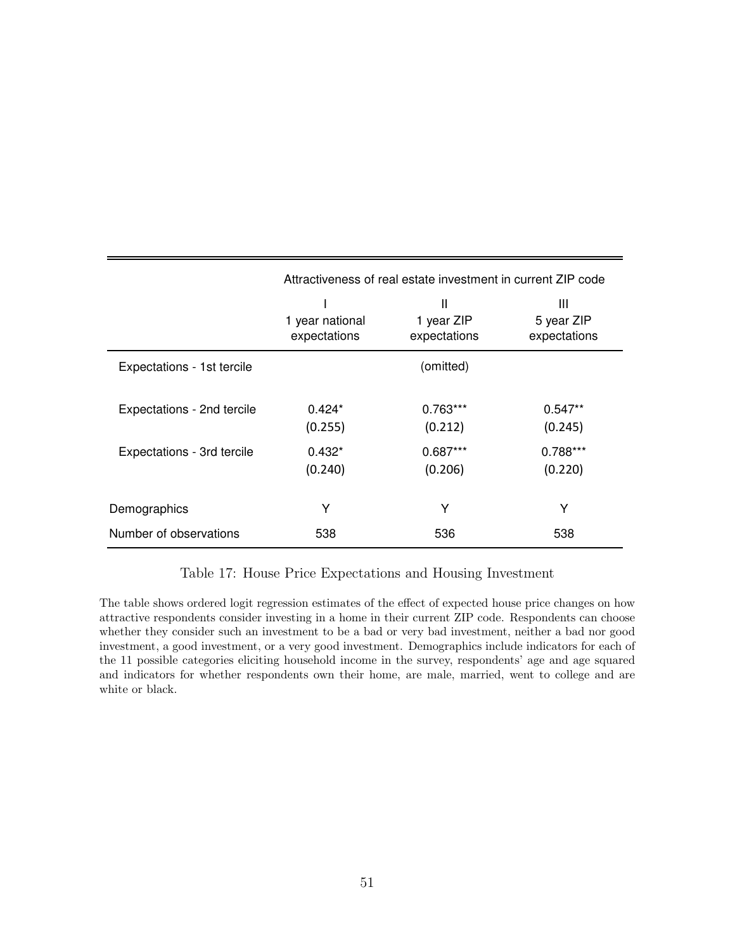<span id="page-53-0"></span>

|                            |                                 | Attractiveness of real estate investment in current ZIP code |                                 |
|----------------------------|---------------------------------|--------------------------------------------------------------|---------------------------------|
|                            | 1 year national<br>expectations | Ш<br>1 year ZIP<br>expectations                              | Ш<br>5 year ZIP<br>expectations |
| Expectations - 1st tercile |                                 | (omitted)                                                    |                                 |
| Expectations - 2nd tercile | $0.424*$<br>(0.255)             | $0.763***$<br>(0.212)                                        | $0.547**$<br>(0.245)            |
| Expectations - 3rd tercile | $0.432*$<br>(0.240)             | $0.687***$<br>(0.206)                                        | $0.788***$<br>(0.220)           |
| Demographics               | Υ                               | Υ                                                            | Υ                               |
| Number of observations     | 538                             | 536                                                          | 538                             |

Table 17: House Price Expectations and Housing Investment

The table shows ordered logit regression estimates of the effect of expected house price changes on how attractive respondents consider investing in a home in their current ZIP code. Respondents can choose whether they consider such an investment to be a bad or very bad investment, neither a bad nor good investment, a good investment, or a very good investment. Demographics include indicators for each of the 11 possible categories eliciting household income in the survey, respondents' age and age squared and indicators for whether respondents own their home, are male, married, went to college and are white or black.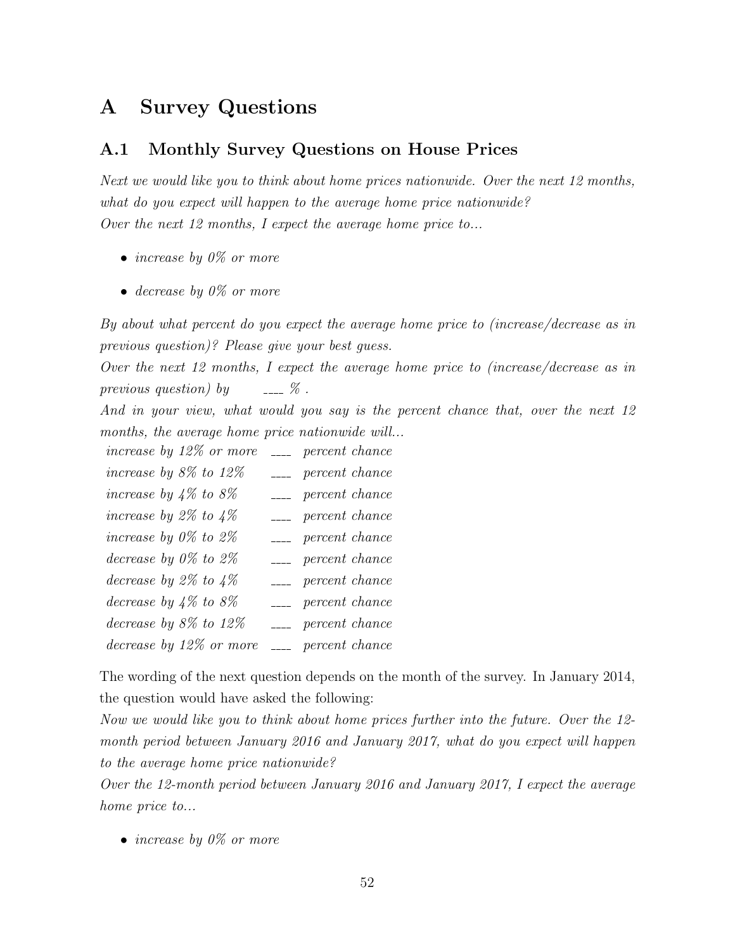## <span id="page-54-1"></span>A Survey Questions

### <span id="page-54-0"></span>A.1 Monthly Survey Questions on House Prices

Next we would like you to think about home prices nationwide. Over the next 12 months, what do you expect will happen to the average home price nationwide? Over the next 12 months, I expect the average home price to...

- increase by  $0\%$  or more
- decrease by  $0\%$  or more

By about what percent do you expect the average home price to (increase/decrease as in previous question)? Please give your best guess.

Over the next 12 months, I expect the average home price to (increase/decrease as in previous question) by  $\qquad \qquad -2$  %.

And in your view, what would you say is the percent chance that, over the next 12 months, the average home price nationwide will...

increase by  $12\%$  or more  $\Box$  percent chance increase by  $8\%$  to  $12\%$  --- percent chance increase by  $4\%$  to  $8\%$  ---- percent chance increase by 2% to  $4\%$   $\qquad \qquad$  percent chance increase by  $0\%$  to  $2\%$   $\qquad \qquad \ldots$  percent chance decrease by  $0\%$  to  $2\%$   $\qquad \qquad =$  percent chance decrease by  $2\%$  to  $4\%$  ---- percent chance decrease by  $4\%$  to  $8\%$  percent chance decrease by  $8\%$  to  $12\%$  --- percent chance decrease by  $12\%$  or more  $\Box$  percent chance

The wording of the next question depends on the month of the survey. In January 2014, the question would have asked the following:

Now we would like you to think about home prices further into the future. Over the 12 month period between January 2016 and January 2017, what do you expect will happen to the average home price nationwide?

Over the 12-month period between January 2016 and January 2017, I expect the average home price to...

• increase by  $0\%$  or more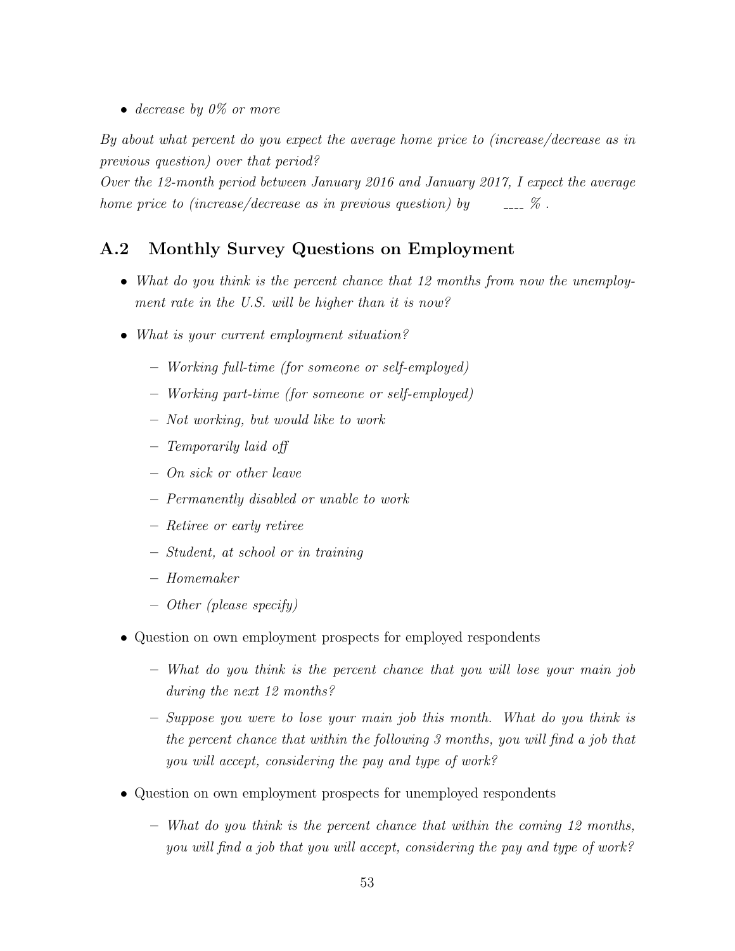• decrease by  $0\%$  or more

By about what percent do you expect the average home price to (increase/decrease as in previous question) over that period?

Over the 12-month period between January 2016 and January 2017, I expect the average home price to (increase/decrease as in previous question) by  $\sim$   $\sim$   $\%$ .

### <span id="page-55-0"></span>A.2 Monthly Survey Questions on Employment

- What do you think is the percent chance that 12 months from now the unemployment rate in the U.S. will be higher than it is now?
- What is your current employment situation?
	- Working full-time (for someone or self-employed)
	- Working part-time (for someone or self-employed)
	- Not working, but would like to work
	- Temporarily laid off
	- On sick or other leave
	- Permanently disabled or unable to work
	- Retiree or early retiree
	- Student, at school or in training
	- Homemaker
	- Other (please specify)
- Question on own employment prospects for employed respondents
	- What do you think is the percent chance that you will lose your main job during the next 12 months?
	- Suppose you were to lose your main job this month. What do you think is the percent chance that within the following 3 months, you will find a job that you will accept, considering the pay and type of work?
- Question on own employment prospects for unemployed respondents
	- What do you think is the percent chance that within the coming 12 months, you will find a job that you will accept, considering the pay and type of work?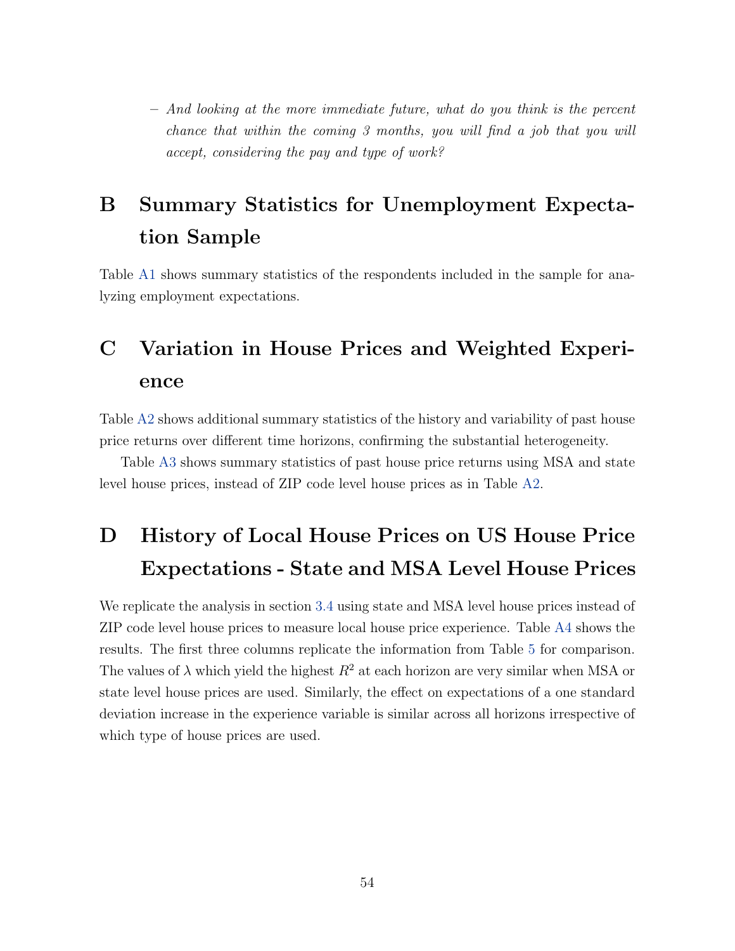– And looking at the more immediate future, what do you think is the percent chance that within the coming 3 months, you will find a job that you will accept, considering the pay and type of work?

# B Summary Statistics for Unemployment Expectation Sample

Table [A1](#page-57-0) shows summary statistics of the respondents included in the sample for analyzing employment expectations.

# C Variation in House Prices and Weighted Experience

Table [A2](#page-58-0) shows additional summary statistics of the history and variability of past house price returns over different time horizons, confirming the substantial heterogeneity.

Table [A3](#page-59-0) shows summary statistics of past house price returns using MSA and state level house prices, instead of ZIP code level house prices as in Table [A2.](#page-58-0)

# <span id="page-56-0"></span>D History of Local House Prices on US House Price Expectations - State and MSA Level House Prices

We replicate the analysis in section [3.4](#page-13-2) using state and MSA level house prices instead of ZIP code level house prices to measure local house price experience. Table [A4](#page-60-0) shows the results. The first three columns replicate the information from Table [5](#page-41-0) for comparison. The values of  $\lambda$  which yield the highest  $R^2$  at each horizon are very similar when MSA or state level house prices are used. Similarly, the effect on expectations of a one standard deviation increase in the experience variable is similar across all horizons irrespective of which type of house prices are used.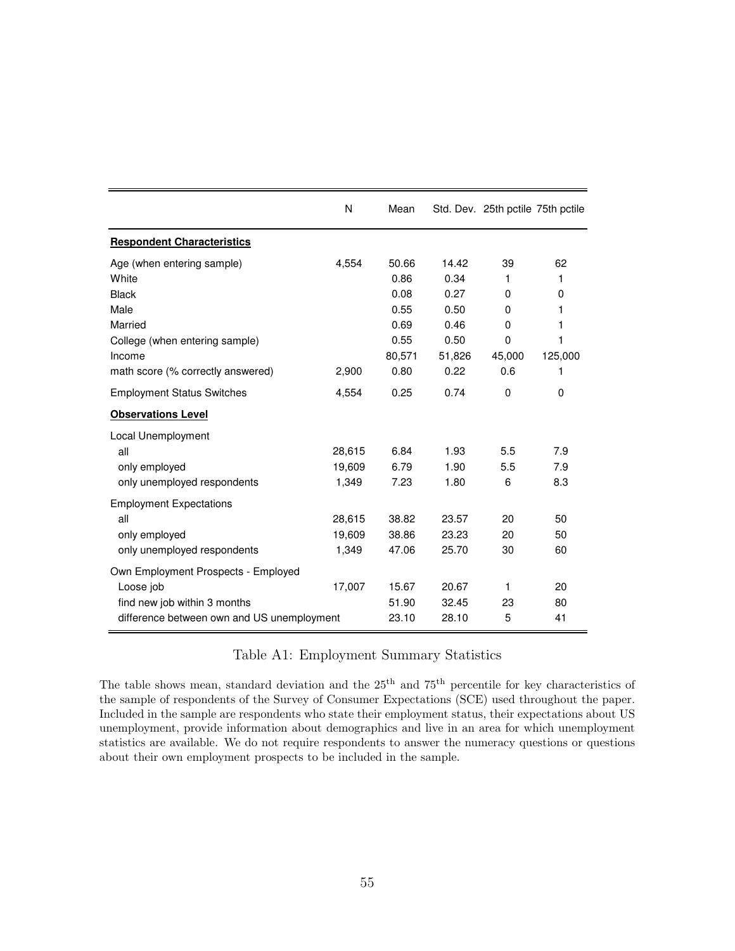<span id="page-57-0"></span>

|                                            | N      | Mean   |        | Std. Dev. 25th pctile 75th pctile |         |
|--------------------------------------------|--------|--------|--------|-----------------------------------|---------|
| <b>Respondent Characteristics</b>          |        |        |        |                                   |         |
| Age (when entering sample)                 | 4,554  | 50.66  | 14.42  | 39                                | 62      |
| White                                      |        | 0.86   | 0.34   | 1                                 | 1       |
| <b>Black</b>                               |        | 0.08   | 0.27   | 0                                 | 0       |
| Male                                       |        | 0.55   | 0.50   | $\Omega$                          | 1       |
| Married                                    |        | 0.69   | 0.46   | 0                                 | 1       |
| College (when entering sample)             |        | 0.55   | 0.50   | $\mathbf 0$                       | 1       |
| Income                                     |        | 80,571 | 51,826 | 45,000                            | 125,000 |
| math score (% correctly answered)          | 2,900  | 0.80   | 0.22   | 0.6                               | 1       |
| <b>Employment Status Switches</b>          | 4,554  | 0.25   | 0.74   | 0                                 | 0       |
| <b>Observations Level</b>                  |        |        |        |                                   |         |
| Local Unemployment                         |        |        |        |                                   |         |
| all                                        | 28,615 | 6.84   | 1.93   | 5.5                               | 7.9     |
| only employed                              | 19,609 | 6.79   | 1.90   | 5.5                               | 7.9     |
| only unemployed respondents                | 1,349  | 7.23   | 1.80   | 6                                 | 8.3     |
| <b>Employment Expectations</b>             |        |        |        |                                   |         |
| all                                        | 28,615 | 38.82  | 23.57  | 20                                | 50      |
| only employed                              | 19,609 | 38.86  | 23.23  | 20                                | 50      |
| only unemployed respondents                | 1,349  | 47.06  | 25.70  | 30                                | 60      |
| Own Employment Prospects - Employed        |        |        |        |                                   |         |
| Loose job                                  | 17,007 | 15.67  | 20.67  | 1                                 | 20      |
| find new job within 3 months               |        | 51.90  | 32.45  | 23                                | 80      |
| difference between own and US unemployment |        | 23.10  | 28.10  | 5                                 | 41      |

### Table A1: Employment Summary Statistics

The table shows mean, standard deviation and the 25<sup>th</sup> and 75<sup>th</sup> percentile for key characteristics of the sample of respondents of the Survey of Consumer Expectations (SCE) used throughout the paper. Included in the sample are respondents who state their employment status, their expectations about US unemployment, provide information about demographics and live in an area for which unemployment statistics are available. We do not require respondents to answer the numeracy questions or questions about their own employment prospects to be included in the sample.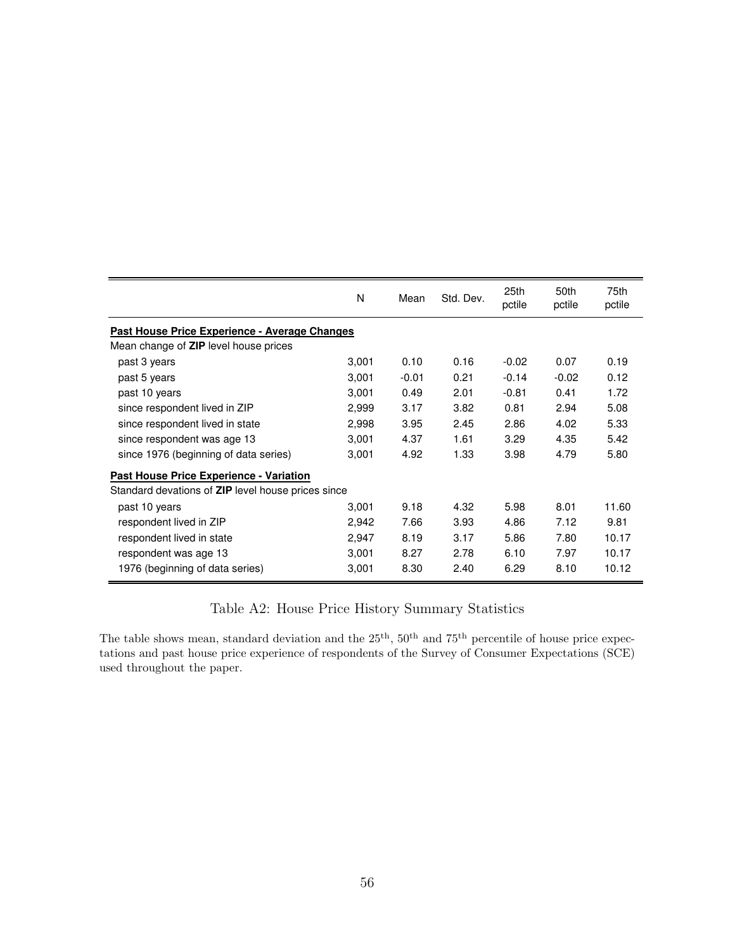<span id="page-58-0"></span>

|                                                    | N     | Mean    | Std. Dev. | 25th<br>pctile | 50th<br>pctile | 75th<br>pctile |
|----------------------------------------------------|-------|---------|-----------|----------------|----------------|----------------|
| Past House Price Experience - Average Changes      |       |         |           |                |                |                |
| Mean change of <b>ZIP</b> level house prices       |       |         |           |                |                |                |
| past 3 years                                       | 3,001 | 0.10    | 0.16      | $-0.02$        | 0.07           | 0.19           |
| past 5 years                                       | 3,001 | $-0.01$ | 0.21      | $-0.14$        | $-0.02$        | 0.12           |
| past 10 years                                      | 3,001 | 0.49    | 2.01      | $-0.81$        | 0.41           | 1.72           |
| since respondent lived in ZIP                      | 2,999 | 3.17    | 3.82      | 0.81           | 2.94           | 5.08           |
| since respondent lived in state                    | 2,998 | 3.95    | 2.45      | 2.86           | 4.02           | 5.33           |
| since respondent was age 13                        | 3,001 | 4.37    | 1.61      | 3.29           | 4.35           | 5.42           |
| since 1976 (beginning of data series)              | 3,001 | 4.92    | 1.33      | 3.98           | 4.79           | 5.80           |
| <b>Past House Price Experience - Variation</b>     |       |         |           |                |                |                |
| Standard devations of ZIP level house prices since |       |         |           |                |                |                |
| past 10 years                                      | 3,001 | 9.18    | 4.32      | 5.98           | 8.01           | 11.60          |
| respondent lived in ZIP                            | 2,942 | 7.66    | 3.93      | 4.86           | 7.12           | 9.81           |
| respondent lived in state                          | 2,947 | 8.19    | 3.17      | 5.86           | 7.80           | 10.17          |
| respondent was age 13                              | 3,001 | 8.27    | 2.78      | 6.10           | 7.97           | 10.17          |
| 1976 (beginning of data series)                    | 3,001 | 8.30    | 2.40      | 6.29           | 8.10           | 10.12          |
|                                                    |       |         |           |                |                |                |

### Table A2: House Price History Summary Statistics

The table shows mean, standard deviation and the  $25<sup>th</sup>$ ,  $50<sup>th</sup>$  and  $75<sup>th</sup>$  percentile of house price expectations and past house price experience of respondents of the Survey of Consumer Expectations (SCE) used throughout the paper.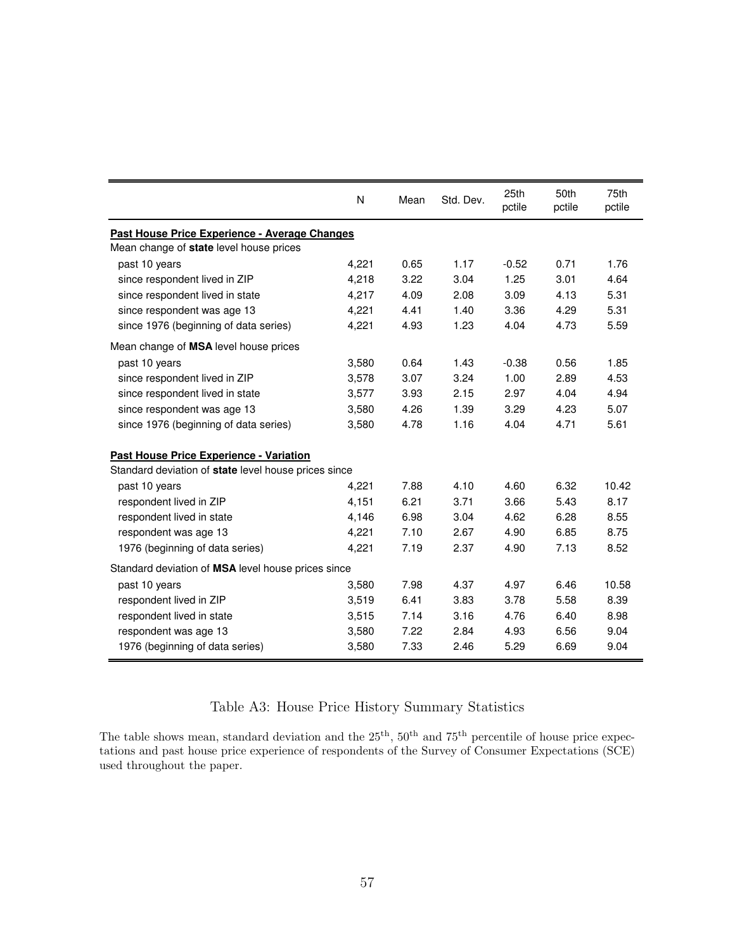<span id="page-59-0"></span>

|                                                      | N     | Mean | Std. Dev. | 25th<br>pctile | 50th<br>pctile | 75th<br>pctile |
|------------------------------------------------------|-------|------|-----------|----------------|----------------|----------------|
| Past House Price Experience - Average Changes        |       |      |           |                |                |                |
| Mean change of state level house prices              |       |      |           |                |                |                |
| past 10 years                                        | 4,221 | 0.65 | 1.17      | $-0.52$        | 0.71           | 1.76           |
| since respondent lived in ZIP                        | 4,218 | 3.22 | 3.04      | 1.25           | 3.01           | 4.64           |
| since respondent lived in state                      | 4,217 | 4.09 | 2.08      | 3.09           | 4.13           | 5.31           |
| since respondent was age 13                          | 4,221 | 4.41 | 1.40      | 3.36           | 4.29           | 5.31           |
| since 1976 (beginning of data series)                | 4,221 | 4.93 | 1.23      | 4.04           | 4.73           | 5.59           |
| Mean change of MSA level house prices                |       |      |           |                |                |                |
| past 10 years                                        | 3,580 | 0.64 | 1.43      | $-0.38$        | 0.56           | 1.85           |
| since respondent lived in ZIP                        | 3,578 | 3.07 | 3.24      | 1.00           | 2.89           | 4.53           |
| since respondent lived in state                      | 3,577 | 3.93 | 2.15      | 2.97           | 4.04           | 4.94           |
| since respondent was age 13                          | 3,580 | 4.26 | 1.39      | 3.29           | 4.23           | 5.07           |
| since 1976 (beginning of data series)                | 3,580 | 4.78 | 1.16      | 4.04           | 4.71           | 5.61           |
| Past House Price Experience - Variation              |       |      |           |                |                |                |
| Standard deviation of state level house prices since |       |      |           |                |                |                |
| past 10 years                                        | 4,221 | 7.88 | 4.10      | 4.60           | 6.32           | 10.42          |
| respondent lived in ZIP                              | 4,151 | 6.21 | 3.71      | 3.66           | 5.43           | 8.17           |
| respondent lived in state                            | 4,146 | 6.98 | 3.04      | 4.62           | 6.28           | 8.55           |
| respondent was age 13                                | 4,221 | 7.10 | 2.67      | 4.90           | 6.85           | 8.75           |
| 1976 (beginning of data series)                      | 4,221 | 7.19 | 2.37      | 4.90           | 7.13           | 8.52           |
| Standard deviation of MSA level house prices since   |       |      |           |                |                |                |
| past 10 years                                        | 3,580 | 7.98 | 4.37      | 4.97           | 6.46           | 10.58          |
| respondent lived in ZIP                              | 3,519 | 6.41 | 3.83      | 3.78           | 5.58           | 8.39           |
| respondent lived in state                            | 3,515 | 7.14 | 3.16      | 4.76           | 6.40           | 8.98           |
| respondent was age 13                                | 3,580 | 7.22 | 2.84      | 4.93           | 6.56           | 9.04           |
| 1976 (beginning of data series)                      | 3,580 | 7.33 | 2.46      | 5.29           | 6.69           | 9.04           |

### Table A3: House Price History Summary Statistics

The table shows mean, standard deviation and the  $25<sup>th</sup>$ ,  $50<sup>th</sup>$  and  $75<sup>th</sup>$  percentile of house price expectations and past house price experience of respondents of the Survey of Consumer Expectations (SCE) used throughout the paper.